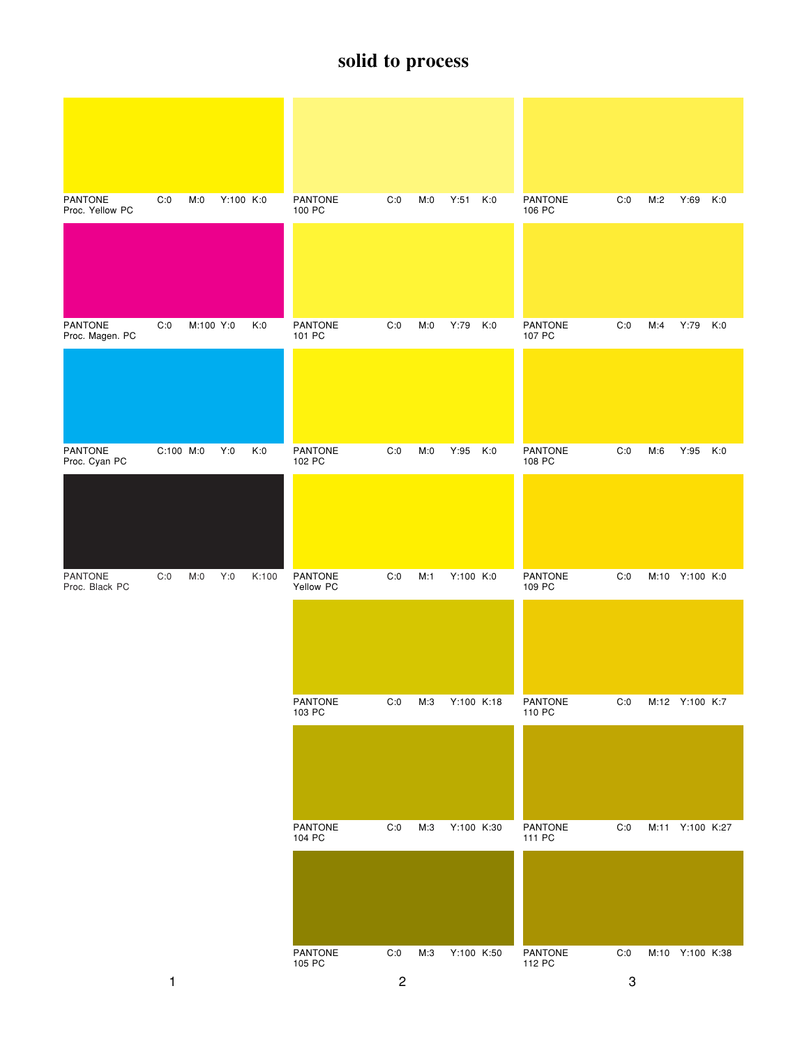| <b>PANTONE</b><br>Proc. Yellow PC | C:0       | M:0       | Y:100 K:0 |       | PANTONE<br>100 PC        | C:0                   | M:0 | Y:51       | K:0 | PANTONE<br>106 PC        | C:0 | M:2 | Y:69            | K:0 |
|-----------------------------------|-----------|-----------|-----------|-------|--------------------------|-----------------------|-----|------------|-----|--------------------------|-----|-----|-----------------|-----|
|                                   |           |           |           |       |                          |                       |     |            |     |                          |     |     |                 |     |
| <b>PANTONE</b><br>Proc. Magen. PC | C:0       | M:100 Y:0 |           | K:0   | <b>PANTONE</b><br>101 PC | C:0                   | M:0 | Y:79       | K:0 | <b>PANTONE</b><br>107 PC | C:0 | M:4 | Y:79            | K:0 |
|                                   |           |           |           |       |                          |                       |     |            |     |                          |     |     |                 |     |
| PANTONE<br>Proc. Cyan PC          | C:100 M:0 |           | Y:0       | K:0   | PANTONE<br>102 PC        | C:0                   | M:0 | Y:95 K:0   |     | PANTONE<br>108 PC        | C:0 | M:6 | Y:95            | K:0 |
|                                   |           |           |           |       |                          |                       |     |            |     |                          |     |     |                 |     |
| PANTONE<br>Proc. Black PC         | C:0       | M:0       | Y:0       | K:100 | PANTONE<br>Yellow PC     | C:0                   | M:1 | Y:100 K:0  |     | PANTONE<br>109 PC        | C:0 |     | M:10 Y:100 K:0  |     |
|                                   |           |           |           |       |                          |                       |     |            |     |                          |     |     |                 |     |
|                                   |           |           |           |       | PANTONE<br>103 PC        | $\mathsf{C}\text{:}0$ | M:3 | Y:100 K:18 |     | PANTONE<br>110 PC        | C:0 |     | M:12 Y:100 K:7  |     |
|                                   |           |           |           |       |                          |                       |     |            |     |                          |     |     |                 |     |
|                                   |           |           |           |       | PANTONE<br>104 PC        | C:0                   | M:3 | Y:100 K:30 |     | PANTONE<br>111 PC        | C:0 |     | M:11 Y:100 K:27 |     |
|                                   |           |           |           |       |                          |                       |     |            |     |                          |     |     |                 |     |
|                                   |           |           |           |       | PANTONE<br>105 PC        | C:0                   | M:3 | Y:100 K:50 |     | PANTONE<br>112 PC        | C:0 |     | M:10 Y:100 K:38 |     |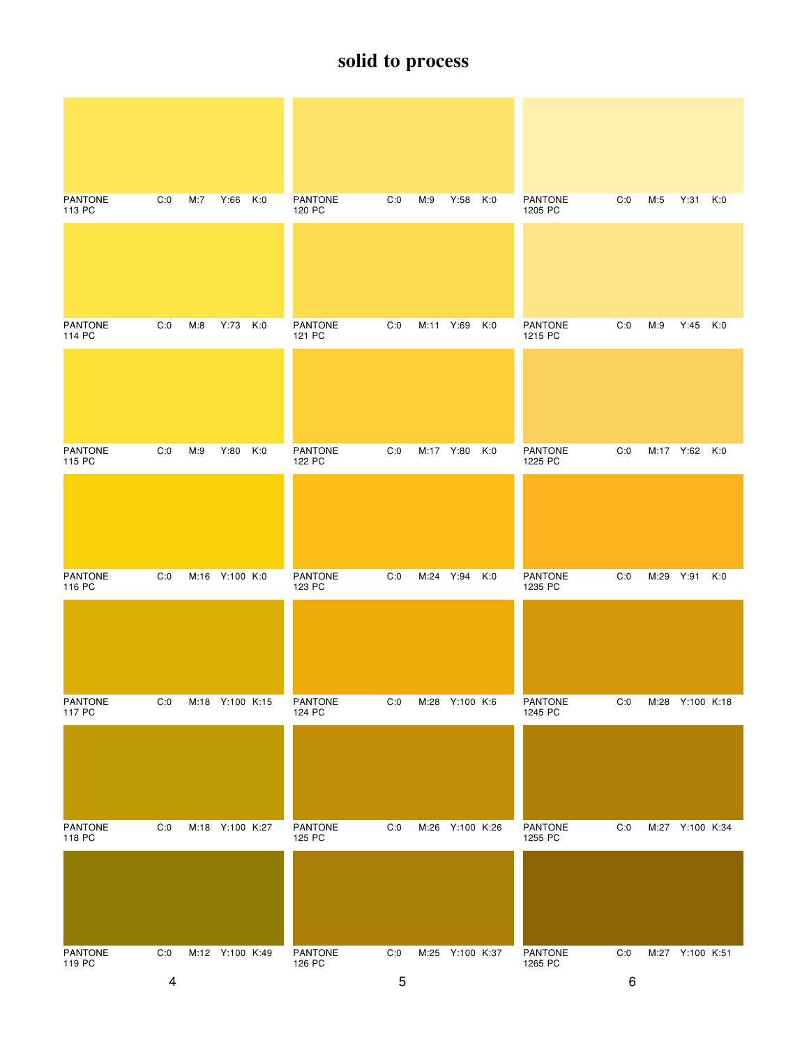| <b>PANTONE</b><br>113 PC | C:0 | M:7 | Y:66 K:0        |     | <b>PANTONE</b><br>120 PC | C:0 | M:9       | Y:58 K:0        |     | <b>PANTONE</b><br>1205 PC | C:0 | M:5       | Y:31 K:0        |     |
|--------------------------|-----|-----|-----------------|-----|--------------------------|-----|-----------|-----------------|-----|---------------------------|-----|-----------|-----------------|-----|
|                          |     |     |                 |     |                          |     |           |                 |     |                           |     |           |                 |     |
| <b>PANTONE</b><br>114 PC | C:0 | M:8 | Y:73 K:0        |     | <b>PANTONE</b><br>121 PC | C:0 |           | M:11 Y:69 K:0   |     | <b>PANTONE</b><br>1215 PC | C:0 | M:9       | $Y:45$ K:0      |     |
|                          |     |     |                 |     |                          |     |           |                 |     |                           |     |           |                 |     |
| <b>PANTONE</b><br>115 PC | C:0 | M:9 | Y:80            | K:0 | <b>PANTONE</b><br>122 PC | C:0 | M:17 Y:80 |                 | K:0 | <b>PANTONE</b><br>1225 PC | C:0 |           | M:17 Y:62 K:0   |     |
|                          |     |     |                 |     |                          |     |           |                 |     |                           |     |           |                 |     |
| <b>PANTONE</b><br>116 PC | C:0 |     | M:16 Y:100 K:0  |     | <b>PANTONE</b><br>123 PC | C:0 | M:24 Y:94 |                 | K:0 | <b>PANTONE</b><br>1235 PC | C:0 | M:29 Y:91 |                 | K:0 |
|                          |     |     |                 |     |                          |     |           |                 |     |                           |     |           |                 |     |
| PANTONE<br>117 PC        | C:0 |     | M:18 Y:100 K:15 |     | <b>PANTONE</b><br>124 PC | C:0 |           | M:28 Y:100 K:6  |     | <b>PANTONE</b><br>1245 PC | C:0 |           | M:28 Y:100 K:18 |     |
|                          |     |     |                 |     |                          |     |           |                 |     |                           |     |           |                 |     |
| <b>PANTONE</b><br>118 PC | C:0 |     | M:18 Y:100 K:27 |     | PANTONE<br>125 PC        | C:0 |           | M:26 Y:100 K:26 |     | PANTONE<br>1255 PC        | C:0 |           | M:27 Y:100 K:34 |     |
|                          |     |     |                 |     |                          |     |           |                 |     |                           |     |           |                 |     |
| PANTONE<br>119 PC        | C:0 |     | M:12 Y:100 K:49 |     | PANTONE<br>126 PC        | C:0 |           | M:25 Y:100 K:37 |     | PANTONE<br>1265 PC        | C:0 |           | M:27 Y:100 K:51 |     |
|                          | 4   |     |                 |     |                          | 5   |           |                 |     |                           | 6   |           |                 |     |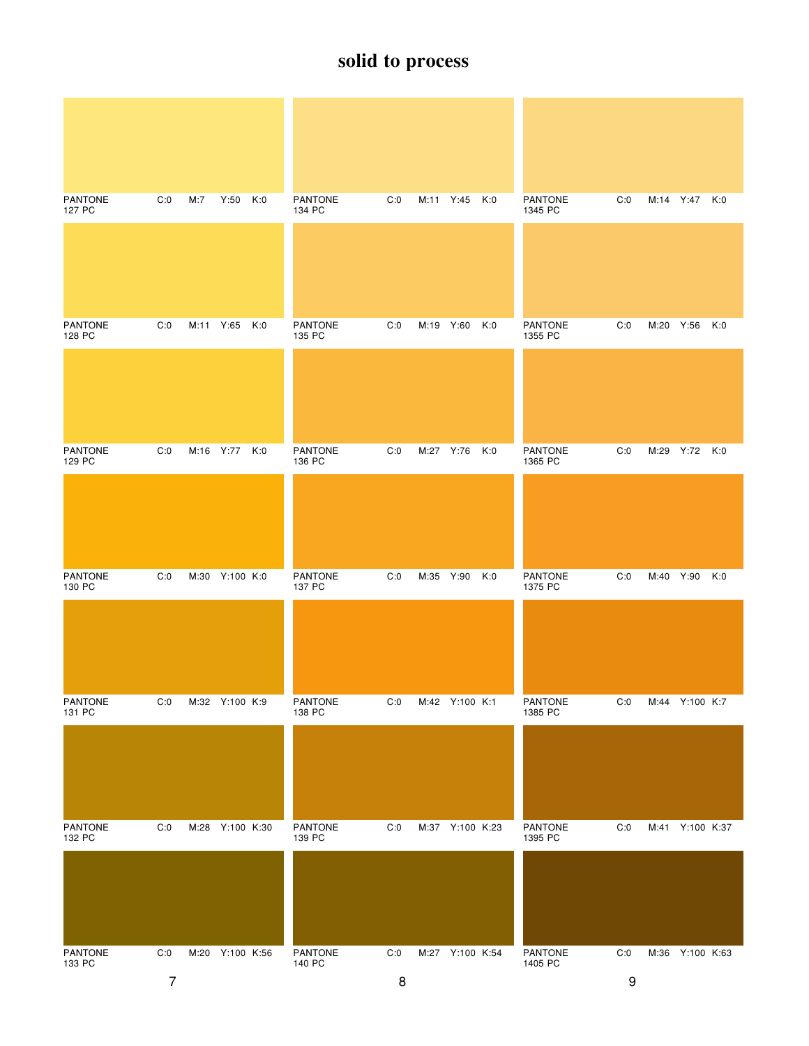| <b>PANTONE</b><br>127 PC | C:0                   | M:7 | Y:50 K:0        |     | <b>PANTONE</b><br>134 PC | C:0      |           | M:11 Y:45 K:0   |     | <b>PANTONE</b><br>1345 PC | C:0      | M:14 Y:47 K:0   |      |     |
|--------------------------|-----------------------|-----|-----------------|-----|--------------------------|----------|-----------|-----------------|-----|---------------------------|----------|-----------------|------|-----|
|                          |                       |     |                 |     |                          |          |           |                 |     |                           |          |                 |      |     |
| <b>PANTONE</b><br>128 PC | C:0                   |     | M:11 Y:65       | K:0 | <b>PANTONE</b><br>135 PC | C:0      | M:19 Y:60 |                 | K:0 | <b>PANTONE</b><br>1355 PC | C:0      | M:20 Y:56       |      | K:0 |
|                          |                       |     |                 |     |                          |          |           |                 |     |                           |          |                 |      |     |
| <b>PANTONE</b><br>129 PC | C:0                   |     | M:16 Y:77 K:0   |     | <b>PANTONE</b><br>136 PC | C:0      |           | M:27 Y:76 K:0   |     | <b>PANTONE</b><br>1365 PC | C:0      | M:29 Y:72 K:0   |      |     |
|                          |                       |     |                 |     |                          |          |           |                 |     |                           |          |                 |      |     |
| <b>PANTONE</b><br>130 PC | C:0                   |     | M:30 Y:100 K:0  |     | <b>PANTONE</b><br>137 PC | C:0      | M:35 Y:90 |                 | K:0 | <b>PANTONE</b><br>1375 PC | C:0      | M:40            | Y:90 | K:0 |
|                          |                       |     |                 |     |                          |          |           |                 |     |                           |          |                 |      |     |
| PANTONE<br>131 PC        | C:0                   |     | M:32 Y:100 K:9  |     | PANTONE<br>138 PC        | C:0      |           | M:42 Y:100 K:1  |     | PANTONE<br>1385 PC        | C:0      | M:44 Y:100 K:7  |      |     |
|                          |                       |     |                 |     |                          |          |           |                 |     |                           |          |                 |      |     |
| PANTONE<br>132 PC        | C:0                   |     | M:28 Y:100 K:30 |     | PANTONE<br>139 PC        | C:0      |           | M:37 Y:100 K:23 |     | PANTONE<br>1395 PC        | C:0      | M:41 Y:100 K:37 |      |     |
|                          |                       |     |                 |     |                          |          |           |                 |     |                           |          |                 |      |     |
| PANTONE<br>133 PC        | C:0<br>$\overline{7}$ |     | M:20 Y:100 K:56 |     | PANTONE<br>140 PC        | C:0<br>8 |           | M:27 Y:100 K:54 |     | PANTONE<br>1405 PC        | C:0<br>9 | M:36 Y:100 K:63 |      |     |
|                          |                       |     |                 |     |                          |          |           |                 |     |                           |          |                 |      |     |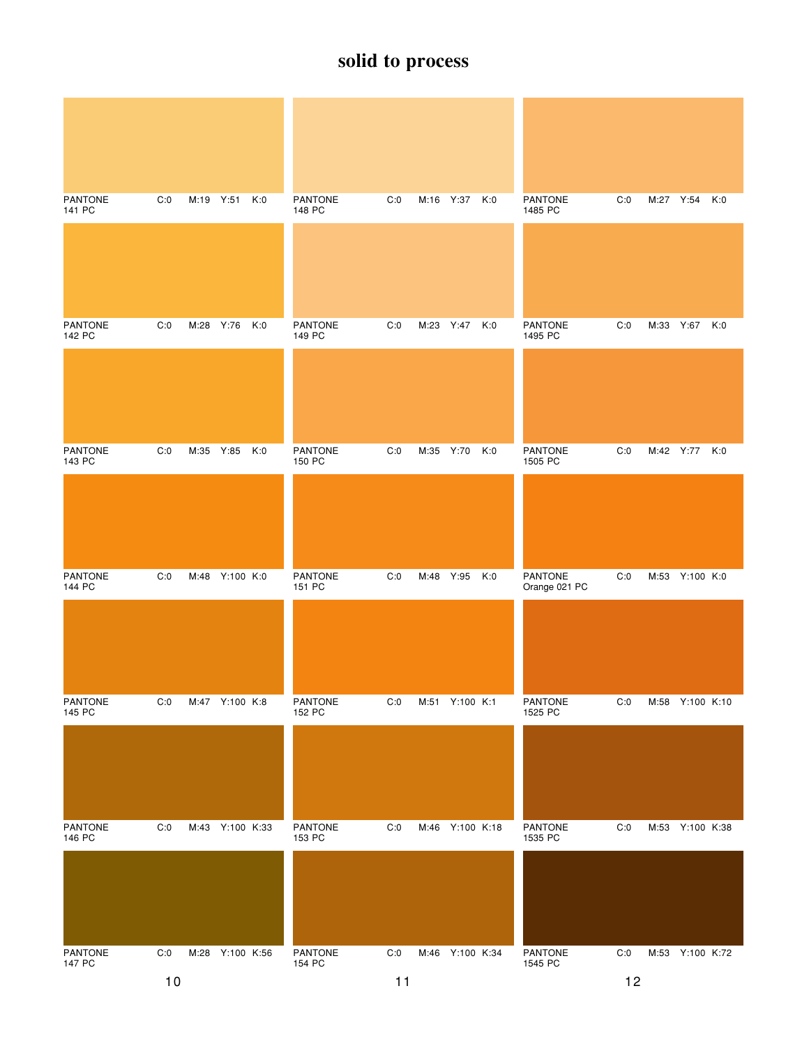| <b>PANTONE</b><br>141 PC | C:0 | M:19 Y:51 |                 | K:0 | <b>PANTONE</b><br>148 PC | C:0 |           | M:16 Y:37 K:0   |     | <b>PANTONE</b><br>1485 PC | C:0 | M:27 Y:54       | K:0 |
|--------------------------|-----|-----------|-----------------|-----|--------------------------|-----|-----------|-----------------|-----|---------------------------|-----|-----------------|-----|
| <b>PANTONE</b><br>142 PC | C:0 | M:28 Y:76 |                 | K:0 | <b>PANTONE</b><br>149 PC | C:0 |           | M:23 Y:47 K:0   |     | <b>PANTONE</b><br>1495 PC | C:0 | M:33 Y:67 K:0   |     |
|                          |     |           |                 |     |                          |     |           |                 |     |                           |     |                 |     |
| <b>PANTONE</b><br>143 PC | C:0 | M:35 Y:85 |                 | K:0 | <b>PANTONE</b><br>150 PC | C:0 | M:35 Y:70 |                 | K:0 | <b>PANTONE</b><br>1505 PC | C:0 | M:42 Y:77 K:0   |     |
|                          |     |           |                 |     |                          |     |           |                 |     |                           |     |                 |     |
| <b>PANTONE</b><br>144 PC | C:0 |           | M:48 Y:100 K:0  |     | PANTONE<br>151 PC        | C:0 | M:48 Y:95 |                 | K:0 | PANTONE<br>Orange 021 PC  | C:0 | M:53 Y:100 K:0  |     |
|                          |     |           |                 |     |                          |     |           |                 |     |                           |     |                 |     |
| PANTONE<br>145 PC        | C:0 |           | M:47 Y:100 K:8  |     | <b>PANTONE</b><br>152 PC | C:0 |           | M:51 Y:100 K:1  |     | <b>PANTONE</b><br>1525 PC | C:0 | M:58 Y:100 K:10 |     |
|                          |     |           |                 |     |                          |     |           |                 |     |                           |     |                 |     |
| <b>PANTONE</b><br>146 PC | C:0 |           | M:43 Y:100 K:33 |     | PANTONE<br>153 PC        | C:0 |           | M:46 Y:100 K:18 |     | <b>PANTONE</b><br>1535 PC | C:0 | M:53 Y:100 K:38 |     |
|                          |     |           |                 |     |                          |     |           |                 |     |                           |     |                 |     |
| PANTONE<br>147 PC        | C:0 |           | M:28 Y:100 K:56 |     | PANTONE<br>154 PC        | C:0 |           | M:46 Y:100 K:34 |     | PANTONE<br>1545 PC        | C:0 | M:53 Y:100 K:72 |     |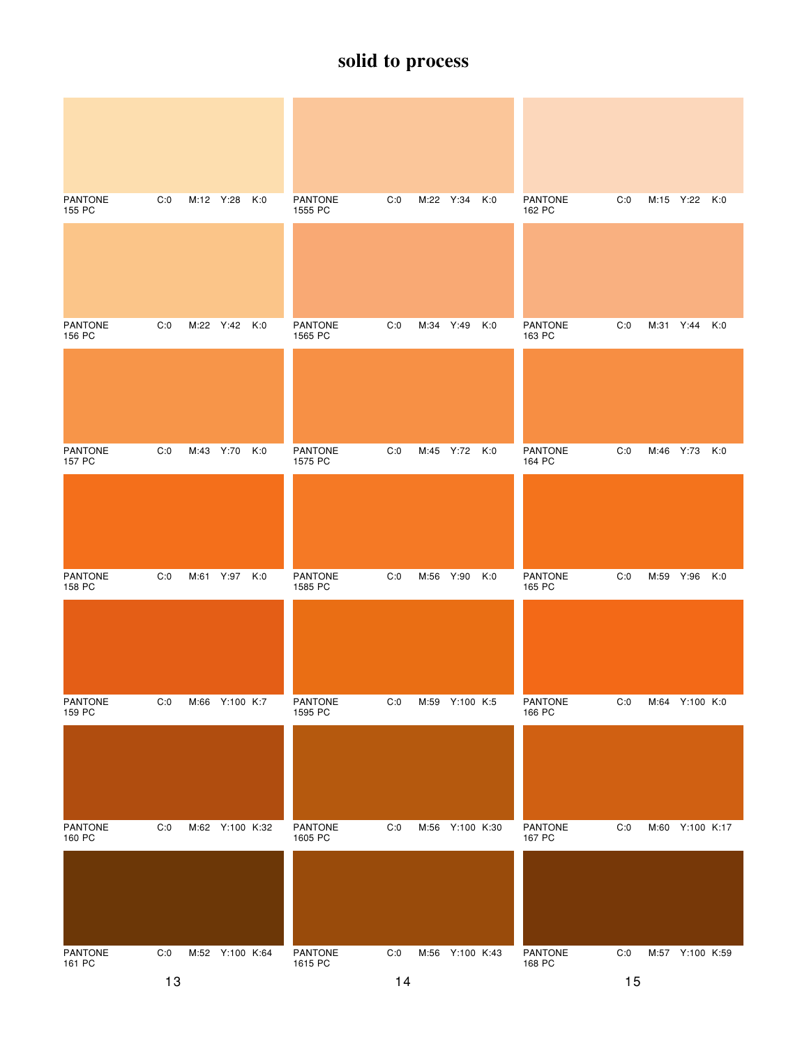| <b>PANTONE</b><br>155 PC | C:0 |           | M:12 Y:28       | K:0 | <b>PANTONE</b><br>1555 PC | C:0 | M:22 Y:34 |                 | K:0 | <b>PANTONE</b><br>162 PC | C:0 |      | M:15 Y:22 K:0   |     |
|--------------------------|-----|-----------|-----------------|-----|---------------------------|-----|-----------|-----------------|-----|--------------------------|-----|------|-----------------|-----|
| <b>PANTONE</b><br>156 PC | C:0 |           | M:22 Y:42 K:0   |     | <b>PANTONE</b><br>1565 PC | C:0 | M:34 Y:49 |                 | K:0 | <b>PANTONE</b><br>163 PC | C:0 |      | M:31 Y:44 K:0   |     |
|                          |     |           |                 |     |                           |     |           |                 |     |                          |     |      |                 |     |
| <b>PANTONE</b><br>157 PC | C:0 | M:43 Y:70 |                 | K:0 | PANTONE<br>1575 PC        | C:0 |           | M:45 Y:72 K:0   |     | <b>PANTONE</b><br>164 PC | C:0 |      | M:46 Y:73 K:0   |     |
|                          |     |           |                 |     |                           |     |           |                 |     |                          |     |      |                 |     |
| <b>PANTONE</b><br>158 PC | C:0 |           | M:61 Y:97       | K:0 | <b>PANTONE</b><br>1585 PC | C:0 | M:56 Y:90 |                 | K:0 | <b>PANTONE</b><br>165 PC | C:0 | M:59 | Y:96            | K:0 |
|                          |     |           |                 |     |                           |     |           |                 |     |                          |     |      |                 |     |
| PANTONE<br>159 PC        | C:0 |           | M:66 Y:100 K:7  |     | PANTONE<br>1595 PC        | C:0 |           | M:59 Y:100 K:5  |     | PANTONE<br>166 PC        | C:0 |      | M:64 Y:100 K:0  |     |
|                          |     |           |                 |     |                           |     |           |                 |     |                          |     |      |                 |     |
| <b>PANTONE</b><br>160 PC | C:0 |           | M:62 Y:100 K:32 |     | <b>PANTONE</b><br>1605 PC | C:0 |           | M:56 Y:100 K:30 |     | PANTONE<br>167 PC        | C:0 |      | M:60 Y:100 K:17 |     |
|                          |     |           |                 |     |                           |     |           |                 |     |                          |     |      |                 |     |
| PANTONE<br>161 PC        | C:0 |           | M:52 Y:100 K:64 |     | PANTONE<br>1615 PC        | C:0 |           | M:56 Y:100 K:43 |     | PANTONE<br>168 PC        | C:0 |      | M:57 Y:100 K:59 |     |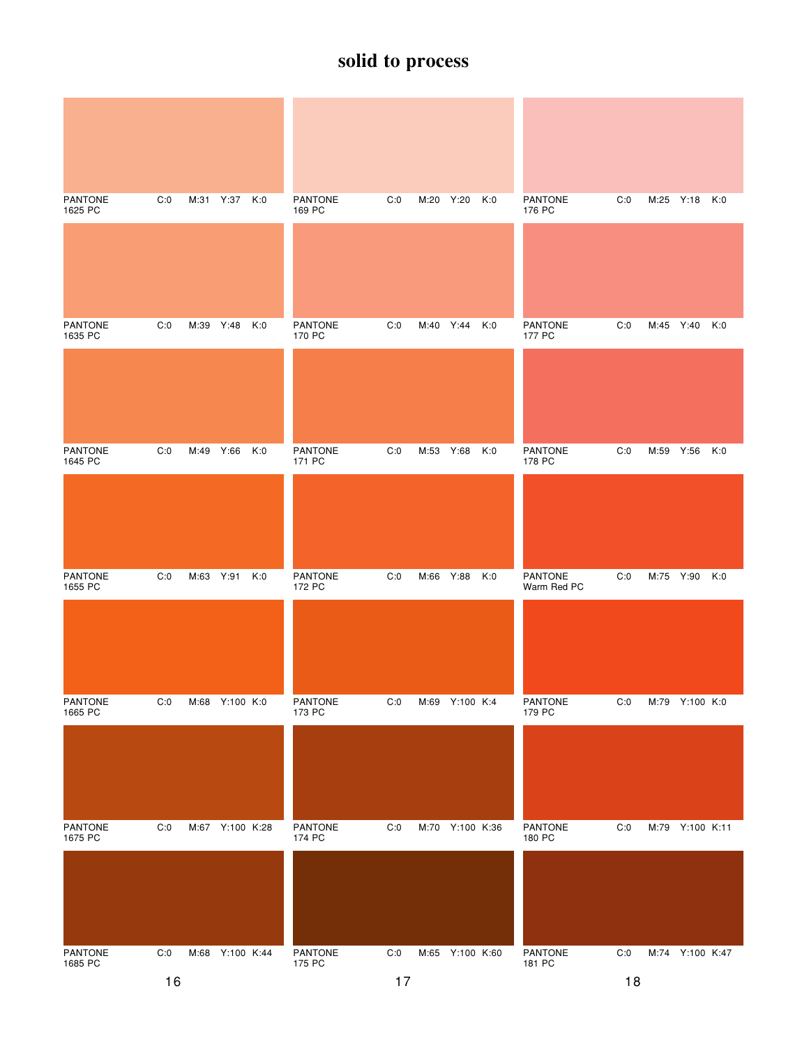| <b>PANTONE</b><br>1625 PC | C:0 | M:31      | Y:37            | K:0 | <b>PANTONE</b><br>169 PC | C:0 | M:20 Y:20 |                 | K:0 | <b>PANTONE</b><br>176 PC      | C:0 |           | M:25 Y:18 K:0   |     |
|---------------------------|-----|-----------|-----------------|-----|--------------------------|-----|-----------|-----------------|-----|-------------------------------|-----|-----------|-----------------|-----|
| <b>PANTONE</b><br>1635 PC | C:0 | M:39      | Y:48            | K:0 | <b>PANTONE</b><br>170 PC | C:0 |           | M:40 Y:44 K:0   |     | <b>PANTONE</b><br>177 PC      | C:0 | M:45 Y:40 |                 | K:0 |
|                           |     |           |                 |     |                          |     |           |                 |     |                               |     |           |                 |     |
| <b>PANTONE</b><br>1645 PC | C:0 | M:49 Y:66 |                 | K:0 | <b>PANTONE</b><br>171 PC | C:0 | M:53 Y:68 |                 | K:0 | <b>PANTONE</b><br>178 PC      | C:0 | M:59 Y:56 |                 | K:0 |
|                           |     |           |                 |     |                          |     |           |                 |     |                               |     |           |                 |     |
| <b>PANTONE</b><br>1655 PC | C:0 | M:63 Y:91 |                 | K:0 | <b>PANTONE</b><br>172 PC | C:0 | M:66 Y:88 |                 | K:0 | <b>PANTONE</b><br>Warm Red PC | C:0 | M:75 Y:90 |                 | K:0 |
|                           |     |           |                 |     |                          |     |           |                 |     |                               |     |           |                 |     |
| PANTONE<br>1665 PC        | C:0 |           | M:68 Y:100 K:0  |     | PANTONE<br>173 PC        | C:0 |           | M:69 Y:100 K:4  |     | PANTONE<br>179 PC             | C:0 |           | M:79 Y:100 K:0  |     |
|                           |     |           |                 |     |                          |     |           |                 |     |                               |     |           |                 |     |
| <b>PANTONE</b><br>1675 PC | C:0 |           | M:67 Y:100 K:28 |     | PANTONE<br>174 PC        | C:0 |           | M:70 Y:100 K:36 |     | PANTONE<br>180 PC             | C:0 |           | M:79 Y:100 K:11 |     |
|                           |     |           |                 |     |                          |     |           |                 |     |                               |     |           |                 |     |
| PANTONE<br>1685 PC        | C:0 |           | M:68 Y:100 K:44 |     | PANTONE<br>175 PC        | C:0 |           | M:65 Y:100 K:60 |     | PANTONE<br>181 PC             | C:0 |           | M:74 Y:100 K:47 |     |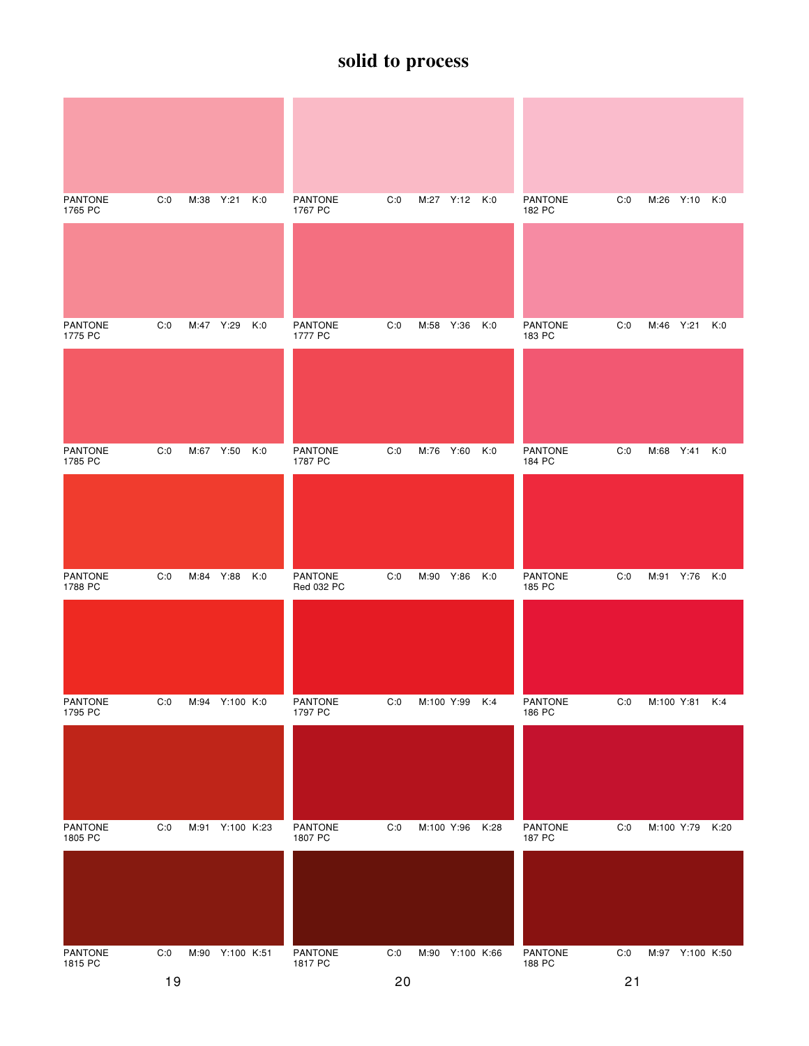| <b>PANTONE</b><br>1765 PC | C:0 | M:38 Y:21 |                 | K:0 | <b>PANTONE</b><br>1767 PC    | C:0 |            | M:27 Y:12 K:0   |      | <b>PANTONE</b><br>182 PC | C:0 |           | M:26 Y:10 K:0   |     |
|---------------------------|-----|-----------|-----------------|-----|------------------------------|-----|------------|-----------------|------|--------------------------|-----|-----------|-----------------|-----|
|                           |     |           |                 |     |                              |     |            |                 |      |                          |     |           |                 |     |
| <b>PANTONE</b><br>1775 PC | C:0 | M:47 Y:29 |                 | K:0 | <b>PANTONE</b><br>1777 PC    | C:0 | M:58 Y:36  |                 | K:0  | <b>PANTONE</b><br>183 PC | C:0 | M:46 Y:21 |                 | K:0 |
|                           |     |           |                 |     |                              |     |            |                 |      |                          |     |           |                 |     |
| <b>PANTONE</b><br>1785 PC | C:0 | M:67 Y:50 |                 | K:0 | <b>PANTONE</b><br>1787 PC    | C:0 | M:76 Y:60  |                 | K:0  | <b>PANTONE</b><br>184 PC | C:0 |           | M:68 Y:41       | K:0 |
|                           |     |           |                 |     |                              |     |            |                 |      |                          |     |           |                 |     |
| <b>PANTONE</b><br>1788 PC | C:0 | M:84 Y:88 |                 | K:0 | <b>PANTONE</b><br>Red 032 PC | C:0 | M:90       | Y:86            | K:0  | <b>PANTONE</b><br>185 PC | C:0 |           | M:91 Y:76 K:0   |     |
|                           |     |           |                 |     |                              |     |            |                 |      |                          |     |           |                 |     |
| PANTONE<br>1795 PC        | C:0 |           | M:94 Y:100 K:0  |     | PANTONE<br>1797 PC           | C:0 |            | M:100 Y:99 K:4  |      | PANTONE<br>186 PC        | C:0 |           | M:100 Y:81 K:4  |     |
|                           |     |           |                 |     |                              |     |            |                 |      |                          |     |           |                 |     |
| <b>PANTONE</b><br>1805 PC | C:0 |           | M:91 Y:100 K:23 |     | PANTONE<br>1807 PC           | C:0 | M:100 Y:96 |                 | K:28 | <b>PANTONE</b><br>187 PC | C:0 |           | M:100 Y:79 K:20 |     |
|                           |     |           |                 |     |                              |     |            |                 |      |                          |     |           |                 |     |
| PANTONE<br>1815 PC        | C:0 |           | M:90 Y:100 K:51 |     | PANTONE<br>1817 PC           | C:0 |            | M:90 Y:100 K:66 |      | PANTONE<br>188 PC        | C:0 |           | M:97 Y:100 K:50 |     |
|                           | 19  |           |                 |     |                              | 20  |            |                 |      |                          | 21  |           |                 |     |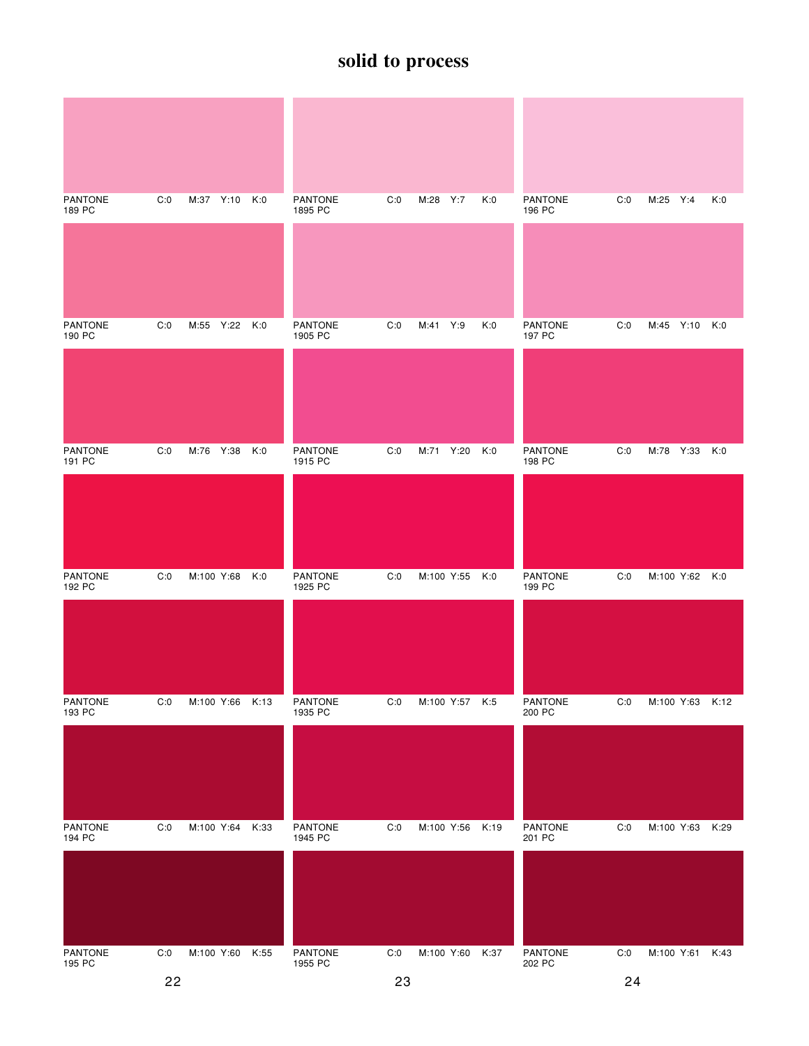| <b>PANTONE</b><br>189 PC | C:0 | M:37 Y:10       | K:0  | <b>PANTONE</b><br>1895 PC | C:0 | M:28 Y:7       | K:0  | <b>PANTONE</b><br>196 PC | C:0 | M:25 Y:4        | K:0  |
|--------------------------|-----|-----------------|------|---------------------------|-----|----------------|------|--------------------------|-----|-----------------|------|
|                          |     |                 |      |                           |     |                |      |                          |     |                 |      |
| <b>PANTONE</b><br>190 PC | C:0 | M:55 Y:22 K:0   |      | <b>PANTONE</b><br>1905 PC | C:0 | M:41 Y:9       | K:0  | <b>PANTONE</b><br>197 PC | C:0 | M:45 Y:10 K:0   |      |
|                          |     |                 |      |                           |     |                |      |                          |     |                 |      |
| <b>PANTONE</b><br>191 PC | C:0 | M:76 Y:38       | K:0  | <b>PANTONE</b><br>1915 PC | C:0 | M:71 Y:20      | K:0  | <b>PANTONE</b><br>198 PC | C:0 | M:78 Y:33       | K:0  |
|                          |     |                 |      |                           |     |                |      |                          |     |                 |      |
| <b>PANTONE</b><br>192 PC | C:0 | M:100 Y:68      | K:0  | PANTONE<br>1925 PC        | C:0 | M:100 Y:55     | K:0  | <b>PANTONE</b><br>199 PC | C:0 | M:100 Y:62 K:0  |      |
|                          |     |                 |      |                           |     |                |      |                          |     |                 |      |
| PANTONE<br>193 PC        | C:0 | M:100 Y:66 K:13 |      | PANTONE<br>1935 PC        | C:0 | M:100 Y:57 K:5 |      | PANTONE<br>200 PC        | C:0 | M:100 Y:63 K:12 |      |
|                          |     |                 |      |                           |     |                |      |                          |     |                 |      |
| <b>PANTONE</b><br>194 PC | C:0 | M:100 Y:64      | K:33 | <b>PANTONE</b><br>1945 PC | C:0 | M:100 Y:56     | K:19 | PANTONE<br>201 PC        | C:0 | M:100 Y:63      | K:29 |
|                          |     |                 |      |                           |     |                |      |                          |     |                 |      |
| PANTONE<br>195 PC        | C:0 | M:100 Y:60      | K:55 | PANTONE<br>1955 PC        | C:0 | M:100 Y:60     | K:37 | PANTONE<br>202 PC        | C:0 | M:100 Y:61 K:43 |      |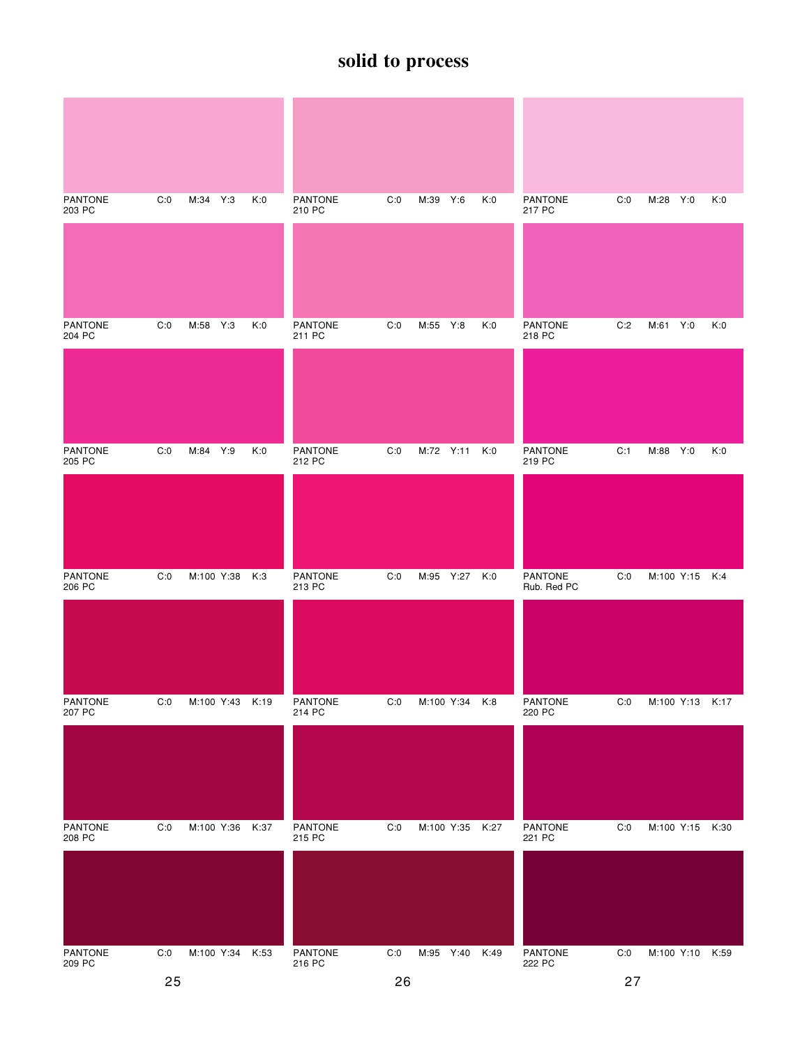| <b>PANTONE</b><br>203 PC | C:0 | M:34 Y:3   |                 | K:0  | <b>PANTONE</b><br>210 PC | C:0 | M:39 Y:6       |                 | K:0 | <b>PANTONE</b><br>217 PC | C:0 | M:28 Y:0        |                 | K:0 |
|--------------------------|-----|------------|-----------------|------|--------------------------|-----|----------------|-----------------|-----|--------------------------|-----|-----------------|-----------------|-----|
|                          |     |            |                 |      |                          |     |                |                 |     |                          |     |                 |                 |     |
| <b>PANTONE</b><br>204 PC | C:0 | M:58 Y:3   |                 | K:0  | <b>PANTONE</b><br>211 PC | C:0 | M:55 Y:8       |                 | K:0 | <b>PANTONE</b><br>218 PC | C:2 | M:61 Y:0        |                 | K:0 |
|                          |     |            |                 |      |                          |     |                |                 |     |                          |     |                 |                 |     |
| <b>PANTONE</b><br>205 PC | C:0 | M:84 Y:9   |                 | K:0  | <b>PANTONE</b><br>212 PC | C:0 | M:72 Y:11      |                 | K:0 | <b>PANTONE</b><br>219 PC | C:1 | M:88 Y:0        |                 | K:0 |
|                          |     |            |                 |      |                          |     |                |                 |     |                          |     |                 |                 |     |
| <b>PANTONE</b><br>206 PC | C:0 | M:100 Y:38 |                 | K:3  | PANTONE<br>213 PC        | C:0 | M:95 Y:27 K:0  |                 |     | PANTONE<br>Rub. Red PC   | C:0 |                 | M:100 Y:15 K:4  |     |
|                          |     |            |                 |      |                          |     |                |                 |     |                          |     |                 |                 |     |
| <b>PANTONE</b><br>207 PC | C:0 |            | M:100 Y:43 K:19 |      | <b>PANTONE</b><br>214 PC | C:0 |                | M:100 Y:34 K:8  |     | PANTONE<br>220 PC        | C:0 |                 | M:100 Y:13 K:17 |     |
|                          |     |            |                 |      |                          |     |                |                 |     |                          |     |                 |                 |     |
| PANTONE<br>208 PC        | C:0 | M:100 Y:36 |                 | K:37 | <b>PANTONE</b><br>215 PC | C:0 |                | M:100 Y:35 K:27 |     | <b>PANTONE</b><br>221 PC | C:0 | M:100 Y:15 K:30 |                 |     |
|                          |     |            |                 |      |                          |     |                |                 |     |                          |     |                 |                 |     |
| PANTONE<br>209 PC        | C:0 |            | M:100 Y:34      | K:53 | PANTONE<br>216 PC        | C:0 | M:95 Y:40 K:49 |                 |     | PANTONE<br>222 PC        | C:0 |                 | M:100 Y:10 K:59 |     |
|                          | 25  |            |                 |      |                          | 26  |                |                 |     |                          | 27  |                 |                 |     |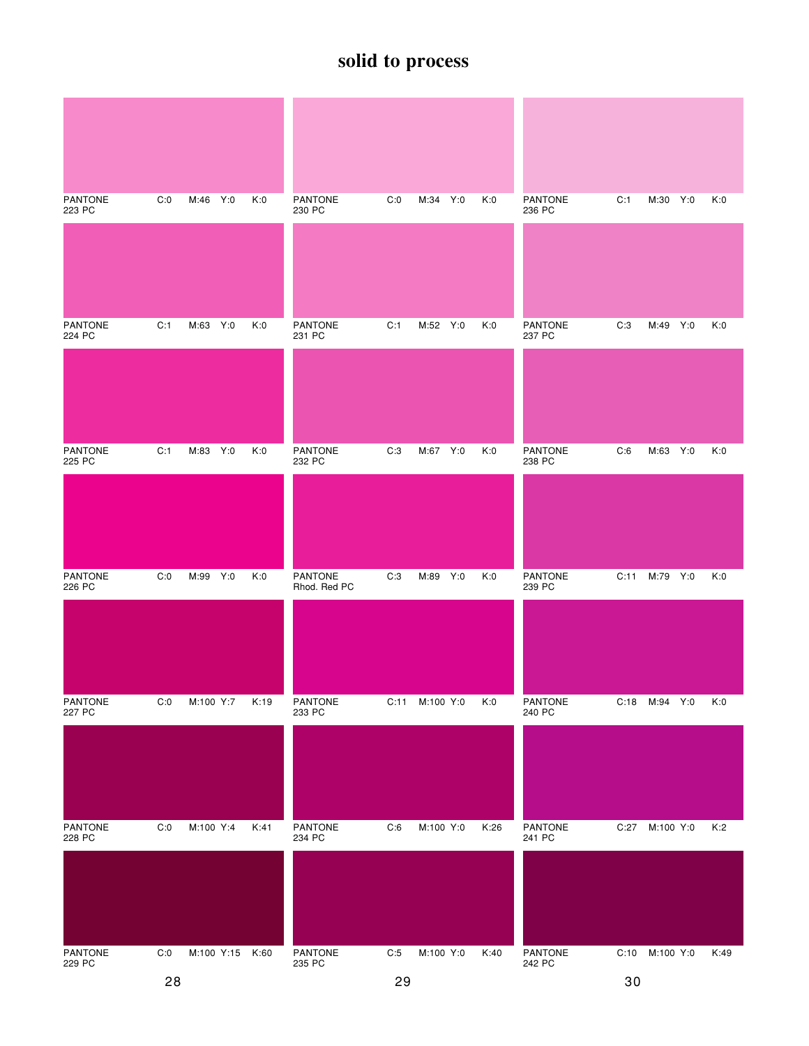| <b>PANTONE</b><br>223 PC | C:0 | M:46 Y:0   | K:0  | <b>PANTONE</b><br>230 PC | C:0  | M:34 Y:0  | K:0  | <b>PANTONE</b><br>236 PC | C:1  | M:30 Y:0       | K:0  |
|--------------------------|-----|------------|------|--------------------------|------|-----------|------|--------------------------|------|----------------|------|
|                          |     |            |      |                          |      |           |      |                          |      |                |      |
| <b>PANTONE</b><br>224 PC | C:1 | M:63 Y:0   | K:0  | <b>PANTONE</b><br>231 PC | C:1  | M:52 Y:0  | K:0  | <b>PANTONE</b><br>237 PC | C:3  | M:49 Y:0       | K:0  |
|                          |     |            |      |                          |      |           |      |                          |      |                |      |
| <b>PANTONE</b><br>225 PC | C:1 | M:83 Y:0   | K:0  | <b>PANTONE</b><br>232 PC | C:3  | M:67 Y:0  | K:0  | <b>PANTONE</b><br>238 PC | C:6  | M:63 Y:0       | K:0  |
|                          |     |            |      |                          |      |           |      |                          |      |                |      |
| <b>PANTONE</b><br>226 PC | C:0 | M:99 Y:0   | K:0  | PANTONE<br>Rhod. Red PC  | C:3  | M:89 Y:0  | K:0  | <b>PANTONE</b><br>239 PC |      | C:11 M:79 Y:0  | K:0  |
|                          |     |            |      |                          |      |           |      |                          |      |                |      |
| <b>PANTONE</b><br>227 PC | C:0 | M:100 Y:7  | K:19 | PANTONE<br>233 PC        | C:11 | M:100 Y:0 | K:0  | PANTONE<br>240 PC        | C:18 | M:94 Y:0       | K:0  |
|                          |     |            |      |                          |      |           |      |                          |      |                |      |
| PANTONE<br>228 PC        | C:0 | M:100 Y:4  | K:41 | PANTONE<br>234 PC        | C:6  | M:100 Y:0 | K:26 | PANTONE<br>241 PC        | C:27 | M:100 Y:0      | K:2  |
|                          |     |            |      |                          |      |           |      |                          |      |                |      |
| PANTONE<br>229 PC        | C:0 | M:100 Y:15 | K:60 | PANTONE<br>235 PC        | C:5  | M:100 Y:0 | K:40 | PANTONE<br>242 PC        |      | C:10 M:100 Y:0 | K:49 |
|                          | 28  |            |      |                          | 29   |           |      |                          | 30   |                |      |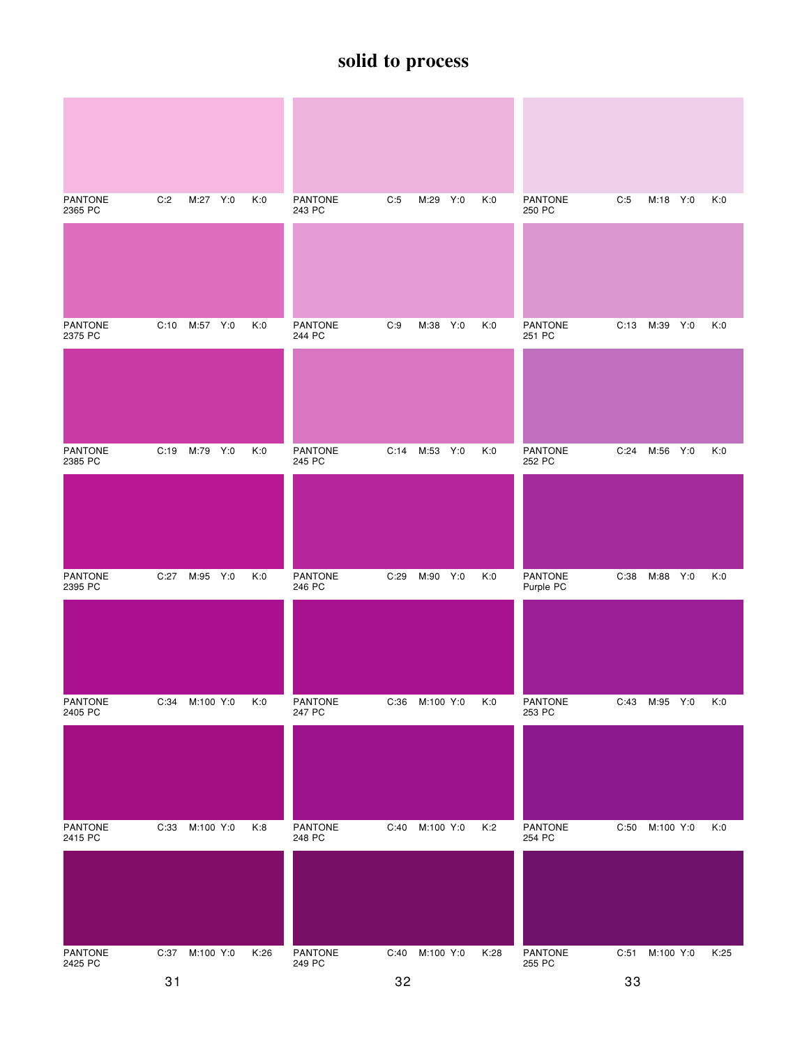| <b>PANTONE</b><br>2365 PC | C:2  | M:27 Y:0      | K:0  | <b>PANTONE</b><br>243 PC | C:5  | M:29 Y:0  | K:0  | <b>PANTONE</b><br>250 PC    | C:5  | M:18 Y:0  | K:0  |
|---------------------------|------|---------------|------|--------------------------|------|-----------|------|-----------------------------|------|-----------|------|
|                           |      |               |      |                          |      |           |      |                             |      |           |      |
| <b>PANTONE</b><br>2375 PC | C:10 | M:57 Y:0      | K:0  | PANTONE<br>244 PC        | C:9  | M:38 Y:0  | K:0  | PANTONE<br>251 PC           | C:13 | M:39 Y:0  | K:0  |
|                           |      |               |      |                          |      |           |      |                             |      |           |      |
| <b>PANTONE</b><br>2385 PC | C:19 | M:79 Y:0      | K:0  | <b>PANTONE</b><br>245 PC | C:14 | M:53 Y:0  | K:0  | <b>PANTONE</b><br>252 PC    | C:24 | M:56 Y:0  | K:0  |
|                           |      |               |      |                          |      |           |      |                             |      |           |      |
| <b>PANTONE</b><br>2395 PC |      | C:27 M:95 Y:0 | K:0  | PANTONE<br>246 PC        | C:29 | M:90 Y:0  | K:0  | <b>PANTONE</b><br>Purple PC | C:38 | M:88 Y:0  | K:0  |
|                           |      |               |      |                          |      |           |      |                             |      |           |      |
| PANTONE<br>2405 PC        | C:34 | M:100 Y:0     | K:0  | PANTONE<br>247 PC        | C:36 | M:100 Y:0 | K:0  | PANTONE<br>253 PC           | C:43 | M:95 Y:0  | K:0  |
|                           |      |               |      |                          |      |           |      |                             |      |           |      |
| <b>PANTONE</b><br>2415 PC | C:33 | M:100 Y:0     | K:8  | PANTONE<br>248 PC        | C:40 | M:100 Y:0 | K:2  | PANTONE<br>254 PC           | C:50 | M:100 Y:0 | K:0  |
|                           |      |               |      |                          |      |           |      |                             |      |           |      |
| PANTONE<br>2425 PC        | C:37 | M:100 Y:0     | K:26 | PANTONE<br>249 PC        | C:40 | M:100 Y:0 | K:28 | PANTONE<br>255 PC           | C:51 | M:100 Y:0 | K:25 |
|                           | 31   |               |      |                          | 32   |           |      |                             | 33   |           |      |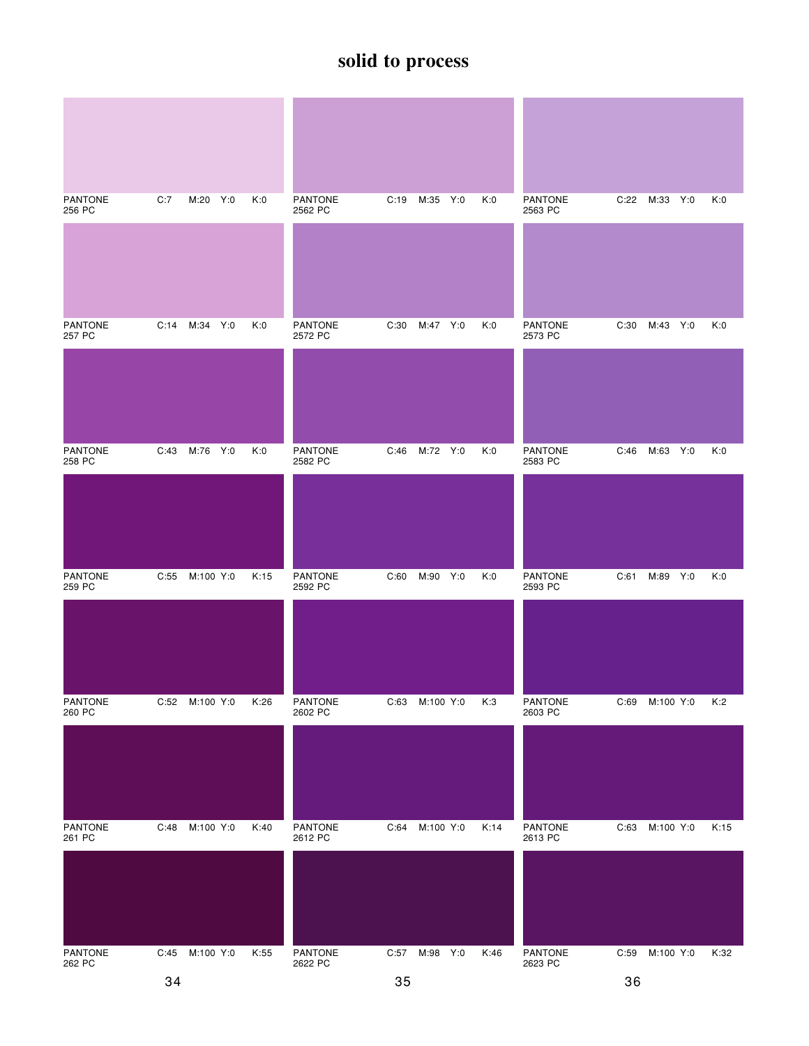| <b>PANTONE</b><br>256 PC | C:7  | M:20 Y:0      | K:0  | <b>PANTONE</b><br>2562 PC | C:19 | M:35 Y:0      | K:0  | <b>PANTONE</b><br>2563 PC | C:22 | M:33 Y:0       | K:0  |
|--------------------------|------|---------------|------|---------------------------|------|---------------|------|---------------------------|------|----------------|------|
|                          |      |               |      |                           |      |               |      |                           |      |                |      |
| <b>PANTONE</b><br>257 PC |      | C:14 M:34 Y:0 | K:0  | <b>PANTONE</b><br>2572 PC | C:30 | M:47 Y:0      | K:0  | <b>PANTONE</b><br>2573 PC | C:30 | M:43 Y:0       | K:0  |
|                          |      |               |      |                           |      |               |      |                           |      |                |      |
| <b>PANTONE</b><br>258 PC | C:43 | M:76 Y:0      | K:0  | <b>PANTONE</b><br>2582 PC | C:46 | M:72 Y:0      | K:0  | <b>PANTONE</b><br>2583 PC | C:46 | M:63 Y:0       | K:0  |
|                          |      |               |      |                           |      |               |      |                           |      |                |      |
| <b>PANTONE</b><br>259 PC | C:55 | M:100 Y:0     | K:15 | PANTONE<br>2592 PC        | C:60 | M:90 Y:0      | K:0  | <b>PANTONE</b><br>2593 PC | C:61 | M:89 Y:0       | K:0  |
|                          |      |               |      |                           |      |               |      |                           |      |                |      |
| <b>PANTONE</b><br>260 PC | C:52 | M:100 Y:0     | K:26 | PANTONE<br>2602 PC        | C:63 | M:100 Y:0     | K:3  | PANTONE<br>2603 PC        | C:69 | M:100 Y:0      | K:2  |
|                          |      |               |      |                           |      |               |      |                           |      |                |      |
| <b>PANTONE</b><br>261 PC | C:48 | M:100 Y:0     | K:40 | <b>PANTONE</b><br>2612 PC | C:64 | M:100 Y:0     | K:14 | <b>PANTONE</b><br>2613 PC | C:63 | M:100 Y:0      | K:15 |
|                          |      |               |      |                           |      |               |      |                           |      |                |      |
| PANTONE<br>262 PC        | C:45 | M:100 Y:0     | K:55 | PANTONE<br>2622 PC        |      | C:57 M:98 Y:0 | K:46 | <b>PANTONE</b><br>2623 PC |      | C:59 M:100 Y:0 | K:32 |
|                          | 34   |               |      |                           | 35   |               |      |                           | 36   |                |      |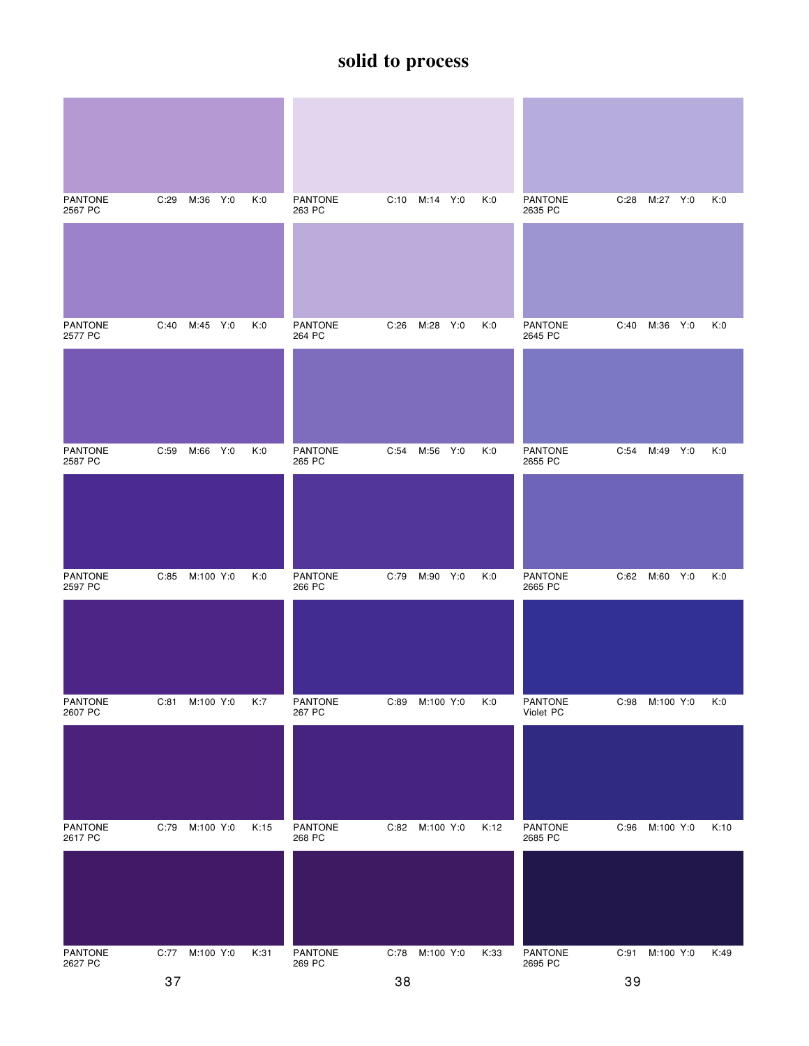| <b>PANTONE</b><br>2567 PC | C:29           | M:36 Y:0  | K:0  | <b>PANTONE</b><br>263 PC | C:10 | M:14 Y:0       |     | K:0  | <b>PANTONE</b><br>2635 PC | C:28 | M:27 Y:0      | K:0  |
|---------------------------|----------------|-----------|------|--------------------------|------|----------------|-----|------|---------------------------|------|---------------|------|
|                           |                |           |      |                          |      |                |     |      |                           |      |               |      |
| <b>PANTONE</b><br>2577 PC | C:40           | M:45 Y:0  | K:0  | <b>PANTONE</b><br>264 PC | C:26 | M:28           | Y:0 | K:0  | <b>PANTONE</b><br>2645 PC | C:40 | M:36 Y:0      | K:0  |
|                           |                |           |      |                          |      |                |     |      |                           |      |               |      |
| <b>PANTONE</b><br>2587 PC | C:59           | M:66 Y:0  | K:0  | <b>PANTONE</b><br>265 PC | C:54 | M:56 Y:0       |     | K:0  | PANTONE<br>2655 PC        | C:54 | M:49 Y:0      | K:0  |
|                           |                |           |      |                          |      |                |     |      |                           |      |               |      |
| <b>PANTONE</b><br>2597 PC | C:85           | M:100 Y:0 | K:0  | PANTONE<br>266 PC        | C:79 | M:90 Y:0       |     | K:0  | <b>PANTONE</b><br>2665 PC |      | C:62 M:60 Y:0 | K:0  |
|                           |                |           |      |                          |      |                |     |      |                           |      |               |      |
| PANTONE<br>2607 PC        | C:81           | M:100 Y:0 | K:7  | PANTONE<br>267 PC        | C:89 | M:100 Y:0      |     | K:0  | PANTONE<br>Violet PC      | C:98 | M:100 Y:0     | K:0  |
|                           |                |           |      |                          |      |                |     |      |                           |      |               |      |
| PANTONE<br>2617 PC        | C:79           | M:100 Y:0 | K:15 | <b>PANTONE</b><br>268 PC | C:82 | M:100 Y:0      |     | K:12 | <b>PANTONE</b><br>2685 PC | C:96 | M:100 Y:0     | K:10 |
|                           |                |           |      |                          |      |                |     |      |                           |      |               |      |
| PANTONE<br>2627 PC        | C:77 M:100 Y:0 |           | K:31 | PANTONE<br>269 PC        |      | C:78 M:100 Y:0 |     | K:33 | PANTONE<br>2695 PC        | C:91 | M:100 Y:0     | K:49 |
|                           | 37             |           |      |                          | 38   |                |     |      |                           | 39   |               |      |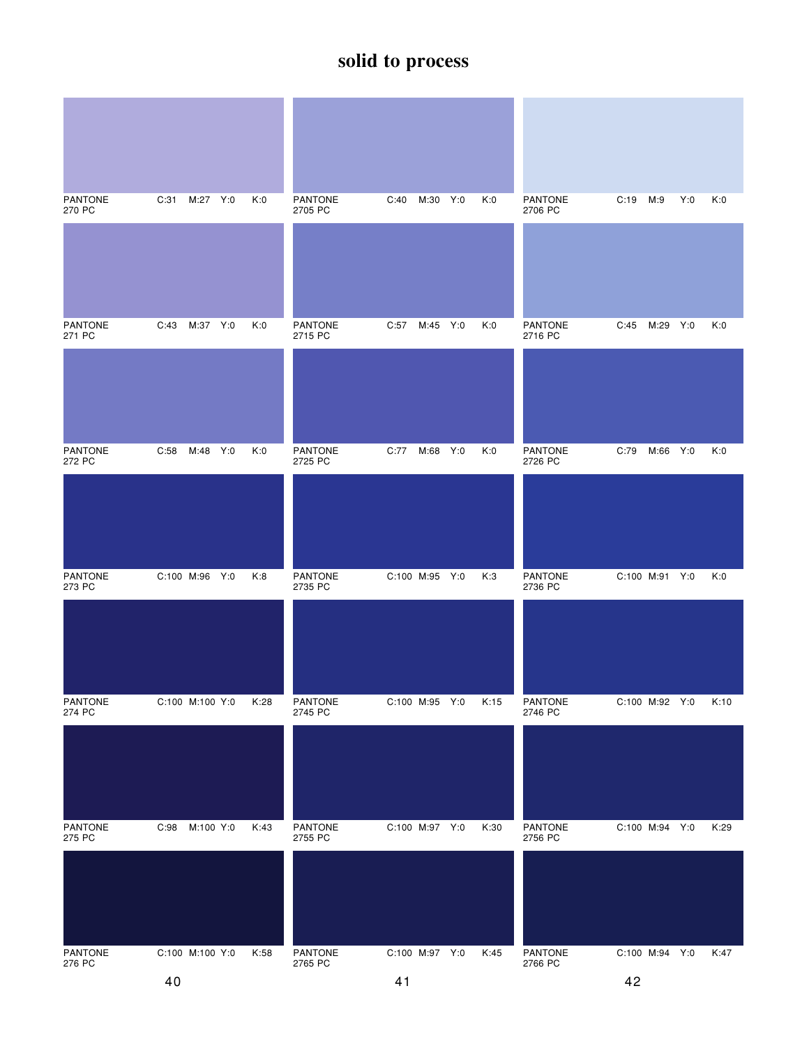| <b>PANTONE</b><br>270 PC | C:31<br>M:27 Y:0  | K:0  | <b>PANTONE</b><br>2705 PC | M:30<br>Y:0<br>C:40 | K:0  | <b>PANTONE</b><br>2706 PC | C:19<br>M:9<br>Y:0 | K:0  |
|--------------------------|-------------------|------|---------------------------|---------------------|------|---------------------------|--------------------|------|
|                          |                   |      |                           |                     |      |                           |                    |      |
| <b>PANTONE</b><br>271 PC | M:37 Y:0<br>C:43  | K:0  | <b>PANTONE</b><br>2715 PC | C:57<br>M:45 Y:0    | K:0  | <b>PANTONE</b><br>2716 PC | M:29 Y:0<br>C:45   | K:0  |
|                          |                   |      |                           |                     |      |                           |                    |      |
| PANTONE<br>272 PC        | C:58 M:48 Y:0     | K:0  | <b>PANTONE</b><br>2725 PC | C:77<br>M:68 Y:0    | K:0  | <b>PANTONE</b><br>2726 PC | M:66 Y:0<br>C:79   | K:0  |
|                          |                   |      |                           |                     |      |                           |                    |      |
| <b>PANTONE</b><br>273 PC | C:100 M:96 Y:0    | K:8  | <b>PANTONE</b><br>2735 PC | C:100 M:95 Y:0      | K:3  | <b>PANTONE</b><br>2736 PC | C:100 M:91 Y:0     | K:0  |
|                          |                   |      |                           |                     |      |                           |                    |      |
| <b>PANTONE</b><br>274 PC | C:100 M:100 Y:0   | K:28 | <b>PANTONE</b><br>2745 PC | C:100 M:95 Y:0      | K:15 | <b>PANTONE</b><br>2746 PC | C:100 M:92 Y:0     | K:10 |
|                          |                   |      |                           |                     |      |                           |                    |      |
| PANTONE<br>275 PC        | M:100 Y:0<br>C:98 | K:43 | <b>PANTONE</b><br>2755 PC | C:100 M:97 Y:0      | K:30 | PANTONE<br>2756 PC        | C:100 M:94 Y:0     | K:29 |
|                          |                   |      |                           |                     |      |                           |                    |      |
| PANTONE<br>276 PC        | C:100 M:100 Y:0   | K:58 | PANTONE<br>2765 PC        | C:100 M:97 Y:0      | K:45 | PANTONE<br>2766 PC        | C:100 M:94 Y:0     | K:47 |
|                          | 40                |      |                           | 41                  |      |                           | 42                 |      |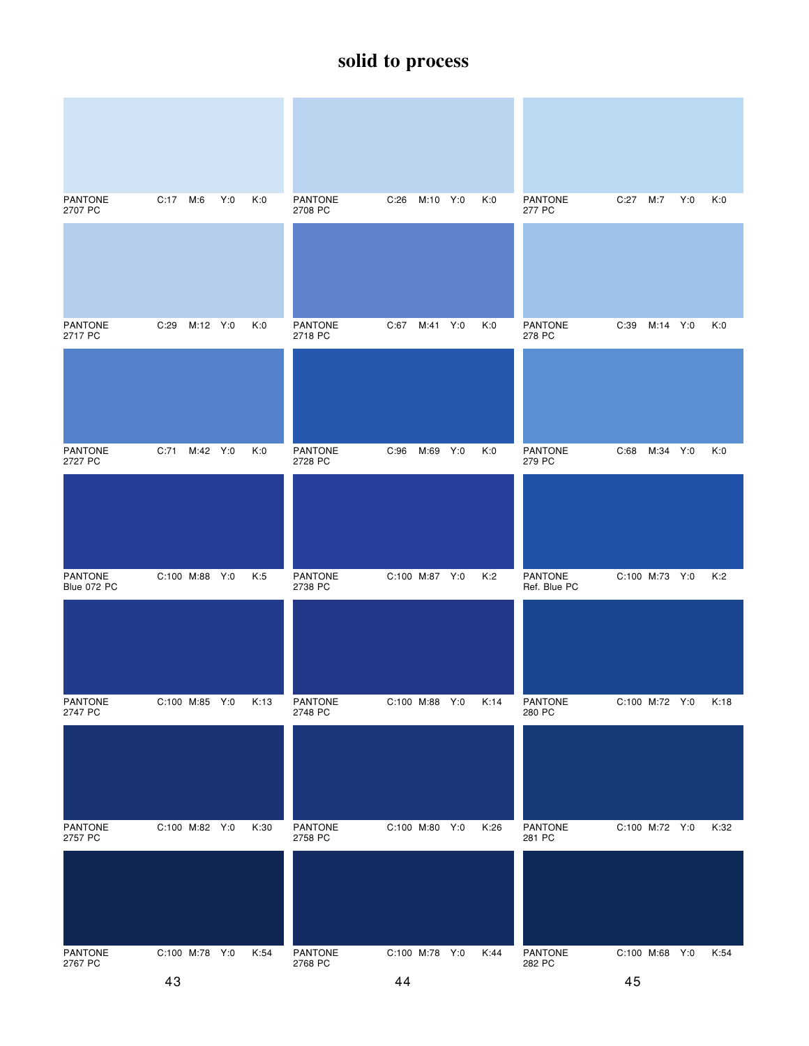| <b>PANTONE</b><br>2707 PC     | C:17 M:6         | Y:0 | K:0  | <b>PANTONE</b><br>2708 PC | C:26           | M:10 Y:0 | K:0  | <b>PANTONE</b><br>277 PC       | C:27           | M:7      | Y:0 | K:0  |
|-------------------------------|------------------|-----|------|---------------------------|----------------|----------|------|--------------------------------|----------------|----------|-----|------|
|                               |                  |     |      |                           |                |          |      |                                |                |          |     |      |
| <b>PANTONE</b><br>2717 PC     | M:12 Y:0<br>C:29 |     | K:0  | <b>PANTONE</b><br>2718 PC | C:67           | M:41 Y:0 | K:0  | <b>PANTONE</b><br>278 PC       | C:39           | M:14 Y:0 |     | K:0  |
|                               |                  |     |      |                           |                |          |      |                                |                |          |     |      |
| <b>PANTONE</b><br>2727 PC     | C:71<br>M:42 Y:0 |     | K:0  | <b>PANTONE</b><br>2728 PC | C:96           | M:69 Y:0 | K:0  | <b>PANTONE</b><br>279 PC       | C:68           | M:34 Y:0 |     | K:0  |
|                               |                  |     |      |                           |                |          |      |                                |                |          |     |      |
| <b>PANTONE</b><br>Blue 072 PC | C:100 M:88 Y:0   |     | K:5  | PANTONE<br>2738 PC        | C:100 M:87 Y:0 |          | K:2  | <b>PANTONE</b><br>Ref. Blue PC | C:100 M:73 Y:0 |          |     | K:2  |
|                               |                  |     |      |                           |                |          |      |                                |                |          |     |      |
| <b>PANTONE</b><br>2747 PC     | C:100 M:85 Y:0   |     | K:13 | <b>PANTONE</b><br>2748 PC | C:100 M:88 Y:0 |          | K:14 | PANTONE<br>280 PC              | C:100 M:72 Y:0 |          |     | K:18 |
|                               |                  |     |      |                           |                |          |      |                                |                |          |     |      |
| <b>PANTONE</b><br>2757 PC     | C:100 M:82 Y:0   |     | K:30 | <b>PANTONE</b><br>2758 PC | C:100 M:80 Y:0 |          | K:26 | <b>PANTONE</b><br>281 PC       | C:100 M:72 Y:0 |          |     | K:32 |
|                               |                  |     |      |                           |                |          |      |                                |                |          |     |      |
| PANTONE<br>2767 PC            | C:100 M:78 Y:0   |     | K:54 | PANTONE<br>2768 PC        | C:100 M:78 Y:0 |          | K:44 | PANTONE<br>282 PC              | C:100 M:68 Y:0 |          |     | K:54 |
|                               | 43               |     |      |                           | 44             |          |      |                                | 45             |          |     |      |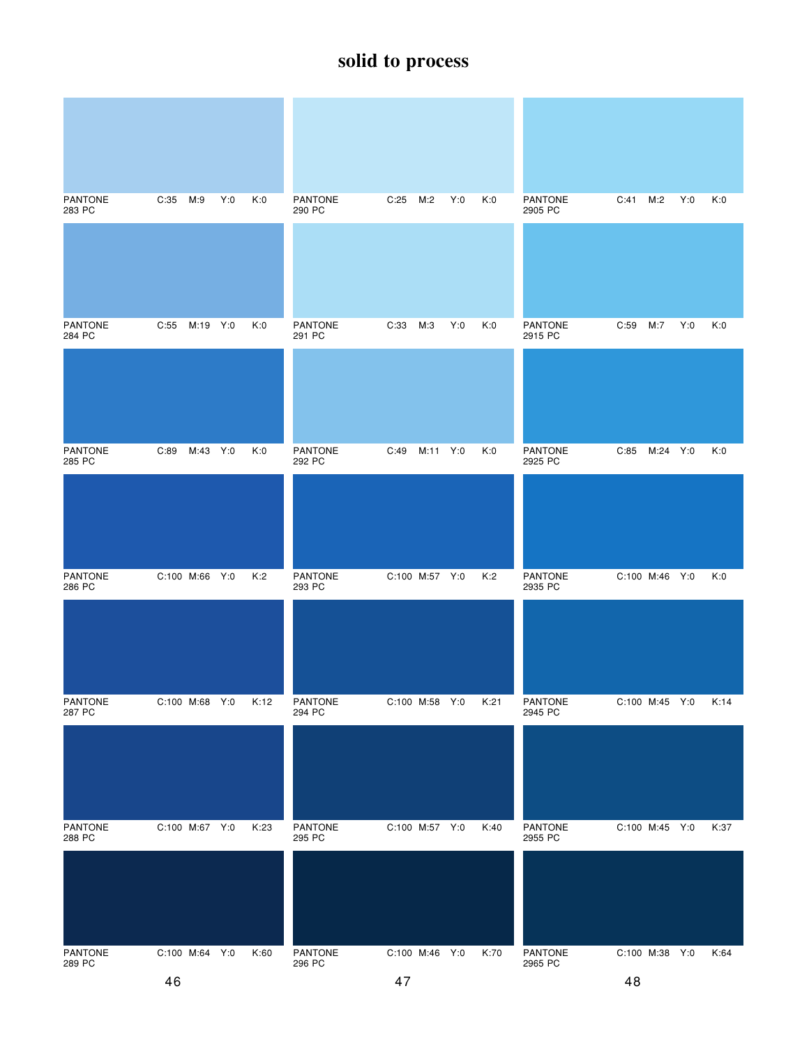| <b>PANTONE</b><br>283 PC | Y:0<br>C:35<br>M:9 | K:0  | <b>PANTONE</b><br>290 PC | C:25<br>M:2<br>Y:0 | K:0  | PANTONE<br>2905 PC        | Y:0<br>C:41<br>M:2 | K:0  |
|--------------------------|--------------------|------|--------------------------|--------------------|------|---------------------------|--------------------|------|
|                          |                    |      |                          |                    |      |                           |                    |      |
| PANTONE<br>284 PC        | C:55 M:19 Y:0      | K:0  | PANTONE<br>291 PC        | C:33<br>M:3<br>Y:0 | K:0  | <b>PANTONE</b><br>2915 PC | C:59<br>M:7<br>Y:0 | K:0  |
|                          |                    |      |                          |                    |      |                           |                    |      |
| <b>PANTONE</b><br>285 PC | M:43 Y:0<br>C:89   | K:0  | <b>PANTONE</b><br>292 PC | C:49<br>M:11 Y:0   | K:0  | <b>PANTONE</b><br>2925 PC | M:24 Y:0<br>C:85   | K:0  |
|                          |                    |      |                          |                    |      |                           |                    |      |
| <b>PANTONE</b><br>286 PC | C:100 M:66 Y:0     | K:2  | <b>PANTONE</b><br>293 PC | C:100 M:57 Y:0     | K:2  | <b>PANTONE</b><br>2935 PC | C:100 M:46 Y:0     | K:0  |
|                          |                    |      |                          |                    |      |                           |                    |      |
| PANTONE<br>287 PC        | C:100 M:68 Y:0     | K:12 | PANTONE<br>294 PC        | C:100 M:58 Y:0     | K:21 | PANTONE<br>2945 PC        | C:100 M:45 Y:0     | K:14 |
|                          |                    |      |                          |                    |      |                           |                    |      |
| <b>PANTONE</b><br>288 PC | C:100 M:67 Y:0     | K:23 | <b>PANTONE</b><br>295 PC | C:100 M:57 Y:0     | K:40 | <b>PANTONE</b><br>2955 PC | C:100 M:45 Y:0     | K:37 |
|                          |                    |      |                          |                    |      |                           |                    |      |
| PANTONE<br>289 PC        | C:100 M:64 Y:0     | K:60 | PANTONE<br>296 PC        | C:100 M:46 Y:0     | K:70 | PANTONE<br>2965 PC        | C:100 M:38 Y:0     | K:64 |
|                          | 46                 |      |                          | 47                 |      |                           | 48                 |      |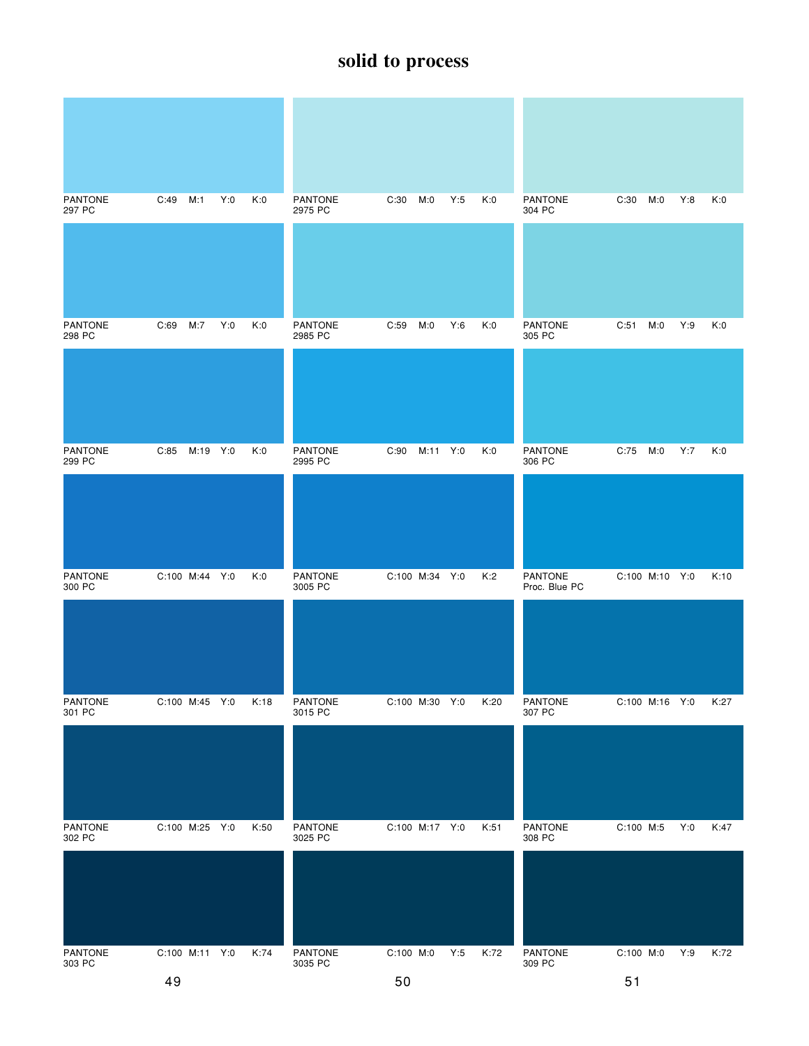| <b>PANTONE</b><br>297 PC | C:49<br>M:1      | Y:0<br>K:0 | PANTONE<br>2975 PC        | C:30<br>Y:5<br>M:0 | K:0  | <b>PANTONE</b><br>304 PC        | M:0<br>C:30    | Y:8<br>K:0  |
|--------------------------|------------------|------------|---------------------------|--------------------|------|---------------------------------|----------------|-------------|
|                          |                  |            |                           |                    |      |                                 |                |             |
| <b>PANTONE</b><br>298 PC | C:69<br>M:7      | Y:0<br>K:0 | PANTONE<br>2985 PC        | Y:6<br>C:59<br>M:0 | K:0  | <b>PANTONE</b><br>305 PC        | C:51<br>M:0    | Y:9<br>K:0  |
|                          |                  |            |                           |                    |      |                                 |                |             |
| <b>PANTONE</b><br>299 PC | C:85<br>M:19 Y:0 | K:0        | <b>PANTONE</b><br>2995 PC | C:90<br>M:11 Y:0   | K:0  | <b>PANTONE</b><br>306 PC        | C:75 M:0       | Y:7<br>K:0  |
|                          |                  |            |                           |                    |      |                                 |                |             |
| <b>PANTONE</b><br>300 PC | C:100 M:44 Y:0   | K:0        | <b>PANTONE</b><br>3005 PC | C:100 M:34 Y:0     | K:2  | <b>PANTONE</b><br>Proc. Blue PC | C:100 M:10 Y:0 | K:10        |
|                          |                  |            |                           |                    |      |                                 |                |             |
| PANTONE<br>301 PC        | C:100 M:45 Y:0   | K:18       | <b>PANTONE</b><br>3015 PC | C:100 M:30 Y:0     | K:20 | PANTONE<br>307 PC               | C:100 M:16 Y:0 | K:27        |
|                          |                  |            |                           |                    |      |                                 |                |             |
| <b>PANTONE</b><br>302 PC | C:100 M:25 Y:0   | K:50       | PANTONE<br>3025 PC        | C:100 M:17 Y:0     | K:51 | PANTONE<br>308 PC               | C:100 M:5      | Y:0<br>K:47 |
|                          |                  |            |                           |                    |      |                                 |                |             |
| PANTONE<br>303 PC        | C:100 M:11 Y:0   | K:74       | PANTONE<br>3035 PC        | C:100 M:0<br>Y:5   | K:72 | PANTONE<br>309 PC               | C:100 M:0      | Y:9<br>K:72 |
|                          | 49               |            |                           | 50                 |      |                                 | 51             |             |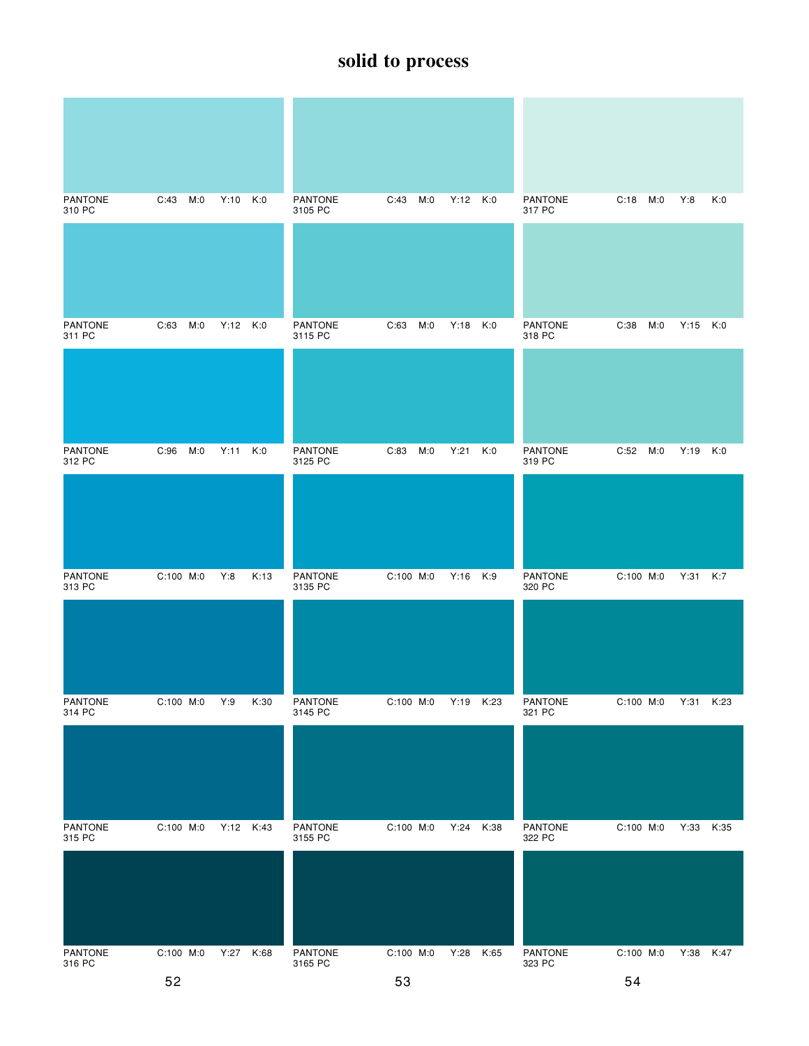| <b>PANTONE</b><br>310 PC | M:0<br>C:43 | Y:10<br>K:0  | <b>PANTONE</b><br>3105 PC | C:43<br>M:0 | Y:12 K:0     | <b>PANTONE</b><br>317 PC | C:18<br>M:0 | Y:8<br>K:0   |
|--------------------------|-------------|--------------|---------------------------|-------------|--------------|--------------------------|-------------|--------------|
|                          |             |              |                           |             |              |                          |             |              |
| <b>PANTONE</b><br>311 PC | C:63<br>M:0 | $Y:12$ $K:0$ | <b>PANTONE</b><br>3115 PC | C:63<br>M:0 | Y:18 K:0     | <b>PANTONE</b><br>318 PC | C:38<br>M:0 | Y:15<br>K:0  |
|                          |             |              |                           |             |              |                          |             |              |
| <b>PANTONE</b><br>312 PC | C:96<br>M:0 | Y:11<br>K:0  | PANTONE<br>3125 PC        | C:83<br>M:0 | Y:21<br>K:0  | <b>PANTONE</b><br>319 PC | C:52<br>M:0 | Y:19 K:0     |
|                          |             |              |                           |             |              |                          |             |              |
| <b>PANTONE</b><br>313 PC | C:100 M:0   | Y:8<br>K:13  | <b>PANTONE</b><br>3135 PC | C:100 M:0   | Y:16 K:9     | <b>PANTONE</b><br>320 PC | C:100 M:0   | Y:31 K:7     |
|                          |             |              |                           |             |              |                          |             |              |
| <b>PANTONE</b><br>314 PC | C:100 M:0   | Y:9<br>K:30  | PANTONE<br>3145 PC        | C:100 M:0   | Y:19 K:23    | PANTONE<br>321 PC        | C:100 M:0   | Y:31<br>K:23 |
|                          |             |              |                           |             |              |                          |             |              |
| <b>PANTONE</b><br>315 PC | C:100 M:0   | Y:12 K:43    | <b>PANTONE</b><br>3155 PC | C:100 M:0   | Y:24<br>K:38 | PANTONE<br>322 PC        | C:100 M:0   | Y:33<br>K:35 |
|                          |             |              |                           |             |              |                          |             |              |
| PANTONE<br>316 PC        | C:100 M:0   | Y:27<br>K:68 | PANTONE<br>3165 PC        | C:100 M:0   | Y:28 K:65    | PANTONE<br>323 PC        | C:100 M:0   | Y:38<br>K:47 |
|                          | 52          |              |                           | 53          |              |                          | 54          |              |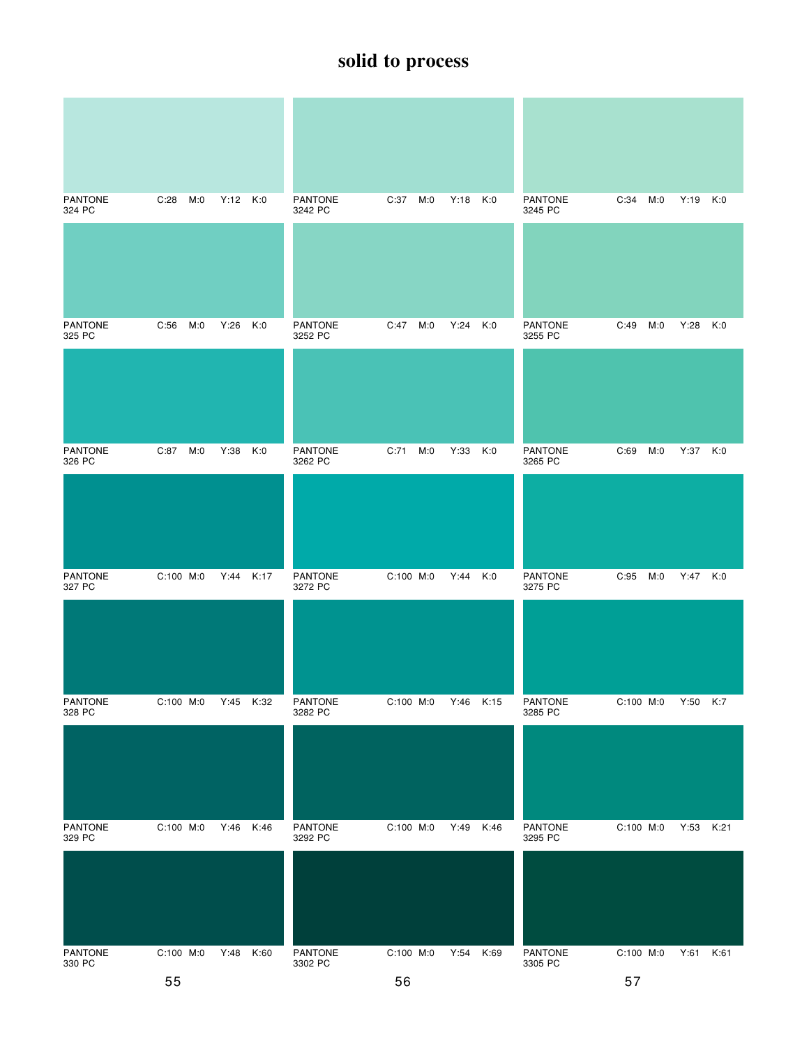| <b>PANTONE</b><br>324 PC | C:28<br>M:0 | Y:12 K:0     | <b>PANTONE</b><br>3242 PC | C:37<br>M:0 | Y:18<br>K:0  | <b>PANTONE</b><br>3245 PC | C:34<br>M:0 | Y:19<br>K:0  |
|--------------------------|-------------|--------------|---------------------------|-------------|--------------|---------------------------|-------------|--------------|
|                          |             |              |                           |             |              |                           |             |              |
|                          |             |              |                           |             |              |                           |             |              |
| <b>PANTONE</b><br>325 PC | C:56<br>M:0 | Y:26<br>K:0  | <b>PANTONE</b><br>3252 PC | C:47<br>M:0 | Y:24<br>K:0  | <b>PANTONE</b><br>3255 PC | M:0<br>C:49 | Y:28<br>K:0  |
|                          |             |              |                           |             |              |                           |             |              |
| <b>PANTONE</b><br>326 PC | C:87<br>M:0 | Y:38<br>K:0  | <b>PANTONE</b><br>3262 PC | C:71<br>M:0 | Y:33<br>K:0  | <b>PANTONE</b><br>3265 PC | C:69<br>M:0 | Y:37 K:0     |
|                          |             |              |                           |             |              |                           |             |              |
| <b>PANTONE</b><br>327 PC | $C:100$ M:0 | Y:44<br>K:17 | PANTONE<br>3272 PC        | C:100 M:0   | Y:44<br>K:0  | <b>PANTONE</b><br>3275 PC | M:0<br>C:95 | Y:47 K:0     |
|                          |             |              |                           |             |              |                           |             |              |
| <b>PANTONE</b><br>328 PC | C:100 M:0   | Y:45<br>K:32 | <b>PANTONE</b><br>3282 PC | C:100 M:0   | Y:46 K:15    | <b>PANTONE</b><br>3285 PC | C:100 M:0   | Y:50 K:7     |
|                          |             |              |                           |             |              |                           |             |              |
| <b>PANTONE</b><br>329 PC | C:100 M:0   | K:46<br>Y:46 | PANTONE<br>3292 PC        | C:100 M:0   | K:46<br>Y:49 | PANTONE<br>3295 PC        | C:100 M:0   | Y:53<br>K:21 |
|                          |             |              |                           |             |              |                           |             |              |
| PANTONE<br>330 PC        | C:100 M:0   | K:60<br>Y:48 | PANTONE<br>3302 PC        | C:100 M:0   | Y:54 K:69    | PANTONE<br>3305 PC        | C:100 M:0   | Y:61 K:61    |
|                          | 55          |              |                           | 56          |              |                           | 57          |              |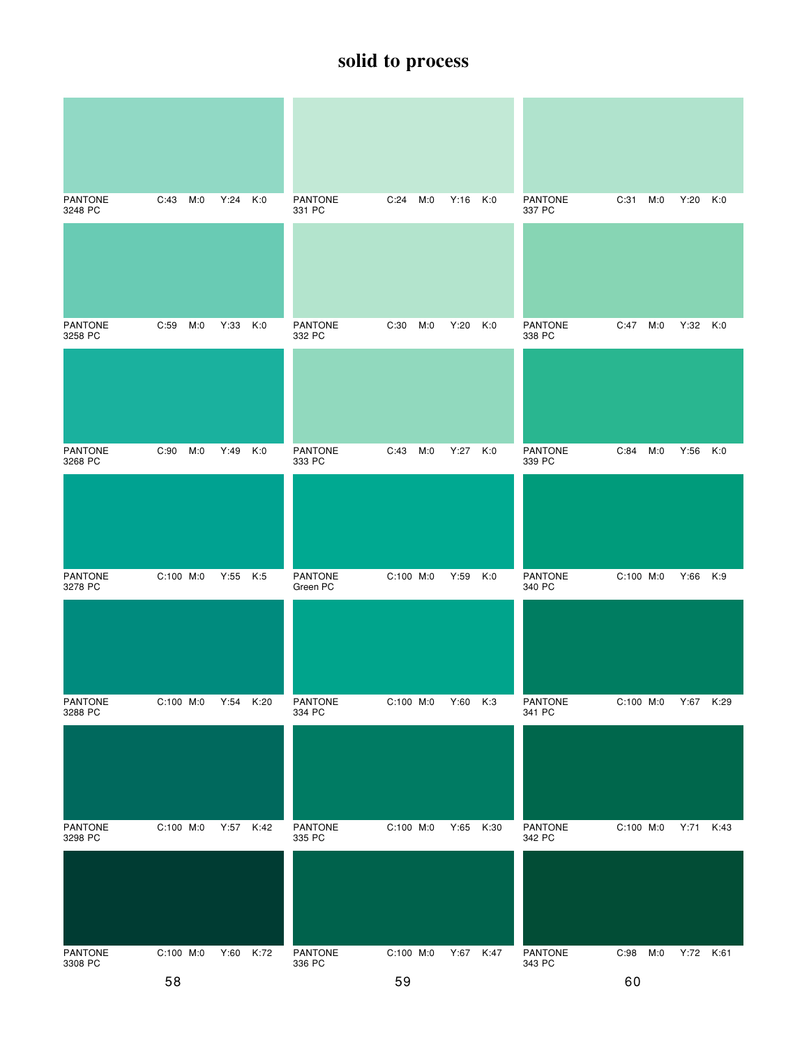| <b>PANTONE</b><br>3248 PC | C:43<br>M:0 | Y:24 | K:0  | <b>PANTONE</b><br>331 PC | C:24<br>M:0 | Y:16<br>K:0 | PANTONE<br>337 PC        | C:31<br>M:0 | Y:20<br>K:0 |
|---------------------------|-------------|------|------|--------------------------|-------------|-------------|--------------------------|-------------|-------------|
|                           |             |      |      |                          |             |             |                          |             |             |
| <b>PANTONE</b><br>3258 PC | C:59<br>M:0 | Y:33 | K:0  | PANTONE<br>332 PC        | C:30<br>M:0 | Y:20<br>K:0 | <b>PANTONE</b><br>338 PC | C:47<br>M:0 | Y:32 K:0    |
|                           |             |      |      |                          |             |             |                          |             |             |
| <b>PANTONE</b><br>3268 PC | C:90<br>M:0 | Y:49 | K:0  | <b>PANTONE</b><br>333 PC | C:43<br>M:0 | K:0<br>Y:27 | <b>PANTONE</b><br>339 PC | C:84<br>M:0 | Y:56 K:0    |
|                           |             |      |      |                          |             |             |                          |             |             |
| <b>PANTONE</b><br>3278 PC | C:100 M:0   | Y:55 | K:5  | PANTONE<br>Green PC      | C:100 M:0   | K:0<br>Y:59 | <b>PANTONE</b><br>340 PC | C:100 M:0   | Y:66 K:9    |
|                           |             |      |      |                          |             |             |                          |             |             |
| PANTONE<br>3288 PC        | C:100 M:0   | Y:54 | K:20 | PANTONE<br>334 PC        | C:100 M:0   | Y:60 K:3    | PANTONE<br>341 PC        | C:100 M:0   | Y:67 K:29   |
|                           |             |      |      |                          |             |             |                          |             |             |
| <b>PANTONE</b><br>3298 PC | $C:100$ M:0 | Y:57 | K:42 | <b>PANTONE</b><br>335 PC | C:100 M:0   | Y:65 K:30   | <b>PANTONE</b><br>342 PC | C:100 M:0   | Y:71 K:43   |
|                           |             |      |      |                          |             |             |                          |             |             |
| PANTONE<br>3308 PC        | C:100 M:0   | Y:60 | K:72 | PANTONE<br>336 PC        | C:100 M:0   | Y:67 K:47   | PANTONE<br>343 PC        | C:98<br>M:0 | Y:72 K:61   |
|                           |             |      |      |                          |             |             |                          |             |             |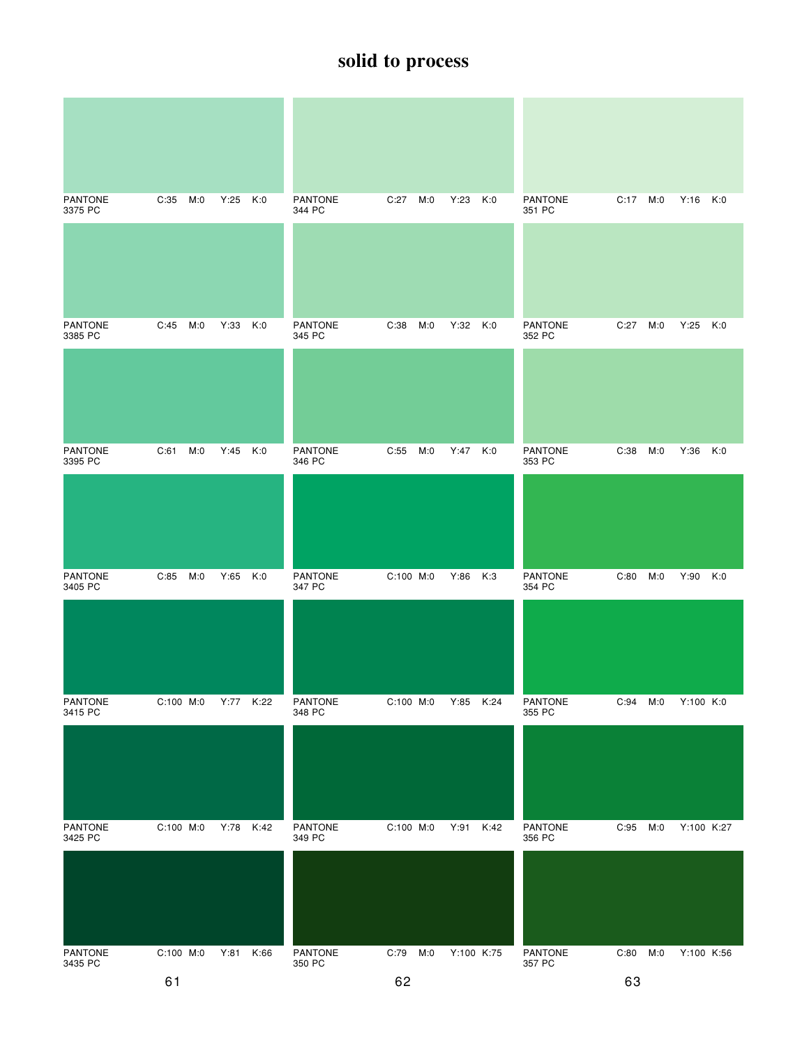| <b>PANTONE</b><br>3375 PC | C:35<br>M:0 | Y:25<br>K:0  | <b>PANTONE</b><br>344 PC | C:27<br>M:0 | Y:23<br>K:0  | PANTONE<br>351 PC        | C:17 M:0    | $Y:16$ $K:0$ |
|---------------------------|-------------|--------------|--------------------------|-------------|--------------|--------------------------|-------------|--------------|
|                           |             |              |                          |             |              |                          |             |              |
|                           |             |              |                          |             |              |                          |             |              |
| <b>PANTONE</b><br>3385 PC | C:45<br>M:0 | Y:33<br>K:0  | <b>PANTONE</b><br>345 PC | C:38<br>M:0 | Y:32<br>K:0  | <b>PANTONE</b><br>352 PC | M:0<br>C:27 | Y:25<br>K:0  |
|                           |             |              |                          |             |              |                          |             |              |
| <b>PANTONE</b><br>3395 PC | C:61<br>M:0 | Y:45<br>K:0  | <b>PANTONE</b><br>346 PC | C:55<br>M:0 | Y:47 K:0     | <b>PANTONE</b><br>353 PC | C:38<br>M:0 | Y:36<br>K:0  |
|                           |             |              |                          |             |              |                          |             |              |
| <b>PANTONE</b><br>3405 PC | C:85<br>M:0 | Y:65<br>K:0  | <b>PANTONE</b><br>347 PC | C:100 M:0   | Y:86<br>K:3  | <b>PANTONE</b><br>354 PC | C:80<br>M:0 | Y:90<br>K:0  |
|                           |             |              |                          |             |              |                          |             |              |
| <b>PANTONE</b><br>3415 PC | C:100 M:0   | Y:77<br>K:22 | <b>PANTONE</b><br>348 PC | C:100 M:0   | Y:85<br>K:24 | <b>PANTONE</b><br>355 PC | C:94<br>M:0 | Y:100 K:0    |
|                           |             |              |                          |             |              |                          |             |              |
| <b>PANTONE</b><br>3425 PC | C:100 M:0   | Y:78<br>K:42 | PANTONE<br>349 PC        | C:100 M:0   | Y:91<br>K:42 | PANTONE<br>356 PC        | C:95<br>M:0 | Y:100 K:27   |
|                           |             |              |                          |             |              |                          |             |              |
| PANTONE<br>3435 PC        | C:100 M:0   | Y:81<br>K:66 | PANTONE<br>350 PC        | C:79<br>M:0 | Y:100 K:75   | PANTONE<br>357 PC        | C:80<br>M:0 | Y:100 K:56   |
|                           | 61          |              |                          | 62          |              |                          | 63          |              |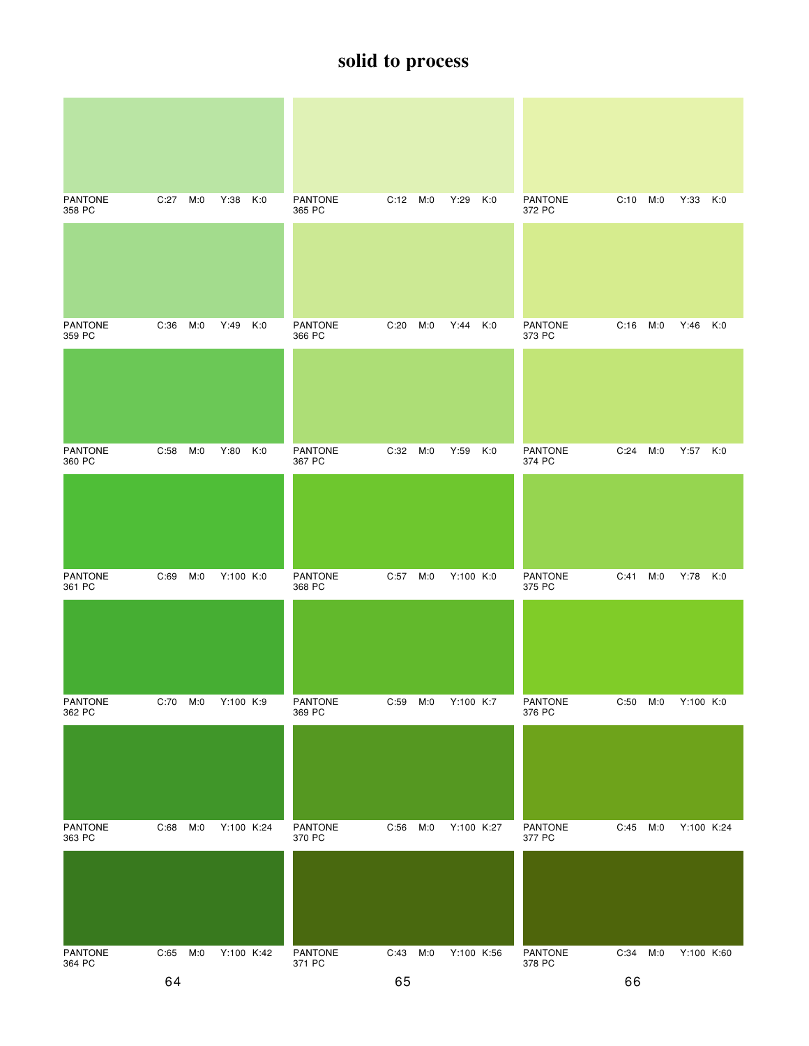| <b>PANTONE</b><br>358 PC | C:27     | M:0 | Y:38       | K:0 | <b>PANTONE</b><br>365 PC | C:12 M:0 |     | Y:29       | K:0 | <b>PANTONE</b><br>372 PC | C:10 | M:0 | Y:33 K:0   |     |
|--------------------------|----------|-----|------------|-----|--------------------------|----------|-----|------------|-----|--------------------------|------|-----|------------|-----|
|                          |          |     |            |     |                          |          |     |            |     |                          |      |     |            |     |
|                          |          |     |            |     |                          |          |     |            |     |                          |      |     |            |     |
| <b>PANTONE</b><br>359 PC | C:36     | M:0 | Y:49       | K:0 | <b>PANTONE</b><br>366 PC | C:20     | M:0 | Y:44       | K:0 | <b>PANTONE</b><br>373 PC | C:16 | M:0 | Y:46       | K:0 |
|                          |          |     |            |     |                          |          |     |            |     |                          |      |     |            |     |
|                          |          |     |            |     |                          |          |     |            |     |                          |      |     |            |     |
|                          |          |     |            |     |                          |          |     |            |     |                          |      |     |            |     |
| <b>PANTONE</b><br>360 PC | C:58     | M:0 | Y:80       | K:0 | <b>PANTONE</b><br>367 PC | C:32     | M:0 | Y:59       | K:0 | <b>PANTONE</b><br>374 PC | C:24 | M:0 | Y:57 K:0   |     |
|                          |          |     |            |     |                          |          |     |            |     |                          |      |     |            |     |
|                          |          |     |            |     |                          |          |     |            |     |                          |      |     |            |     |
|                          |          |     |            |     |                          |          |     |            |     |                          |      |     |            |     |
| <b>PANTONE</b><br>361 PC | C:69     | M:0 | Y:100 K:0  |     | PANTONE<br>368 PC        | C:57     | M:0 | Y:100 K:0  |     | PANTONE<br>375 PC        | C:41 | M:0 | Y:78       | K:0 |
|                          |          |     |            |     |                          |          |     |            |     |                          |      |     |            |     |
|                          |          |     |            |     |                          |          |     |            |     |                          |      |     |            |     |
|                          |          |     |            |     |                          |          |     |            |     |                          |      |     |            |     |
| PANTONE<br>362 PC        | C:70 M:0 |     | Y:100 K:9  |     | <b>PANTONE</b><br>369 PC | C:59     | M:0 | Y:100 K:7  |     | PANTONE<br>376 PC        | C:50 | M:0 | Y:100 K:0  |     |
|                          |          |     |            |     |                          |          |     |            |     |                          |      |     |            |     |
|                          |          |     |            |     |                          |          |     |            |     |                          |      |     |            |     |
| <b>PANTONE</b>           | C:68     | M:0 | Y:100 K:24 |     | PANTONE                  | C:56     | M:0 | Y:100 K:27 |     | PANTONE                  | C:45 | M:0 | Y:100 K:24 |     |
| 363 PC                   |          |     |            |     | 370 PC                   |          |     |            |     | 377 PC                   |      |     |            |     |
|                          |          |     |            |     |                          |          |     |            |     |                          |      |     |            |     |
|                          |          |     |            |     |                          |          |     |            |     |                          |      |     |            |     |
| PANTONE<br>364 PC        | C:65 M:0 |     | Y:100 K:42 |     | PANTONE<br>371 PC        | C:43     | M:0 | Y:100 K:56 |     | PANTONE<br>378 PC        | C:34 | M:0 | Y:100 K:60 |     |
|                          | 64       |     |            |     |                          | 65       |     |            |     |                          | 66   |     |            |     |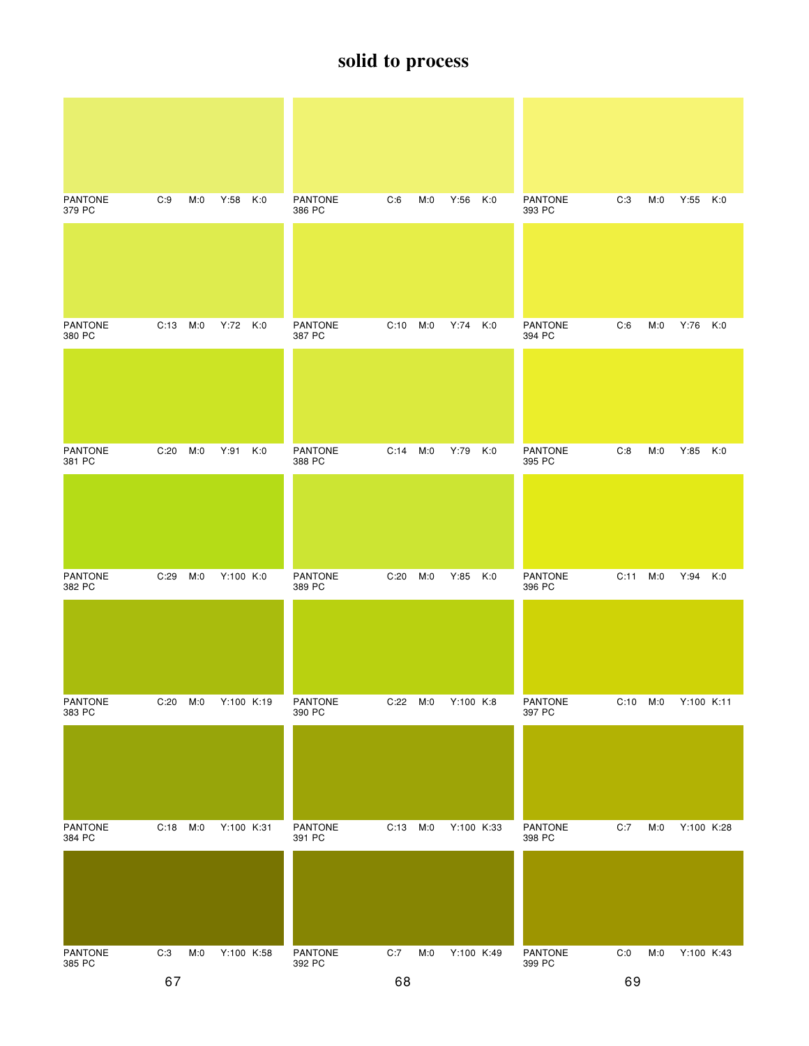| <b>PANTONE</b><br>379 PC | C:9          | M:0 | Y:58       | K:0 | <b>PANTONE</b><br>386 PC | C:6      | M:0 | $Y:56$ $K:0$ |     | <b>PANTONE</b><br>393 PC | C:3      | M:0 | Y:55 K:0   |  |
|--------------------------|--------------|-----|------------|-----|--------------------------|----------|-----|--------------|-----|--------------------------|----------|-----|------------|--|
|                          |              |     |            |     |                          |          |     |              |     |                          |          |     |            |  |
| <b>PANTONE</b><br>380 PC | $C:13$ $M:0$ |     | Y:72 K:0   |     | <b>PANTONE</b><br>387 PC | C:10 M:0 |     | Y:74 K:0     |     | <b>PANTONE</b><br>394 PC | C:6      | M:0 | Y:76 K:0   |  |
|                          |              |     |            |     |                          |          |     |              |     |                          |          |     |            |  |
| <b>PANTONE</b><br>381 PC | C:20         | M:0 | Y:91       | K:0 | <b>PANTONE</b><br>388 PC | C:14     | M:0 | Y:79 K:0     |     | <b>PANTONE</b><br>395 PC | C:8      | M:0 | Y:85 K:0   |  |
|                          |              |     |            |     |                          |          |     |              |     |                          |          |     |            |  |
| <b>PANTONE</b><br>382 PC | C:29         | M:0 | Y:100 K:0  |     | <b>PANTONE</b><br>389 PC | C:20     | M:0 | Y:85         | K:0 | <b>PANTONE</b><br>396 PC | C:11     | M:0 | Y:94 K:0   |  |
|                          |              |     |            |     |                          |          |     |              |     |                          |          |     |            |  |
| PANTONE<br>383 PC        | C:20         | M:0 | Y:100 K:19 |     | PANTONE<br>390 PC        | C:22     | M:0 | Y:100 K:8    |     | PANTONE<br>397 PC        | C:10 M:0 |     | Y:100 K:11 |  |
|                          |              |     |            |     |                          |          |     |              |     |                          |          |     |            |  |
| <b>PANTONE</b><br>384 PC | C:18 M:0     |     | Y:100 K:31 |     | PANTONE<br>391 PC        | C:13 M:0 |     | Y:100 K:33   |     | PANTONE<br>398 PC        | C:7      | M:0 | Y:100 K:28 |  |
|                          |              |     |            |     |                          |          |     |              |     |                          |          |     |            |  |
| PANTONE<br>385 PC        | C:3          | M:0 | Y:100 K:58 |     | PANTONE<br>392 PC        | C:7      | M:0 | Y:100 K:49   |     | PANTONE<br>399 PC        | C:0      | M:0 | Y:100 K:43 |  |
|                          | 67           |     |            |     |                          | 68       |     |              |     |                          | 69       |     |            |  |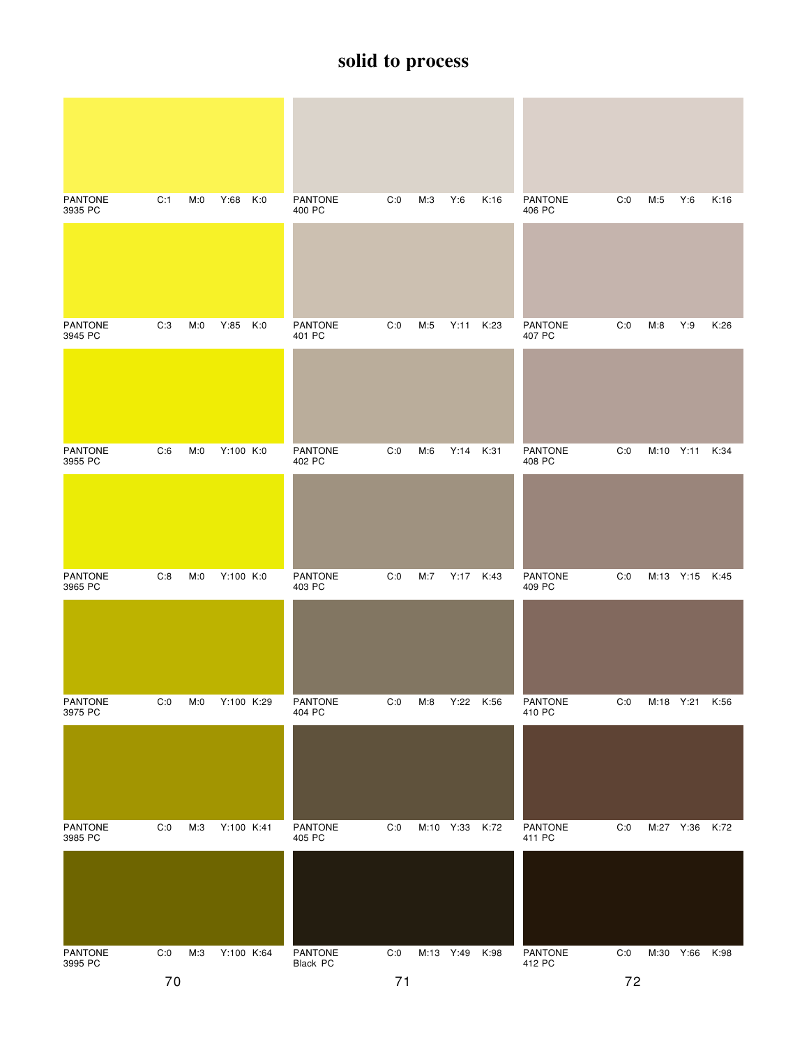| <b>PANTONE</b><br>3935 PC | C:1 | M:0 | Y:68 K:0   | <b>PANTONE</b><br>400 PC | C:0 | M:3 | Y:6            | K:16 | <b>PANTONE</b><br>406 PC | C:0 | M:5       | Y:6            | K:16 |
|---------------------------|-----|-----|------------|--------------------------|-----|-----|----------------|------|--------------------------|-----|-----------|----------------|------|
|                           |     |     |            |                          |     |     |                |      |                          |     |           |                |      |
| <b>PANTONE</b><br>3945 PC | C:3 | M:0 | Y:85 K:0   | <b>PANTONE</b><br>401 PC | C:0 | M:5 | Y:11           | K:23 | <b>PANTONE</b><br>407 PC | C:0 | M:8       | Y:9            | K:26 |
|                           |     |     |            |                          |     |     |                |      |                          |     |           |                |      |
| <b>PANTONE</b><br>3955 PC | C:6 | M:0 | Y:100 K:0  | <b>PANTONE</b><br>402 PC | C:0 | M:6 | Y:14 K:31      |      | <b>PANTONE</b><br>408 PC | C:0 |           | M:10 Y:11 K:34 |      |
|                           |     |     |            |                          |     |     |                |      |                          |     |           |                |      |
| <b>PANTONE</b><br>3965 PC | C:8 | M:0 | Y:100 K:0  | <b>PANTONE</b><br>403 PC | C:0 | M:7 | Y:17 K:43      |      | <b>PANTONE</b><br>409 PC | C:0 |           | M:13 Y:15 K:45 |      |
|                           |     |     |            |                          |     |     |                |      |                          |     |           |                |      |
| PANTONE<br>3975 PC        | C:0 | M:0 | Y:100 K:29 | <b>PANTONE</b><br>404 PC | C:0 | M:8 | Y:22 K:56      |      | <b>PANTONE</b><br>410 PC | C:0 | M:18 Y:21 |                | K:56 |
|                           |     |     |            |                          |     |     |                |      |                          |     |           |                |      |
| <b>PANTONE</b><br>3985 PC | C:0 | M:3 | Y:100 K:41 | PANTONE<br>405 PC        | C:0 |     | M:10 Y:33      | K:72 | PANTONE<br>411 PC        | C:0 |           | M:27 Y:36      | K:72 |
|                           |     |     |            |                          |     |     |                |      |                          |     |           |                |      |
| PANTONE<br>3995 PC        | C:0 | M:3 | Y:100 K:64 | PANTONE<br>Black PC      | C:0 |     | M:13 Y:49 K:98 |      | PANTONE<br>412 PC        | C:0 |           | M:30 Y:66 K:98 |      |
|                           | 70  |     |            |                          | 71  |     |                |      |                          | 72  |           |                |      |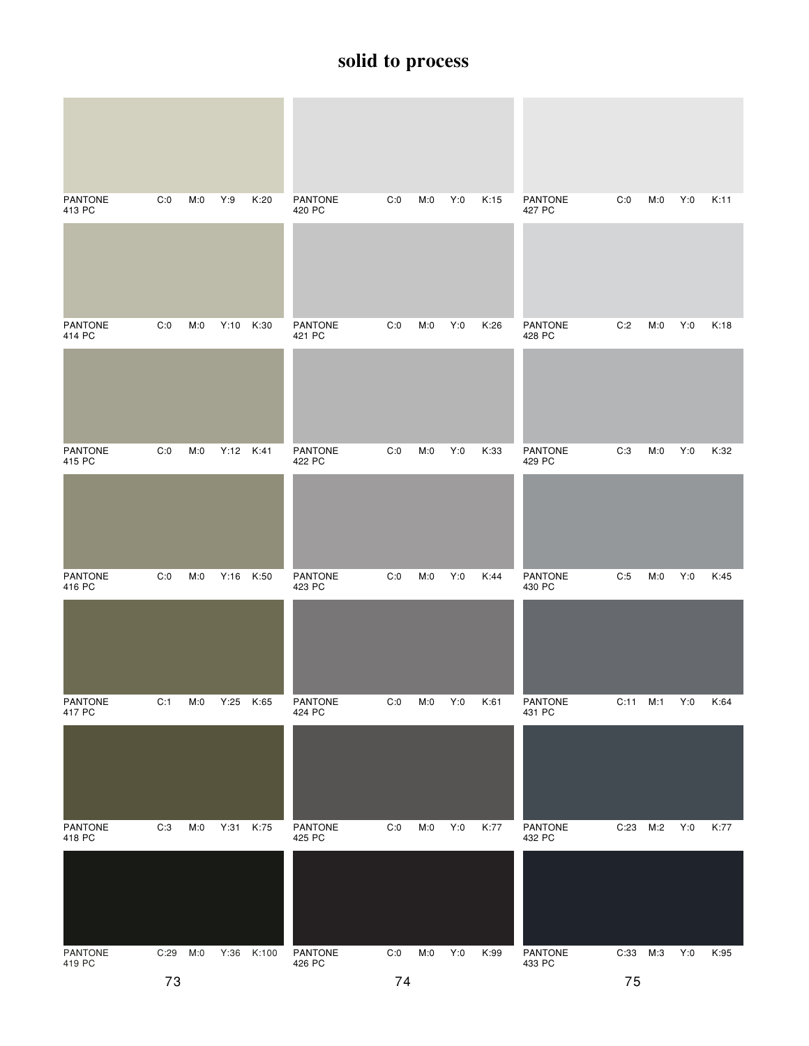| <b>PANTONE</b><br>413 PC | C:0  | M:0 | Y:9       | K:20  | <b>PANTONE</b><br>420 PC | C:0 | M:0 | Y:0 | K:15 | <b>PANTONE</b><br>427 PC | C:0      | M:0 | Y:0 | K:11 |
|--------------------------|------|-----|-----------|-------|--------------------------|-----|-----|-----|------|--------------------------|----------|-----|-----|------|
| <b>PANTONE</b><br>414 PC | C:0  | M:0 | Y:10      | K:30  | PANTONE<br>421 PC        | C:0 | M:0 | Y:0 | K:26 | <b>PANTONE</b><br>428 PC | C:2      | M:0 | Y:0 | K:18 |
|                          |      |     |           |       |                          |     |     |     |      |                          |          |     |     |      |
| <b>PANTONE</b><br>415 PC | C:0  | M:0 | Y:12 K:41 |       | <b>PANTONE</b><br>422 PC | C:0 | M:0 | Y:0 | K:33 | <b>PANTONE</b><br>429 PC | C:3      | M:0 | Y:0 | K:32 |
|                          |      |     |           |       |                          |     |     |     |      |                          |          |     |     |      |
| <b>PANTONE</b><br>416 PC | C:0  | M:0 | Y:16      | K:50  | PANTONE<br>423 PC        | C:0 | M:0 | Y:0 | K:44 | <b>PANTONE</b><br>430 PC | C:5      | M:0 | Y:0 | K:45 |
|                          |      |     |           |       |                          |     |     |     |      |                          |          |     |     |      |
| PANTONE<br>417 PC        | C:1  | M:0 | Y:25      | K:65  | PANTONE<br>424 PC        | C:0 | M:0 | Y:0 | K:61 | <b>PANTONE</b><br>431 PC | C:11     | M:1 | Y:0 | K:64 |
|                          |      |     |           |       |                          |     |     |     |      |                          |          |     |     |      |
| <b>PANTONE</b><br>418 PC | C:3  | M:0 | Y:31      | K:75  | PANTONE<br>425 PC        | C:0 | M:0 | Y:0 | K:77 | PANTONE<br>432 PC        | C:23     | M:2 | Y:0 | K:77 |
|                          |      |     |           |       |                          |     |     |     |      |                          |          |     |     |      |
| PANTONE<br>419 PC        | C:29 | M:0 | Y:36      | K:100 | PANTONE<br>426 PC        | C:0 | M:0 | Y:0 | K:99 | PANTONE<br>433 PC        | C:33 M:3 |     | Y:0 | K:95 |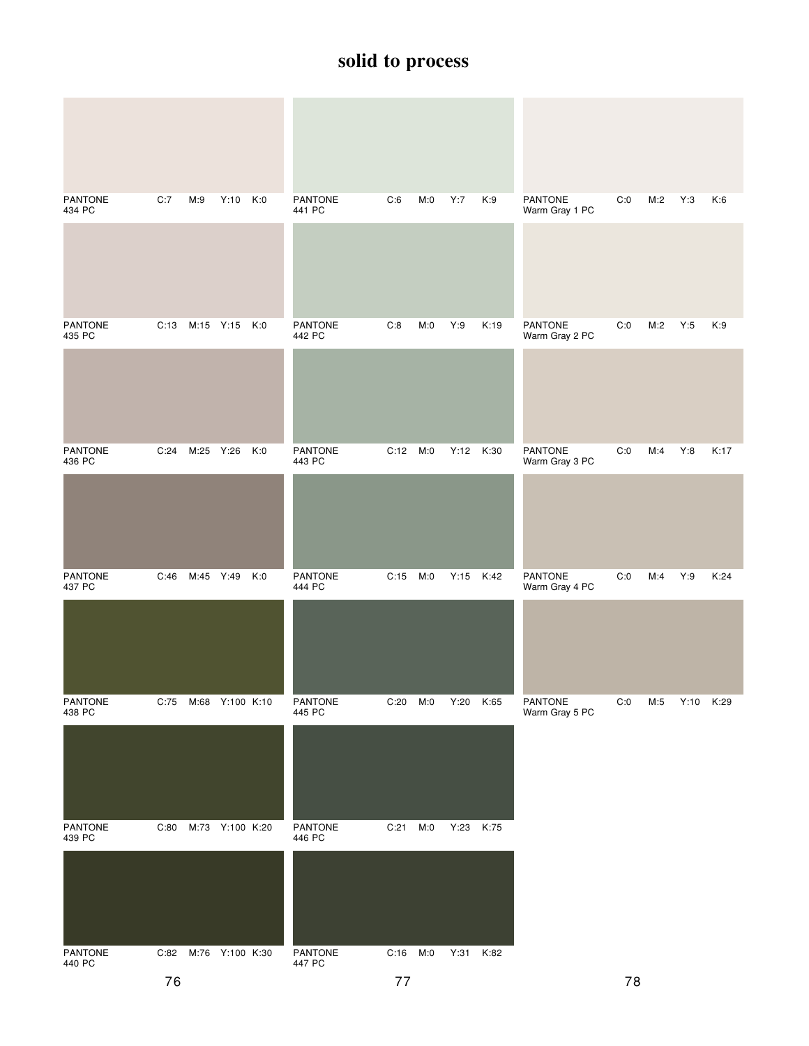| PANTONE<br>434 PC | C:7  | M:9                  | Y:10 K:0        |     | PANTONE<br>441 PC        | C:6      | M:0 | Y:7       | K:9  | PANTONE<br>Warm Gray 1 PC        | C:0 | M:2 | Y:3       | K:6  |
|-------------------|------|----------------------|-----------------|-----|--------------------------|----------|-----|-----------|------|----------------------------------|-----|-----|-----------|------|
|                   |      |                      |                 |     |                          |          |     |           |      |                                  |     |     |           |      |
| PANTONE<br>435 PC |      | C:13 M:15 Y:15 K:0   |                 |     | <b>PANTONE</b><br>442 PC | C:8      | M:0 | Y:9       | K:19 | PANTONE<br>Warm Gray 2 PC        | C:0 | M:2 | Y:5       | K:9  |
|                   |      |                      |                 |     |                          |          |     |           |      |                                  |     |     |           |      |
| PANTONE<br>436 PC | C:24 | M:25                 | Y:26            | K:0 | PANTONE<br>443 PC        | C:12     | M:0 | Y:12 K:30 |      | <b>PANTONE</b><br>Warm Gray 3 PC | C:0 | M:4 | Y:8       | K:17 |
|                   |      |                      |                 |     |                          |          |     |           |      |                                  |     |     |           |      |
| PANTONE<br>437 PC | C:46 | M:45 Y:49            |                 | K:0 | <b>PANTONE</b><br>444 PC | C:15 M:0 |     | Y:15 K:42 |      | PANTONE<br>Warm Gray 4 PC        | C:0 | M:4 | Y:9       | K:24 |
|                   |      |                      |                 |     |                          |          |     |           |      |                                  |     |     |           |      |
| PANTONE<br>438 PC | C:75 | M:68 Y:100 K:10      |                 |     | PANTONE<br>445 PC        | C:20     | M:0 | Y:20      | K:65 | PANTONE<br>Warm Gray 5 PC        | C:0 | M:5 | Y:10 K:29 |      |
|                   |      |                      |                 |     |                          |          |     |           |      |                                  |     |     |           |      |
| PANTONE<br>439 PC | C:80 |                      | M:73 Y:100 K:20 |     | PANTONE<br>446 PC        | C:21     | M:0 | Y:23      | K:75 |                                  |     |     |           |      |
|                   |      |                      |                 |     |                          |          |     |           |      |                                  |     |     |           |      |
| PANTONE<br>440 PC |      | C:82 M:76 Y:100 K:30 |                 |     | PANTONE<br>447 PC        | C:16     | M:0 | Y:31 K:82 |      |                                  |     |     |           |      |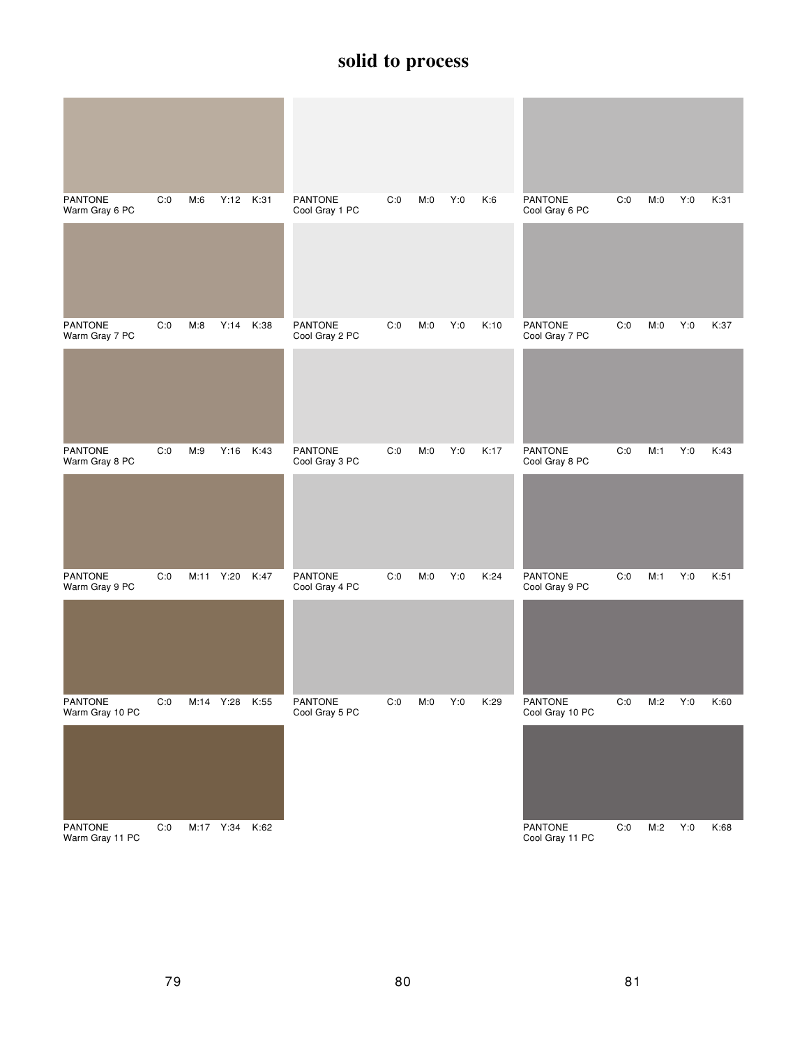| <b>PANTONE</b><br>Warm Gray 6 PC | C:0 | M:6  |           | Y:12 K:31 | <b>PANTONE</b><br>Cool Gray 1 PC | C:0 | M:0 | Y:0 | K:6  | <b>PANTONE</b><br>Cool Gray 6 PC | C:0 | M:0 | Y:0 | K:31 |
|----------------------------------|-----|------|-----------|-----------|----------------------------------|-----|-----|-----|------|----------------------------------|-----|-----|-----|------|
|                                  |     |      |           |           |                                  |     |     |     |      |                                  |     |     |     |      |
| <b>PANTONE</b><br>Warm Gray 7 PC | C:0 | M:8  | Y:14      | K:38      | PANTONE<br>Cool Gray 2 PC        | C:0 | M:0 | Y:0 | K:10 | <b>PANTONE</b><br>Cool Gray 7 PC | C:0 | M:0 | Y:0 | K:37 |
|                                  |     |      |           |           |                                  |     |     |     |      |                                  |     |     |     |      |
| PANTONE<br>Warm Gray 8 PC        | C:0 | M:9  | Y:16      | K:43      | PANTONE<br>Cool Gray 3 PC        | C:0 | M:0 | Y:0 | K:17 | PANTONE<br>Cool Gray 8 PC        | C:0 | M:1 | Y:0 | K:43 |
|                                  |     |      |           |           |                                  |     |     |     |      |                                  |     |     |     |      |
| <b>PANTONE</b><br>Warm Gray 9 PC | C:0 | M:11 | Y:20      | K:47      | <b>PANTONE</b><br>Cool Gray 4 PC | C:0 | M:0 | Y:0 | K:24 | <b>PANTONE</b><br>Cool Gray 9 PC | C:0 | M:1 | Y:0 | K:51 |
|                                  |     |      |           |           |                                  |     |     |     |      |                                  |     |     |     |      |
| PANTONE<br>Warm Gray 10 PC       | C:0 |      | M:14 Y:28 | K:55      | PANTONE<br>Cool Gray 5 PC        | C:0 | M:0 | Y:0 | K:29 | PANTONE<br>Cool Gray 10 PC       | C:0 | M:2 | Y:0 | K:60 |
|                                  |     |      |           |           |                                  |     |     |     |      |                                  |     |     |     |      |
| PANTONE<br>Warm Gray 11 PC       | C:0 |      | M:17 Y:34 | K:62      |                                  |     |     |     |      | PANTONE<br>Cool Gray 11 PC       | C:0 | M:2 | Y:0 | K:68 |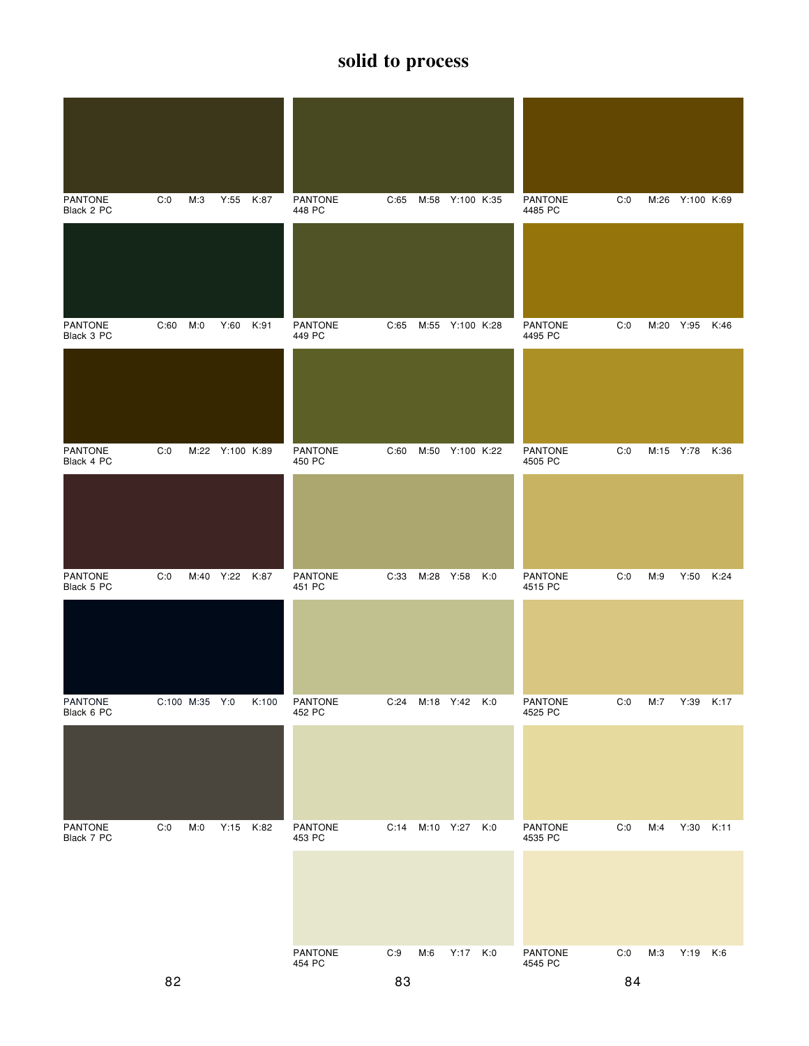| <b>PANTONE</b><br>Black 2 PC | C:0  | M:3            | Y:55            | K:87  | <b>PANTONE</b><br>448 PC | C:65 | M:58      | Y:100 K:35      |     | <b>PANTONE</b><br>4485 PC | C:0 |           | M:26 Y:100 K:69 |      |
|------------------------------|------|----------------|-----------------|-------|--------------------------|------|-----------|-----------------|-----|---------------------------|-----|-----------|-----------------|------|
|                              |      |                |                 |       |                          |      |           |                 |     |                           |     |           |                 |      |
| <b>PANTONE</b><br>Black 3 PC | C:60 | M:0            | Y:60 K:91       |       | <b>PANTONE</b><br>449 PC | C:65 |           | M:55 Y:100 K:28 |     | <b>PANTONE</b><br>4495 PC | C:0 |           | M:20 Y:95 K:46  |      |
|                              |      |                |                 |       |                          |      |           |                 |     |                           |     |           |                 |      |
| <b>PANTONE</b><br>Black 4 PC | C:0  |                | M:22 Y:100 K:89 |       | PANTONE<br>450 PC        | C:60 | M:50      | Y:100 K:22      |     | <b>PANTONE</b><br>4505 PC | C:0 | M:15 Y:78 |                 | K:36 |
|                              |      |                |                 |       |                          |      |           |                 |     |                           |     |           |                 |      |
| PANTONE<br>Black 5 PC        | C:0  | M:40 Y:22      |                 | K:87  | <b>PANTONE</b><br>451 PC | C:33 | M:28 Y:58 |                 | K:0 | <b>PANTONE</b><br>4515 PC | C:0 | M:9       | Y:50            | K:24 |
|                              |      |                |                 |       |                          |      |           |                 |     |                           |     |           |                 |      |
| PANTONE<br>Black 6 PC        |      | C:100 M:35 Y:0 |                 | K:100 | <b>PANTONE</b><br>452 PC | C:24 |           | M:18 Y:42 K:0   |     | PANTONE<br>4525 PC        | C:0 | M:7       | Y:39            | K:17 |
|                              |      |                |                 |       |                          |      |           |                 |     |                           |     |           |                 |      |
| <b>PANTONE</b><br>Black 7 PC | C:0  | M:0            | Y:15            | K:82  | PANTONE<br>453 PC        | C:14 |           | M:10 Y:27       | K:0 | PANTONE<br>4535 PC        | C:0 | M:4       | Y:30            | K:11 |
|                              |      |                |                 |       |                          |      |           |                 |     |                           |     |           |                 |      |
|                              |      |                |                 |       | PANTONE<br>454 PC        | C:9  | M:6       | Y:17 K:0        |     | PANTONE<br>4545 PC        | C:0 | M:3       | Y:19 K:6        |      |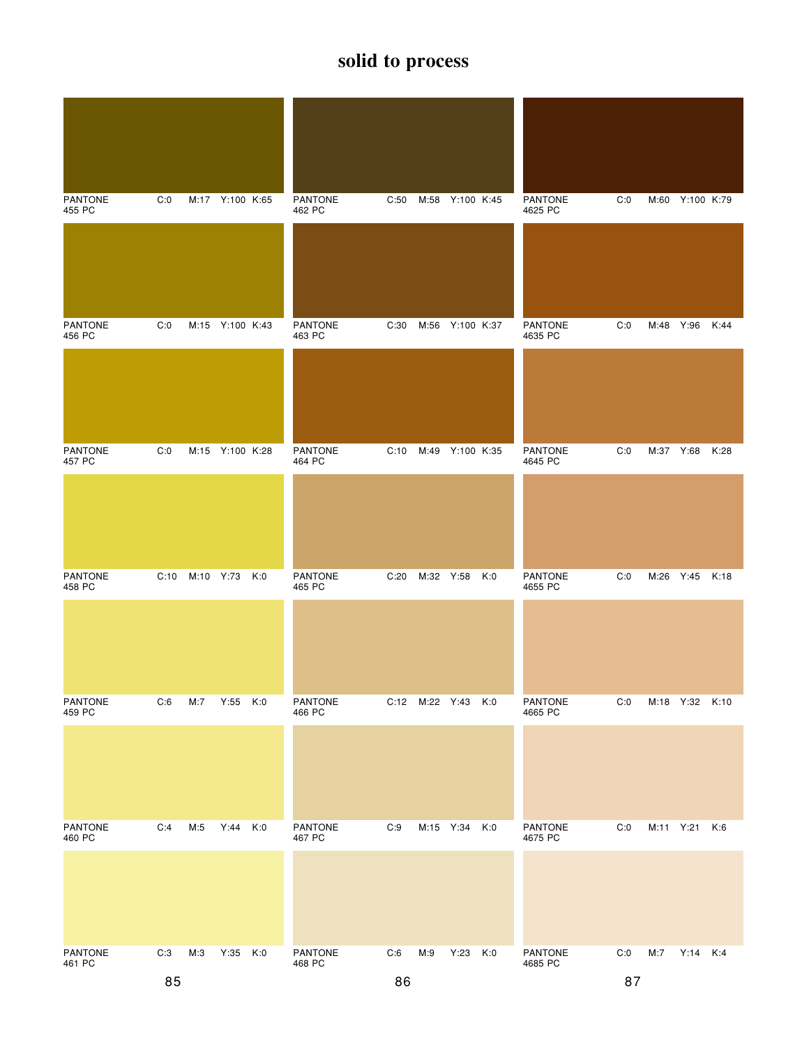| <b>PANTONE</b><br>455 PC | C:0  |           | M:17 Y:100 K:65 |     | PANTONE<br>462 PC        | C:50 |      | M:58 Y:100 K:45    | <b>PANTONE</b><br>4625 PC | C:0 |           | M:60 Y:100 K:79 |      |
|--------------------------|------|-----------|-----------------|-----|--------------------------|------|------|--------------------|---------------------------|-----|-----------|-----------------|------|
|                          |      |           |                 |     |                          |      |      |                    |                           |     |           |                 |      |
| <b>PANTONE</b><br>456 PC | C:0  |           | M:15 Y:100 K:43 |     | <b>PANTONE</b><br>463 PC | C:30 | M:56 | Y:100 K:37         | <b>PANTONE</b><br>4635 PC | C:0 |           | M:48 Y:96       | K:44 |
|                          |      |           |                 |     |                          |      |      |                    |                           |     |           |                 |      |
| <b>PANTONE</b><br>457 PC | C:0  |           | M:15 Y:100 K:28 |     | <b>PANTONE</b><br>464 PC | C:10 | M:49 | Y:100 K:35         | <b>PANTONE</b><br>4645 PC | C:0 | M:37 Y:68 |                 | K:28 |
|                          |      |           |                 |     |                          |      |      |                    |                           |     |           |                 |      |
| <b>PANTONE</b><br>458 PC | C:10 | M:10 Y:73 |                 | K:0 | PANTONE<br>465 PC        | C:20 |      | M:32 Y:58 K:0      | <b>PANTONE</b><br>4655 PC | C:0 |           | M:26 Y:45 K:18  |      |
|                          |      |           |                 |     |                          |      |      |                    |                           |     |           |                 |      |
| PANTONE<br>459 PC        | C:6  | M:7       | $Y:55$ $K:0$    |     | <b>PANTONE</b><br>466 PC |      |      | C:12 M:22 Y:43 K:0 | <b>PANTONE</b><br>4665 PC | C:0 |           | M:18 Y:32 K:10  |      |
|                          |      |           |                 |     |                          |      |      |                    |                           |     |           |                 |      |
| <b>PANTONE</b><br>460 PC | C:4  | M:5       | Y:44 K:0        |     | <b>PANTONE</b><br>467 PC | C:9  |      | M:15 Y:34 K:0      | <b>PANTONE</b><br>4675 PC | C:0 | M:11 Y:21 |                 | K:6  |
|                          |      |           |                 |     |                          |      |      |                    |                           |     |           |                 |      |
| PANTONE<br>461 PC        | C:3  | M:3       | Y:35 K:0        |     | PANTONE<br>468 PC        | C:6  | M:9  | Y:23 K:0           | <b>PANTONE</b><br>4685 PC | C:0 | M:7       | Y:14 K:4        |      |
|                          | 85   |           |                 |     |                          | 86   |      |                    |                           | 87  |           |                 |      |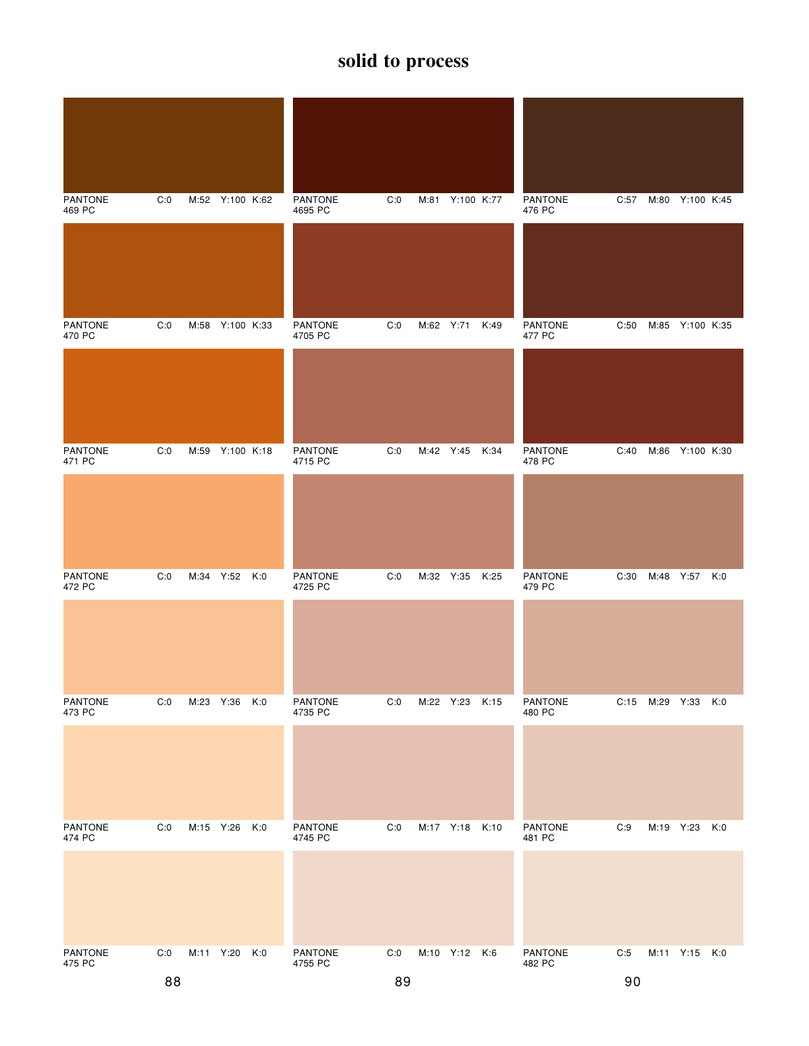| <b>PANTONE</b><br>469 PC | C:0 |           | M:52 Y:100 K:62 |     | <b>PANTONE</b><br>4695 PC | C:0 |           | M:81 Y:100 K:77 |      | <b>PANTONE</b><br>476 PC | C:57 | M:80 Y:100 K:45    |  |
|--------------------------|-----|-----------|-----------------|-----|---------------------------|-----|-----------|-----------------|------|--------------------------|------|--------------------|--|
|                          |     |           |                 |     |                           |     |           |                 |      |                          |      |                    |  |
| <b>PANTONE</b><br>470 PC | C:0 |           | M:58 Y:100 K:33 |     | <b>PANTONE</b><br>4705 PC | C:0 | M:62 Y:71 |                 | K:49 | <b>PANTONE</b><br>477 PC | C:50 | M:85 Y:100 K:35    |  |
|                          |     |           |                 |     |                           |     |           |                 |      |                          |      |                    |  |
| <b>PANTONE</b><br>471 PC | C:0 |           | M:59 Y:100 K:18 |     | <b>PANTONE</b><br>4715 PC | C:0 |           | M:42 Y:45 K:34  |      | <b>PANTONE</b><br>478 PC | C:40 | M:86 Y:100 K:30    |  |
|                          |     |           |                 |     |                           |     |           |                 |      |                          |      |                    |  |
| <b>PANTONE</b><br>472 PC | C:0 |           | M:34 Y:52 K:0   |     | PANTONE<br>4725 PC        | C:0 |           | M:32 Y:35 K:25  |      | <b>PANTONE</b><br>479 PC | C:30 | M:48 Y:57 K:0      |  |
|                          |     |           |                 |     |                           |     |           |                 |      |                          |      |                    |  |
| PANTONE<br>473 PC        | C:0 | M:23 Y:36 |                 | K:0 | <b>PANTONE</b><br>4735 PC | C:0 |           | M:22 Y:23 K:15  |      | <b>PANTONE</b><br>480 PC |      | C:15 M:29 Y:33 K:0 |  |
|                          |     |           |                 |     |                           |     |           |                 |      |                          |      |                    |  |
| <b>PANTONE</b><br>474 PC | C:0 | M:15 Y:26 |                 | K:0 | <b>PANTONE</b><br>4745 PC | C:0 |           | M:17 Y:18 K:10  |      | <b>PANTONE</b><br>481 PC | C:9  | M:19 Y:23 K:0      |  |
|                          |     |           |                 |     |                           |     |           |                 |      |                          |      |                    |  |
| PANTONE<br>475 PC        | C:0 |           | M:11 Y:20 K:0   |     | PANTONE<br>4755 PC        | C:0 |           | M:10 Y:12 K:6   |      | PANTONE<br>482 PC        | C:5  | M:11 Y:15 K:0      |  |
|                          | 88  |           |                 |     |                           | 89  |           |                 |      |                          | 90   |                    |  |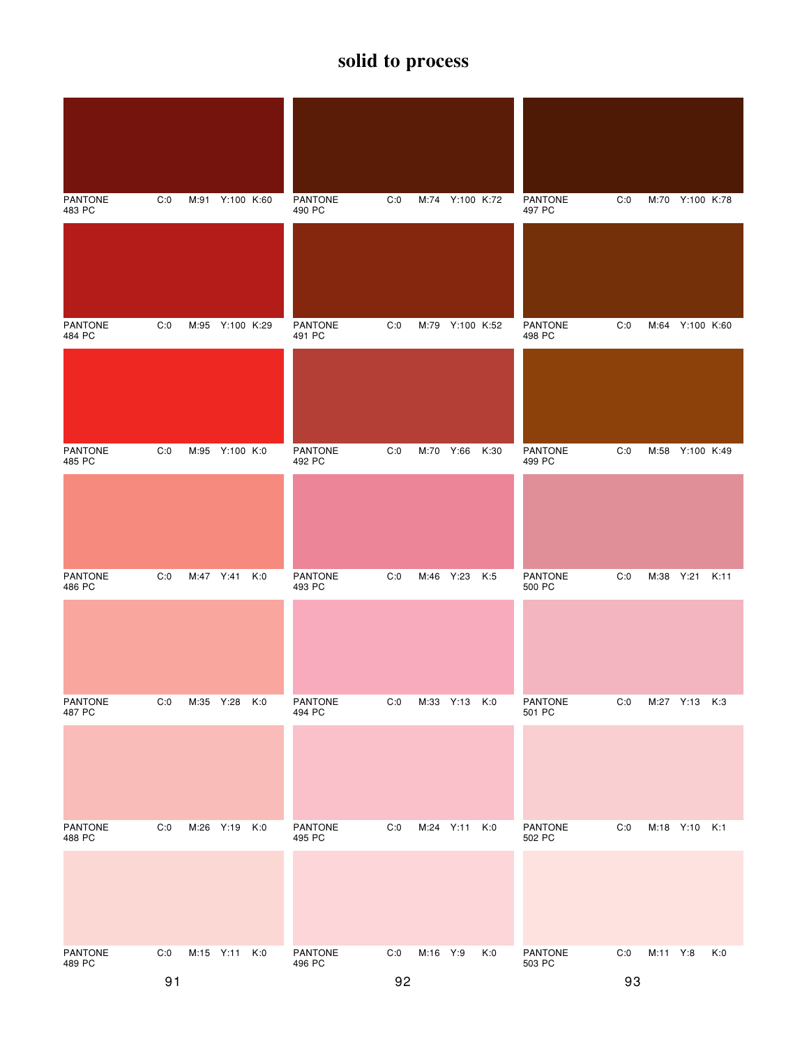| <b>PANTONE</b><br>483 PC | C:0 |           | M:91 Y:100 K:60 |     | <b>PANTONE</b><br>490 PC | C:0 |           | M:74 Y:100 K:72 |      | <b>PANTONE</b><br>497 PC | C:0 |          | M:70 Y:100 K:78 |     |
|--------------------------|-----|-----------|-----------------|-----|--------------------------|-----|-----------|-----------------|------|--------------------------|-----|----------|-----------------|-----|
|                          |     |           |                 |     |                          |     |           |                 |      |                          |     |          |                 |     |
| <b>PANTONE</b><br>484 PC | C:0 |           | M:95 Y:100 K:29 |     | <b>PANTONE</b><br>491 PC | C:0 |           | M:79 Y:100 K:52 |      | <b>PANTONE</b><br>498 PC | C:0 |          | M:64 Y:100 K:60 |     |
|                          |     |           |                 |     |                          |     |           |                 |      |                          |     |          |                 |     |
| <b>PANTONE</b><br>485 PC | C:0 |           | M:95 Y:100 K:0  |     | <b>PANTONE</b><br>492 PC | C:0 | M:70 Y:66 |                 | K:30 | <b>PANTONE</b><br>499 PC | C:0 |          | M:58 Y:100 K:49 |     |
|                          |     |           |                 |     |                          |     |           |                 |      |                          |     |          |                 |     |
| <b>PANTONE</b><br>486 PC | C:0 | M:47 Y:41 |                 | K:0 | <b>PANTONE</b><br>493 PC | C:0 |           | M:46 Y:23 K:5   |      | <b>PANTONE</b><br>500 PC | C:0 |          | M:38 Y:21 K:11  |     |
|                          |     |           |                 |     |                          |     |           |                 |      |                          |     |          |                 |     |
| <b>PANTONE</b><br>487 PC | C:0 | M:35 Y:28 |                 | K:0 | <b>PANTONE</b><br>494 PC | C:0 |           | M:33 Y:13 K:0   |      | <b>PANTONE</b><br>501 PC | C:0 |          | M:27 Y:13 K:3   |     |
|                          |     |           |                 |     |                          |     |           |                 |      |                          |     |          |                 |     |
| <b>PANTONE</b><br>488 PC | C:0 | M:26 Y:19 |                 | K:0 | <b>PANTONE</b><br>495 PC | C:0 | M:24 Y:11 |                 | K:0  | <b>PANTONE</b><br>502 PC | C:0 |          | M:18 Y:10 K:1   |     |
|                          |     |           |                 |     |                          |     |           |                 |      |                          |     |          |                 |     |
| PANTONE<br>489 PC        | C:0 |           | M:15 Y:11 K:0   |     | PANTONE<br>496 PC        | C:0 | M:16 Y:9  |                 | K:0  | <b>PANTONE</b><br>503 PC | C:0 | M:11 Y:8 |                 | K:0 |
|                          | 91  |           |                 |     |                          | 92  |           |                 |      |                          | 93  |          |                 |     |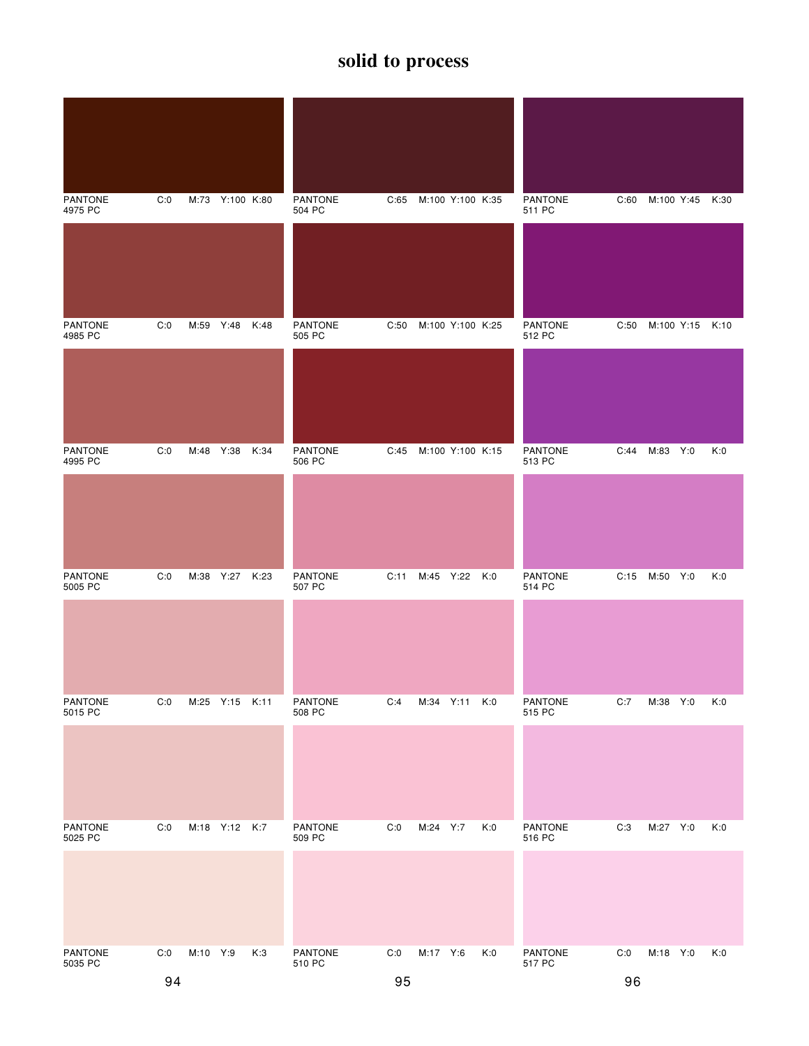| <b>PANTONE</b><br>4975 PC | C:0 |          | M:73 Y:100 K:80 |      | <b>PANTONE</b><br>504 PC | C:65 |                  | M:100 Y:100 K:35 |     | <b>PANTONE</b><br>511 PC | C:60 | M:100 Y:45 K:30 |     |
|---------------------------|-----|----------|-----------------|------|--------------------------|------|------------------|------------------|-----|--------------------------|------|-----------------|-----|
|                           |     |          |                 |      |                          |      |                  |                  |     |                          |      |                 |     |
| <b>PANTONE</b><br>4985 PC | C:0 |          | M:59 Y:48 K:48  |      | <b>PANTONE</b><br>505 PC | C:50 | M:100 Y:100 K:25 |                  |     | <b>PANTONE</b><br>512 PC | C:50 | M:100 Y:15 K:10 |     |
|                           |     |          |                 |      |                          |      |                  |                  |     |                          |      |                 |     |
| <b>PANTONE</b><br>4995 PC | C:0 | M:48     | Y:38            | K:34 | <b>PANTONE</b><br>506 PC | C:45 |                  | M:100 Y:100 K:15 |     | <b>PANTONE</b><br>513 PC | C:44 | M:83 Y:0        | K:0 |
|                           |     |          |                 |      |                          |      |                  |                  |     |                          |      |                 |     |
| <b>PANTONE</b><br>5005 PC | C:0 |          | M:38 Y:27       | K:23 | PANTONE<br>507 PC        | C:11 |                  | M:45 Y:22 K:0    |     | <b>PANTONE</b><br>514 PC | C:15 | M:50 Y:0        | K:0 |
|                           |     |          |                 |      |                          |      |                  |                  |     |                          |      |                 |     |
| <b>PANTONE</b><br>5015 PC | C:0 |          | M:25 Y:15 K:11  |      | <b>PANTONE</b><br>508 PC | C:4  |                  | M:34 Y:11 K:0    |     | <b>PANTONE</b><br>515 PC | C:7  | M:38 Y:0        | K:0 |
|                           |     |          |                 |      |                          |      |                  |                  |     |                          |      |                 |     |
| <b>PANTONE</b><br>5025 PC | C:0 |          | M:18 Y:12 K:7   |      | <b>PANTONE</b><br>509 PC | C:0  | M:24 Y:7         |                  | K:0 | <b>PANTONE</b><br>516 PC | C:3  | M:27 Y:0        | K:0 |
|                           |     |          |                 |      |                          |      |                  |                  |     |                          |      |                 |     |
| <b>PANTONE</b><br>5035 PC | C:0 | M:10 Y:9 |                 | K:3  | PANTONE<br>510 PC        | C:0  | M:17 Y:6         |                  | K:0 | <b>PANTONE</b><br>517 PC | C:0  | M:18 Y:0        | K:0 |
|                           | 94  |          |                 |      |                          | 95   |                  |                  |     |                          | 96   |                 |     |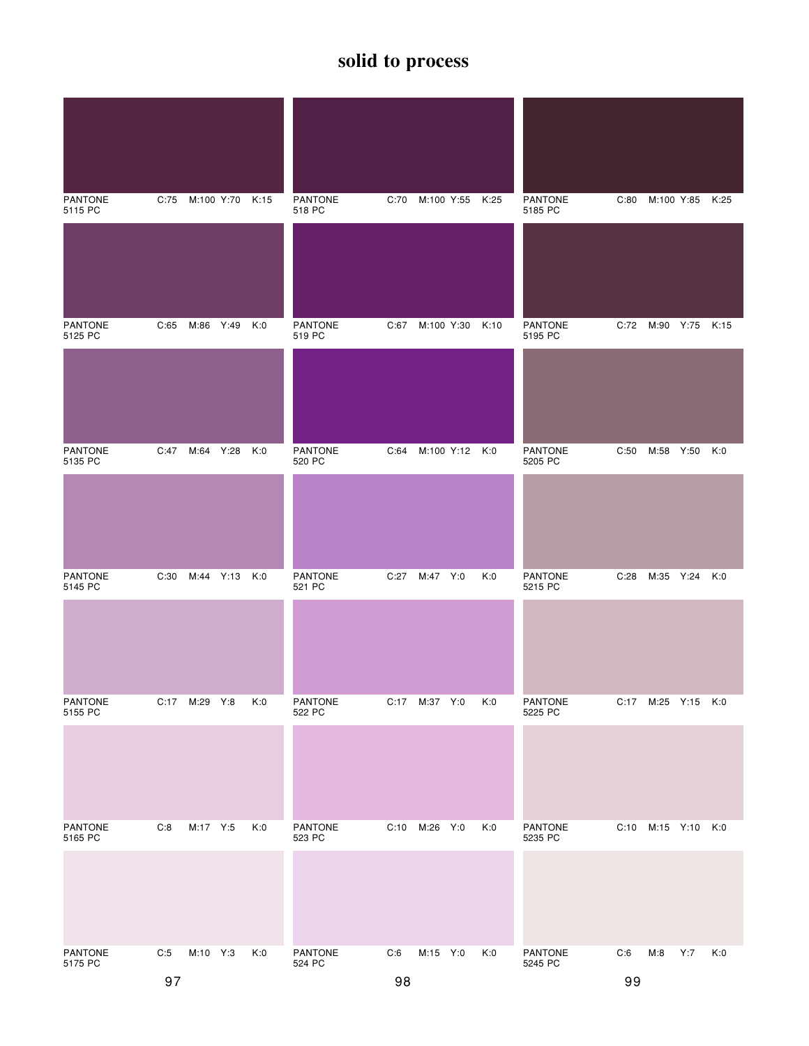| <b>PANTONE</b><br>5115 PC | C:75 |               | M:100 Y:70 K:15 |     | <b>PANTONE</b><br>518 PC | C:70 | M:100 Y:55      | K:25 | <b>PANTONE</b><br>5185 PC | C:80 | M:100 Y:85 K:25     |     |     |
|---------------------------|------|---------------|-----------------|-----|--------------------------|------|-----------------|------|---------------------------|------|---------------------|-----|-----|
|                           |      |               |                 |     |                          |      |                 |      |                           |      |                     |     |     |
| <b>PANTONE</b><br>5125 PC | C:65 | M:86 Y:49 K:0 |                 |     | <b>PANTONE</b><br>519 PC |      | C:67 M:100 Y:30 | K:10 | <b>PANTONE</b><br>5195 PC |      | C:72 M:90 Y:75 K:15 |     |     |
|                           |      |               |                 |     |                          |      |                 |      |                           |      |                     |     |     |
| <b>PANTONE</b><br>5135 PC | C:47 | M:64 Y:28     |                 | K:0 | <b>PANTONE</b><br>520 PC | C:64 | M:100 Y:12 K:0  |      | <b>PANTONE</b><br>5205 PC | C:50 | M:58 Y:50           |     | K:0 |
|                           |      |               |                 |     |                          |      |                 |      |                           |      |                     |     |     |
| <b>PANTONE</b><br>5145 PC | C:30 | M:44 Y:13 K:0 |                 |     | <b>PANTONE</b><br>521 PC | C:27 | M:47 Y:0        | K:0  | <b>PANTONE</b><br>5215 PC | C:28 | M:35 Y:24 K:0       |     |     |
|                           |      |               |                 |     |                          |      |                 |      |                           |      |                     |     |     |
| <b>PANTONE</b><br>5155 PC |      | C:17 M:29 Y:8 |                 | K:0 | <b>PANTONE</b><br>522 PC |      | C:17 M:37 Y:0   | K:0  | <b>PANTONE</b><br>5225 PC |      | C:17 M:25 Y:15 K:0  |     |     |
|                           |      |               |                 |     |                          |      |                 |      |                           |      |                     |     |     |
| <b>PANTONE</b><br>5165 PC | C:8  | M:17 Y:5      |                 | K:0 | <b>PANTONE</b><br>523 PC | C:10 | M:26 Y:0        | K:0  | <b>PANTONE</b><br>5235 PC |      | C:10 M:15 Y:10 K:0  |     |     |
|                           |      |               |                 |     |                          |      |                 |      |                           |      |                     |     |     |
| <b>PANTONE</b><br>5175 PC | C:5  | M:10 Y:3      |                 | K:0 | PANTONE<br>524 PC        | C:6  | M:15 Y:0        | K:0  | <b>PANTONE</b><br>5245 PC | C:6  | M:8                 | Y:7 | K:0 |
|                           | 97   |               |                 |     |                          | 98   |                 |      |                           | 99   |                     |     |     |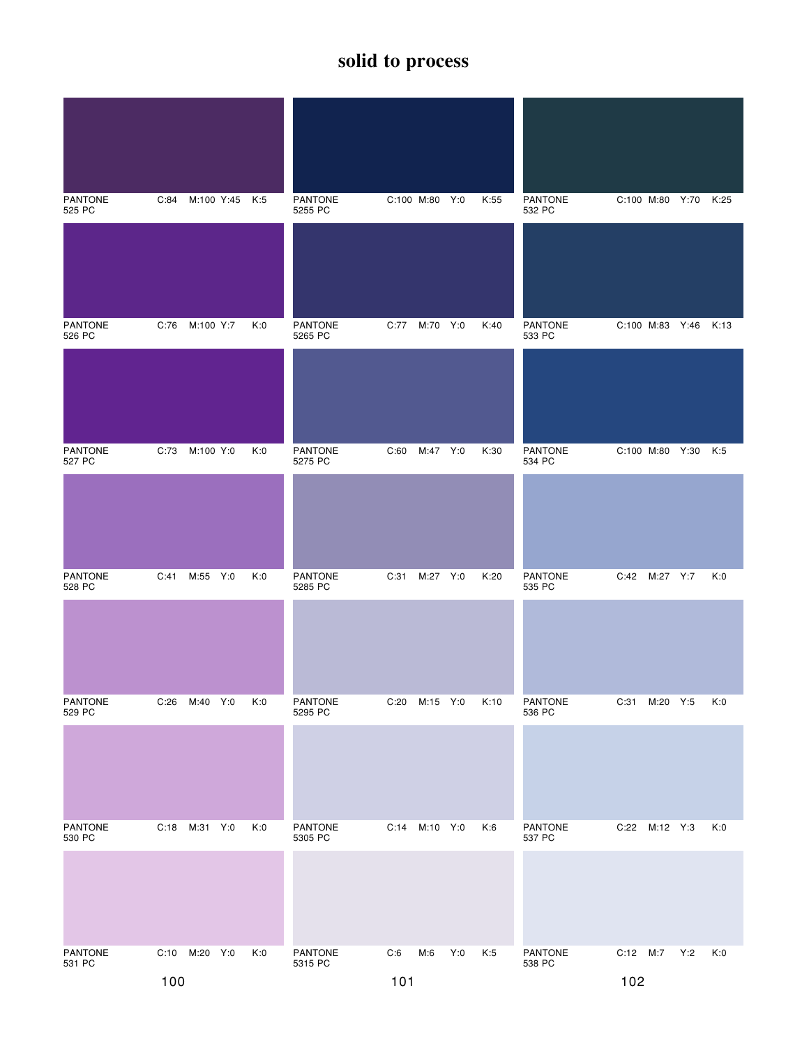| <b>PANTONE</b><br>525 PC | C:84 | M:100 Y:45 K:5 |     | <b>PANTONE</b><br>5255 PC |      | C:100 M:80 Y:0 |     | K:55 | <b>PANTONE</b><br>532 PC |                      |               | C:100 M:80 Y:70 K:25 |     |
|--------------------------|------|----------------|-----|---------------------------|------|----------------|-----|------|--------------------------|----------------------|---------------|----------------------|-----|
|                          |      |                |     |                           |      |                |     |      |                          |                      |               |                      |     |
| <b>PANTONE</b><br>526 PC |      | C:76 M:100 Y:7 | K:0 | <b>PANTONE</b><br>5265 PC | C:77 | M:70 Y:0       |     | K:40 | <b>PANTONE</b><br>533 PC | C:100 M:83 Y:46 K:13 |               |                      |     |
|                          |      |                |     |                           |      |                |     |      |                          |                      |               |                      |     |
| <b>PANTONE</b><br>527 PC | C:73 | M:100 Y:0      | K:0 | PANTONE<br>5275 PC        | C:60 | M:47 Y:0       |     | K:30 | <b>PANTONE</b><br>534 PC | C:100 M:80 Y:30      |               |                      | K:5 |
|                          |      |                |     |                           |      |                |     |      |                          |                      |               |                      |     |
| <b>PANTONE</b><br>528 PC |      | C:41 M:55 Y:0  | K:0 | PANTONE<br>5285 PC        | C:31 | M:27 Y:0       |     | K:20 | <b>PANTONE</b><br>535 PC |                      | C:42 M:27 Y:7 |                      | K:0 |
|                          |      |                |     |                           |      |                |     |      |                          |                      |               |                      |     |
| PANTONE<br>529 PC        | C:26 | M:40 Y:0       | K:0 | <b>PANTONE</b><br>5295 PC | C:20 | M:15 Y:0       |     | K:10 | <b>PANTONE</b><br>536 PC | C:31                 | M:20 Y:5      |                      | K:0 |
|                          |      |                |     |                           |      |                |     |      |                          |                      |               |                      |     |
| <b>PANTONE</b><br>530 PC | C:18 | M:31 Y:0       | K:0 | <b>PANTONE</b><br>5305 PC | C:14 | M:10 Y:0       |     | K:6  | <b>PANTONE</b><br>537 PC |                      | C:22 M:12 Y:3 |                      | K:0 |
|                          |      |                |     |                           |      |                |     |      |                          |                      |               |                      |     |
| PANTONE<br>531 PC        |      | C:10 M:20 Y:0  | K:0 | PANTONE<br>5315 PC        | C:6  | M:6            | Y:0 | K:5  | PANTONE<br>538 PC        | C:12 M:7             |               | Y:2                  | K:0 |
|                          | 100  |                |     |                           | 101  |                |     |      |                          | 102                  |               |                      |     |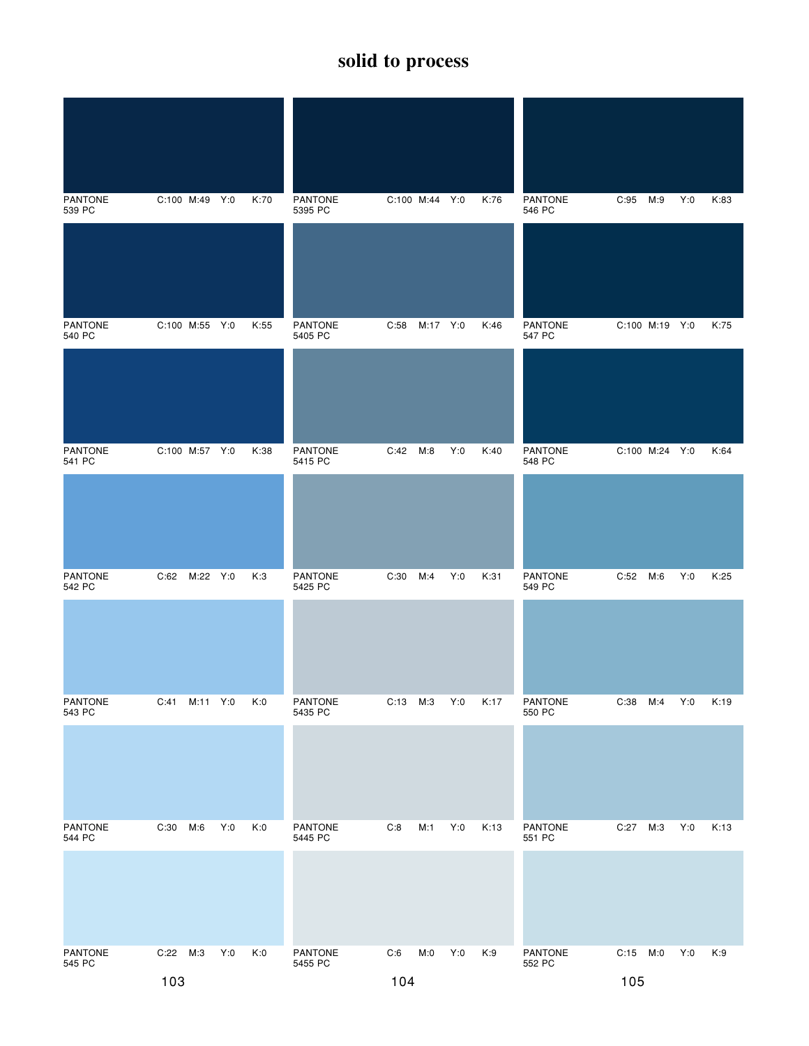| <b>PANTONE</b><br>539 PC | C:100 M:49 Y:0 |          |     | K:70 | PANTONE<br>5395 PC        |      | C:100 M:44 Y:0 |     | K:76 | <b>PANTONE</b><br>546 PC | C:95           | M:9 | Y:0 | K:83 |
|--------------------------|----------------|----------|-----|------|---------------------------|------|----------------|-----|------|--------------------------|----------------|-----|-----|------|
|                          |                |          |     |      |                           |      |                |     |      |                          |                |     |     |      |
| <b>PANTONE</b><br>540 PC | C:100 M:55 Y:0 |          |     | K:55 | <b>PANTONE</b><br>5405 PC | C:58 | M:17 Y:0       |     | K:46 | <b>PANTONE</b><br>547 PC | C:100 M:19 Y:0 |     |     | K:75 |
|                          |                |          |     |      |                           |      |                |     |      |                          |                |     |     |      |
| <b>PANTONE</b><br>541 PC | C:100 M:57 Y:0 |          |     | K:38 | PANTONE<br>5415 PC        | C:42 | M:8            | Y:0 | K:40 | <b>PANTONE</b><br>548 PC | C:100 M:24 Y:0 |     |     | K:64 |
|                          |                |          |     |      |                           |      |                |     |      |                          |                |     |     |      |
| <b>PANTONE</b><br>542 PC | C:62 M:22 Y:0  |          |     | K:3  | PANTONE<br>5425 PC        | C:30 | M:4            | Y:0 | K:31 | PANTONE<br>549 PC        | C:52 M:6       |     | Y:0 | K:25 |
|                          |                |          |     |      |                           |      |                |     |      |                          |                |     |     |      |
| PANTONE<br>543 PC        | C:41           | M:11 Y:0 |     | K:0  | <b>PANTONE</b><br>5435 PC | C:13 | М:3            | Y:0 | K:17 | <b>PANTONE</b><br>550 PC | C:38           | M:4 | Y:0 | K:19 |
|                          |                |          |     |      |                           |      |                |     |      |                          |                |     |     |      |
| <b>PANTONE</b><br>544 PC | C:30           | M:6      | Y:0 | K:0  | <b>PANTONE</b><br>5445 PC | C:8  | M:1            | Y:0 | K:13 | PANTONE<br>551 PC        | C:27           | M:3 | Y:0 | K:13 |
|                          |                |          |     |      |                           |      |                |     |      |                          |                |     |     |      |
| PANTONE<br>545 PC        | C:22 M:3       |          | Y:0 | K:0  | PANTONE<br>5455 PC        | C:6  | M:0            | Y:0 | K:9  | PANTONE<br>552 PC        | C:15 M:0       |     | Y:0 | K:9  |
|                          | 103            |          |     |      |                           | 104  |                |     |      |                          | 105            |     |     |      |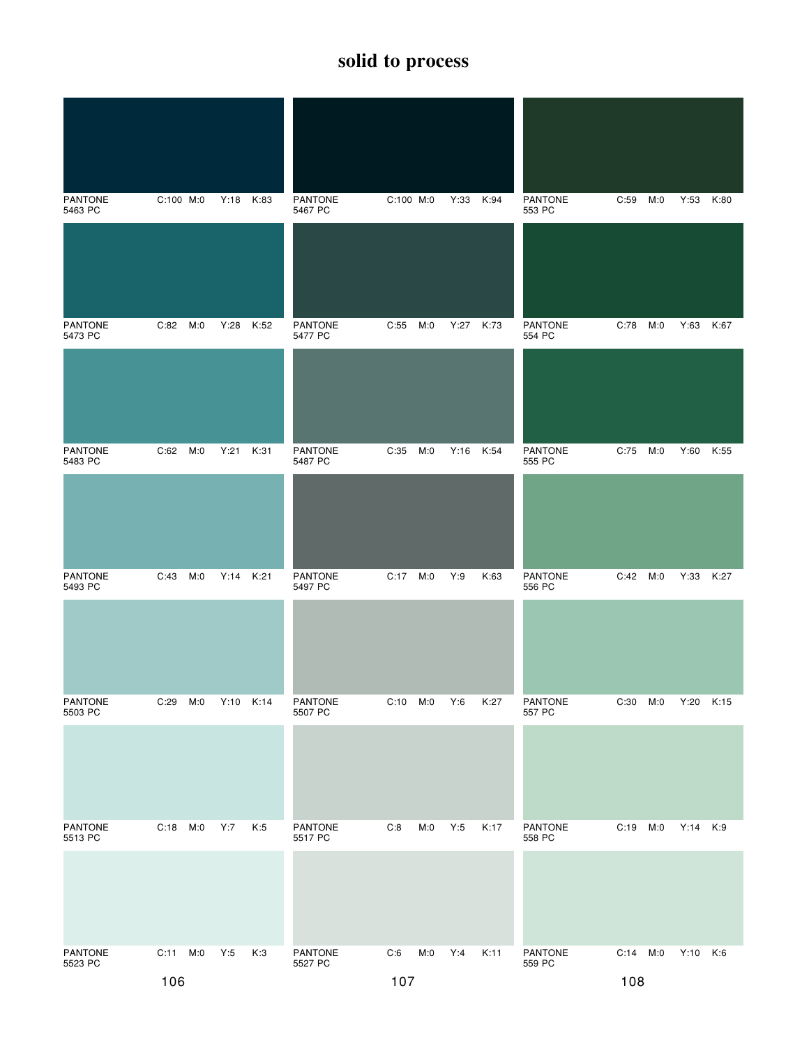| <b>PANTONE</b><br>5463 PC | $C:100$ M:0 | Y:18 K:83 |           | <b>PANTONE</b><br>5467 PC | $C:100$ M:0 |     | Y:33 K:94 |      | <b>PANTONE</b><br>553 PC | C:59       | M:0 | Y:53 K:80 |      |
|---------------------------|-------------|-----------|-----------|---------------------------|-------------|-----|-----------|------|--------------------------|------------|-----|-----------|------|
|                           |             |           |           |                           |             |     |           |      |                          |            |     |           |      |
| <b>PANTONE</b><br>5473 PC | $C:82$ M:0  |           | Y:28 K:52 | <b>PANTONE</b><br>5477 PC | C:55        | M:0 | Y:27 K:73 |      | <b>PANTONE</b><br>554 PC | $C:78$ M:0 |     | Y:63 K:67 |      |
|                           |             |           |           |                           |             |     |           |      |                          |            |     |           |      |
| <b>PANTONE</b><br>5483 PC | M:0<br>C:62 | Y:21      | K:31      | <b>PANTONE</b><br>5487 PC | C:35        | M:0 | Y:16 K:54 |      | PANTONE<br>555 PC        | C:75       | M:0 | Y:60      | K:55 |
|                           |             |           |           |                           |             |     |           |      |                          |            |     |           |      |
| <b>PANTONE</b><br>5493 PC | M:0<br>C:43 |           | Y:14 K:21 | PANTONE<br>5497 PC        | C:17 M:0    |     | Y:9       | K:63 | PANTONE<br>556 PC        | C:42 M:0   |     | Y:33 K:27 |      |
|                           |             |           |           |                           |             |     |           |      |                          |            |     |           |      |
| <b>PANTONE</b><br>5503 PC | C:29<br>M:0 |           | Y:10 K:14 | <b>PANTONE</b><br>5507 PC | $C:10$ M:0  |     | Y:6       | K:27 | <b>PANTONE</b><br>557 PC | C:30       | M:0 | Y:20      | K:15 |
|                           |             |           |           |                           |             |     |           |      |                          |            |     |           |      |
| <b>PANTONE</b><br>5513 PC | C:18<br>M:0 | Y:7       | K:5       | <b>PANTONE</b><br>5517 PC | C:8         | M:0 | Y:5       | K:17 | <b>PANTONE</b><br>558 PC | C:19       | M:0 | Y:14 K:9  |      |
|                           |             |           |           |                           |             |     |           |      |                          |            |     |           |      |
| PANTONE<br>5523 PC        | C:11 M:0    | Y:5       | K:3       | PANTONE<br>5527 PC        | C:6         | M:0 | Y:4       | K:11 | PANTONE<br>559 PC        | C:14 M:0   |     | Y:10 K:6  |      |
|                           | 106         |           |           |                           | 107         |     |           |      |                          | 108        |     |           |      |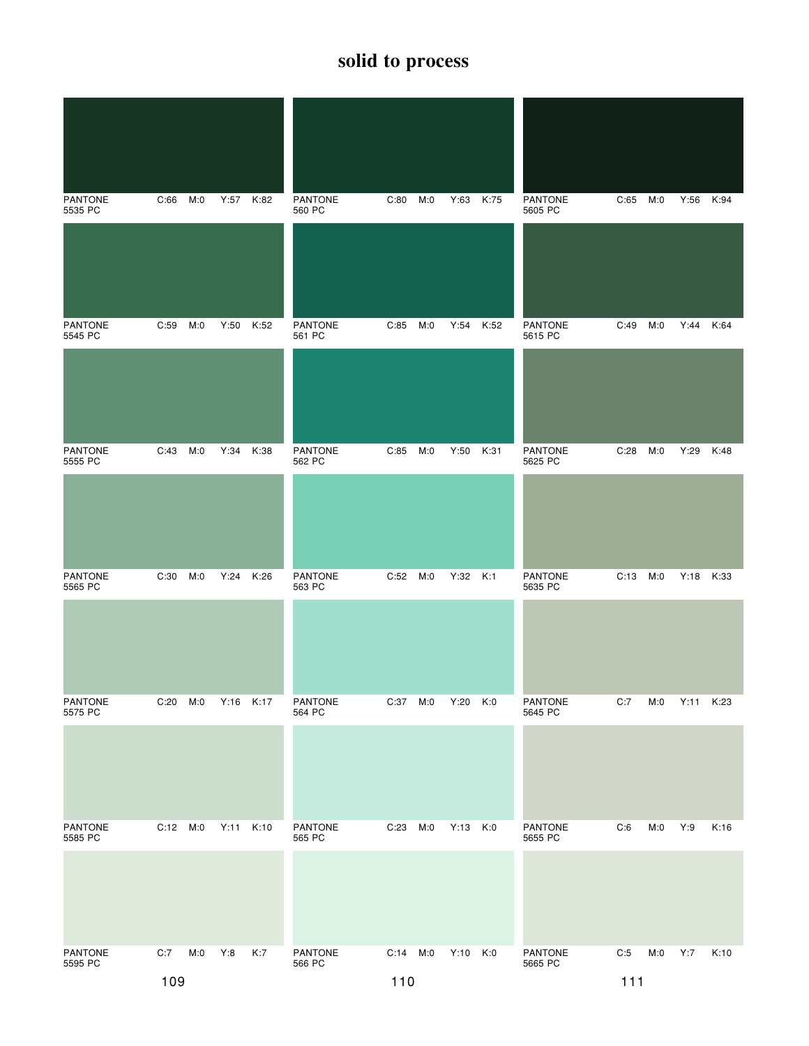| <b>PANTONE</b><br>5535 PC | C:66     | M:0 | Y:57      | K:82 | <b>PANTONE</b><br>560 PC | C:80     | M:0 | Y:63     | K:75 | PANTONE<br>5605 PC        | C:65 | M:0 | Y:56 K:94 |      |
|---------------------------|----------|-----|-----------|------|--------------------------|----------|-----|----------|------|---------------------------|------|-----|-----------|------|
|                           |          |     |           |      |                          |          |     |          |      |                           |      |     |           |      |
| <b>PANTONE</b><br>5545 PC | C:59     | M:0 | Y:50      | K:52 | <b>PANTONE</b><br>561 PC | C:85     | M:0 | Y:54     | K:52 | <b>PANTONE</b><br>5615 PC | C:49 | M:0 | Y:44      | K:64 |
|                           |          |     |           |      |                          |          |     |          |      |                           |      |     |           |      |
| <b>PANTONE</b><br>5555 PC | C:43     | M:0 | Y:34      | K:38 | <b>PANTONE</b><br>562 PC | C:85     | M:0 | Y:50     | K:31 | <b>PANTONE</b><br>5625 PC | C:28 | M:0 | Y:29      | K:48 |
|                           |          |     |           |      |                          |          |     |          |      |                           |      |     |           |      |
| <b>PANTONE</b><br>5565 PC | C:30     | M:0 | Y:24 K:26 |      | PANTONE<br>563 PC        | C:52     | M:0 | Y:32 K:1 |      | PANTONE<br>5635 PC        | C:13 | M:0 | Y:18      | K:33 |
|                           |          |     |           |      |                          |          |     |          |      |                           |      |     |           |      |
| PANTONE<br>5575 PC        | C:20     | M:0 | Y:16 K:17 |      | <b>PANTONE</b><br>564 PC | C:37     | M:0 | Y:20     | K:0  | <b>PANTONE</b><br>5645 PC | C:7  | M:0 | Y:11      | K:23 |
|                           |          |     |           |      |                          |          |     |          |      |                           |      |     |           |      |
| <b>PANTONE</b><br>5585 PC | C:12 M:0 |     | Y:11      | K:10 | <b>PANTONE</b><br>565 PC | C:23     | M:0 | Y:13     | K:0  | <b>PANTONE</b><br>5655 PC | C:6  | M:0 | Y:9       | K:16 |
|                           |          |     |           |      |                          |          |     |          |      |                           |      |     |           |      |
| PANTONE<br>5595 PC        | C:7      | M:0 | Y:8       | K:7  | PANTONE<br>566 PC        | C:14 M:0 |     | Y:10 K:0 |      | <b>PANTONE</b><br>5665 PC | C:5  | M:0 | Y:7       | K:10 |
|                           | 109      |     |           |      |                          | 110      |     |          |      |                           | 111  |     |           |      |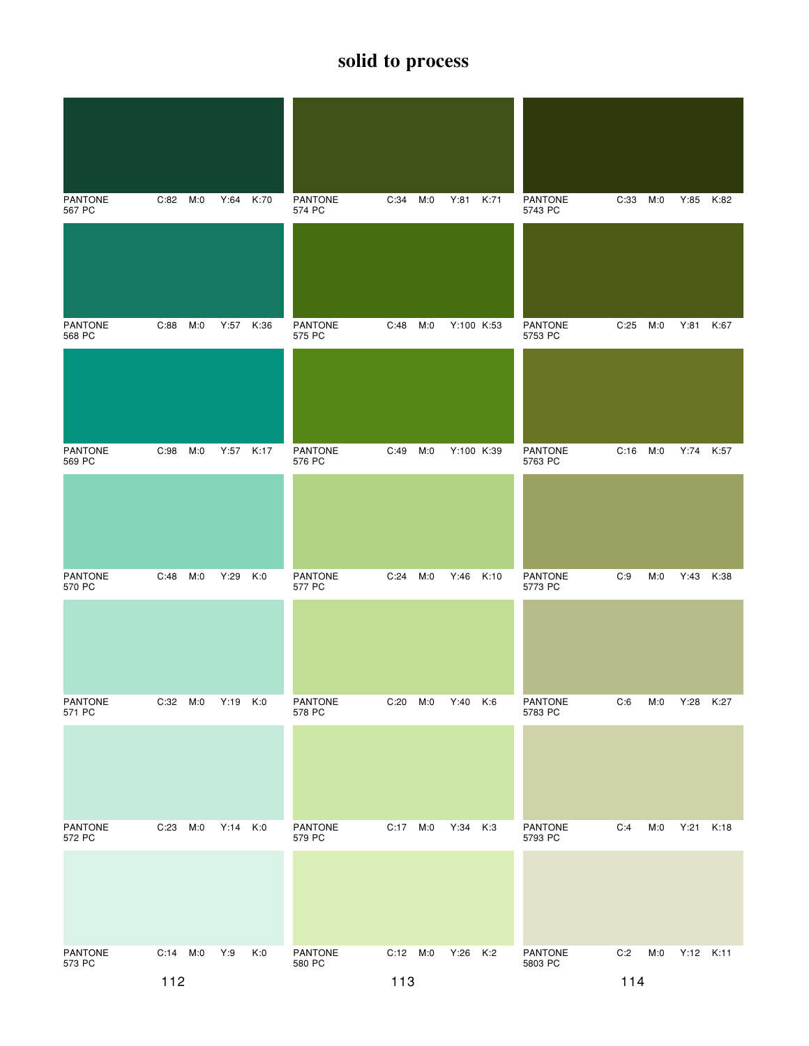| <b>PANTONE</b><br>567 PC | C:82 M:0 |     | Y:64      | K:70 | <b>PANTONE</b><br>574 PC | C:34     | M:0 | Y:81       | K:71 | PANTONE<br>5743 PC        | C:33 | M:0 | Y:85 K:82 |      |
|--------------------------|----------|-----|-----------|------|--------------------------|----------|-----|------------|------|---------------------------|------|-----|-----------|------|
|                          |          |     |           |      |                          |          |     |            |      |                           |      |     |           |      |
| <b>PANTONE</b><br>568 PC | C:88 M:0 |     | Y:57 K:36 |      | PANTONE<br>575 PC        | C:48     | M:0 | Y:100 K:53 |      | PANTONE<br>5753 PC        | C:25 | M:0 | Y:81      | K:67 |
|                          |          |     |           |      |                          |          |     |            |      |                           |      |     |           |      |
| <b>PANTONE</b><br>569 PC | C:98     | M:0 | Y:57 K:17 |      | PANTONE<br>576 PC        | C:49     | M:0 | Y:100 K:39 |      | <b>PANTONE</b><br>5763 PC | C:16 | M:0 | Y:74 K:57 |      |
|                          |          |     |           |      |                          |          |     |            |      |                           |      |     |           |      |
| <b>PANTONE</b><br>570 PC | C:48     | M:0 | Y:29      | K:0  | <b>PANTONE</b><br>577 PC | C:24     | M:0 | Y:46       | K:10 | <b>PANTONE</b><br>5773 PC | C:9  | M:0 | Y:43      | K:38 |
|                          |          |     |           |      |                          |          |     |            |      |                           |      |     |           |      |
| PANTONE<br>571 PC        | C:32 M:0 |     | Y:19      | K:0  | <b>PANTONE</b><br>578 PC | C:20     | M:0 | Y:40       | K:6  | <b>PANTONE</b><br>5783 PC | C:6  | M:0 | Y:28      | K:27 |
|                          |          |     |           |      |                          |          |     |            |      |                           |      |     |           |      |
| <b>PANTONE</b><br>572 PC | C:23     | M:0 | Y:14      | K:0  | <b>PANTONE</b><br>579 PC | C:17     | M:0 | Y:34       | K:3  | <b>PANTONE</b><br>5793 PC | C:4  | M:0 | Y:21      | K:18 |
|                          |          |     |           |      |                          |          |     |            |      |                           |      |     |           |      |
| PANTONE<br>573 PC        | C:14 M:0 |     | Y:9       | K:0  | PANTONE<br>580 PC        | C:12 M:0 |     | Y:26 K:2   |      | PANTONE<br>5803 PC        | C:2  | M:0 | Y:12 K:11 |      |
|                          | 112      |     |           |      |                          | 113      |     |            |      |                           | 114  |     |           |      |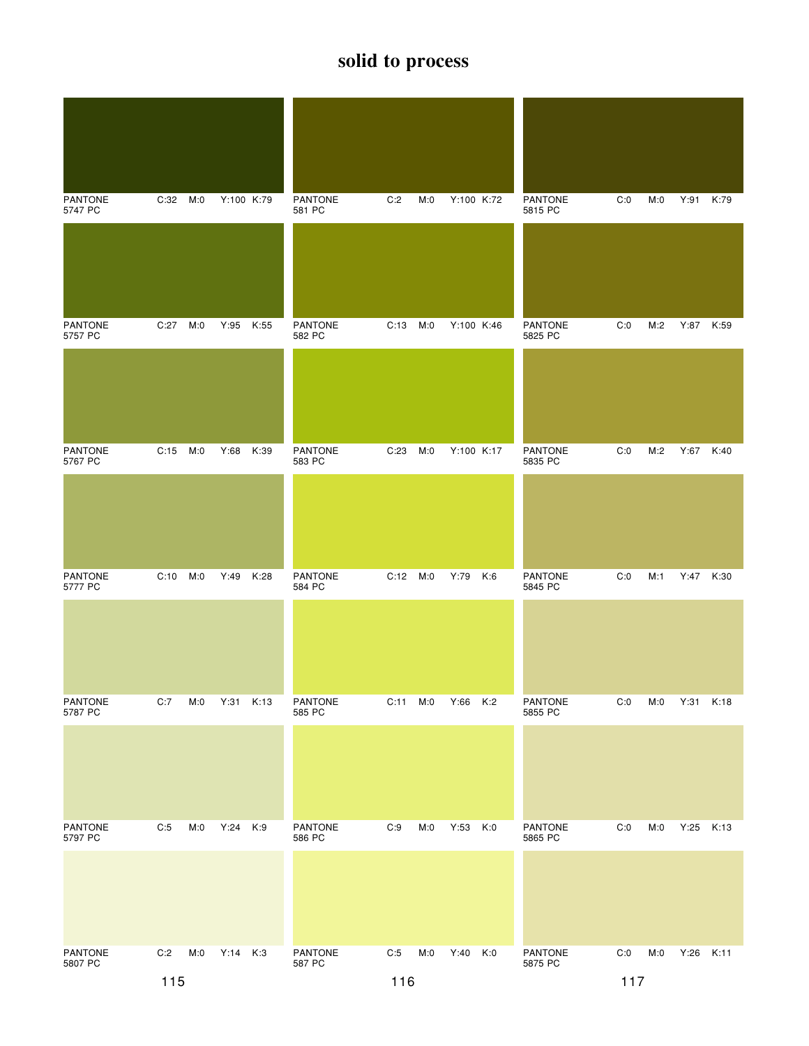| <b>PANTONE</b><br>5747 PC | C:32 M:0   |     | Y:100 K:79 |      | PANTONE<br>581 PC        | C:2      | M:0 | Y:100 K:72 |     | <b>PANTONE</b><br>5815 PC | C:0 | M:0 | Y:91 K:79 |      |
|---------------------------|------------|-----|------------|------|--------------------------|----------|-----|------------|-----|---------------------------|-----|-----|-----------|------|
|                           |            |     |            |      |                          |          |     |            |     |                           |     |     |           |      |
| <b>PANTONE</b><br>5757 PC | C:27       | M:0 | Y:95       | K:55 | PANTONE<br>582 PC        | C:13 M:0 |     | Y:100 K:46 |     | <b>PANTONE</b><br>5825 PC | C:0 | M:2 | Y:87 K:59 |      |
|                           |            |     |            |      |                          |          |     |            |     |                           |     |     |           |      |
| <b>PANTONE</b><br>5767 PC | C:15       | M:0 | Y:68       | K:39 | <b>PANTONE</b><br>583 PC | C:23     | M:0 | Y:100 K:17 |     | <b>PANTONE</b><br>5835 PC | C:0 | M:2 | Y:67 K:40 |      |
|                           |            |     |            |      |                          |          |     |            |     |                           |     |     |           |      |
| <b>PANTONE</b><br>5777 PC | $C:10$ M:0 |     | Y:49       | K:28 | PANTONE<br>584 PC        | C:12 M:0 |     | Y:79       | K:6 | <b>PANTONE</b><br>5845 PC | C:0 | M:1 | Y:47 K:30 |      |
|                           |            |     |            |      |                          |          |     |            |     |                           |     |     |           |      |
| PANTONE<br>5787 PC        | C:7        | M:0 | Y:31       | K:13 | PANTONE<br>585 PC        | C:11     | M:0 | Y:66 K:2   |     | <b>PANTONE</b><br>5855 PC | C:0 | M:0 | Y:31      | K:18 |
|                           |            |     |            |      |                          |          |     |            |     |                           |     |     |           |      |
| <b>PANTONE</b><br>5797 PC | C:5        | M:0 | Y:24       | K:9  | <b>PANTONE</b><br>586 PC | C:9      | M:0 | Y:53 K:0   |     | PANTONE<br>5865 PC        | C:0 | M:0 | Y:25      | K:13 |
|                           |            |     |            |      |                          |          |     |            |     |                           |     |     |           |      |
| PANTONE<br>5807 PC        | C:2        | M:0 | Y:14 K:3   |      | PANTONE<br>587 PC        | C:5      | M:0 | Y:40 K:0   |     | PANTONE<br>5875 PC        | C:0 | M:0 | Y:26 K:11 |      |
|                           | 115        |     |            |      |                          | 116      |     |            |     |                           | 117 |     |           |      |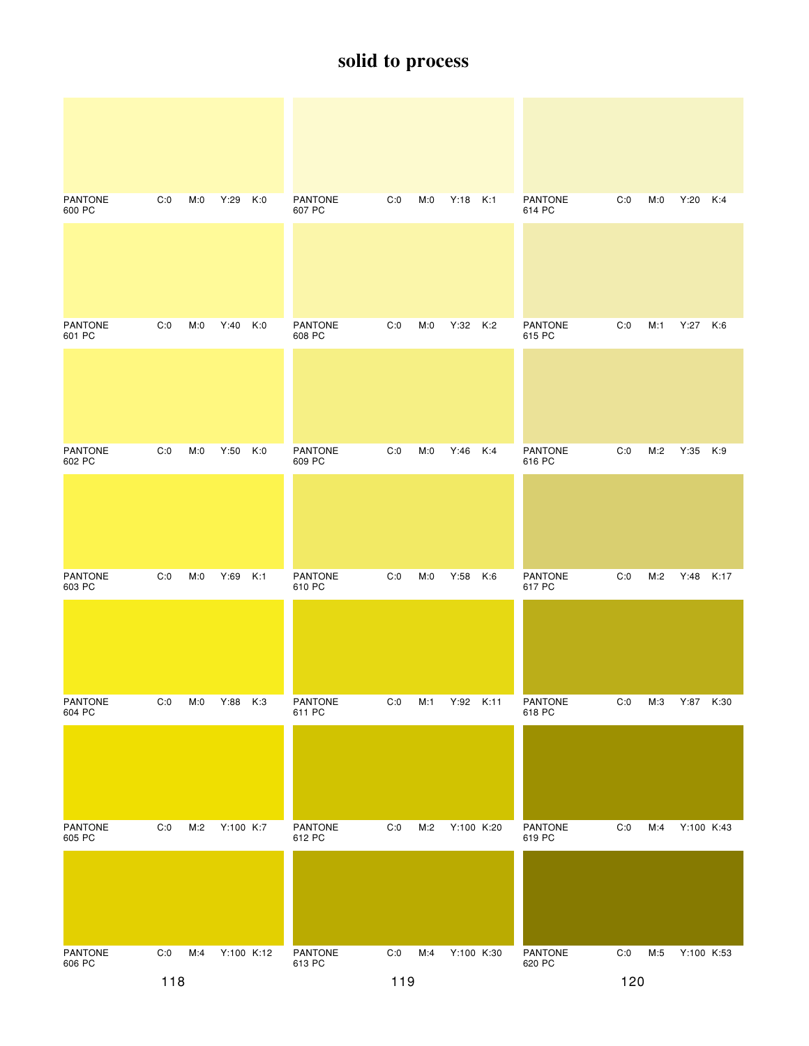| <b>PANTONE</b><br>600 PC | C:0 | M:0 | Y:29       | K:0 | <b>PANTONE</b><br>607 PC | C:0 | M:0 | Y:18 K:1   |     | <b>PANTONE</b><br>614 PC | C:0                   | M:0 | Y:20 K:4   |      |
|--------------------------|-----|-----|------------|-----|--------------------------|-----|-----|------------|-----|--------------------------|-----------------------|-----|------------|------|
|                          |     |     |            |     |                          |     |     |            |     |                          |                       |     |            |      |
| <b>PANTONE</b><br>601 PC | C:0 | M:0 | $Y:40$ K:0 |     | PANTONE<br>608 PC        | C:0 | M:0 | Y:32 K:2   |     | PANTONE<br>615 PC        | C:0                   | M:1 | Y:27 K:6   |      |
|                          |     |     |            |     |                          |     |     |            |     |                          |                       |     |            |      |
| <b>PANTONE</b><br>602 PC | C:0 | M:0 | Y:50       | K:0 | <b>PANTONE</b><br>609 PC | C:0 | M:0 | Y:46       | K:4 | <b>PANTONE</b><br>616 PC | C:0                   | M:2 | Y:35 K:9   |      |
|                          |     |     |            |     |                          |     |     |            |     |                          |                       |     |            |      |
| <b>PANTONE</b><br>603 PC | C:0 | M:0 | Y:69       | K:1 | <b>PANTONE</b><br>610 PC | C:0 | M:0 | Y:58       | K:6 | <b>PANTONE</b><br>617 PC | C:0                   | M:2 | Y:48       | K:17 |
|                          |     |     |            |     |                          |     |     |            |     |                          |                       |     |            |      |
| PANTONE<br>604 PC        | C:0 | M:0 | Y:88       | K:3 | PANTONE<br>611 PC        | C:0 | M:1 | Y:92 K:11  |     | PANTONE<br>618 PC        | C:0                   | M:3 | Y:87 K:30  |      |
|                          |     |     |            |     |                          |     |     |            |     |                          |                       |     |            |      |
| PANTONE<br>605 PC        | C:0 | M:2 | Y:100 K:7  |     | PANTONE<br>612 PC        | C:0 | M:2 | Y:100 K:20 |     | PANTONE<br>619 PC        | C:0                   | M:4 | Y:100 K:43 |      |
|                          |     |     |            |     |                          |     |     |            |     |                          |                       |     |            |      |
| PANTONE<br>606 PC        | C:0 | M:4 | Y:100 K:12 |     | PANTONE<br>613 PC        | C:0 | M:4 | Y:100 K:30 |     | PANTONE<br>620 PC        | $\mathsf{C}\text{:}0$ | M:5 | Y:100 K:53 |      |
|                          | 118 |     |            |     |                          | 119 |     |            |     |                          | 120                   |     |            |      |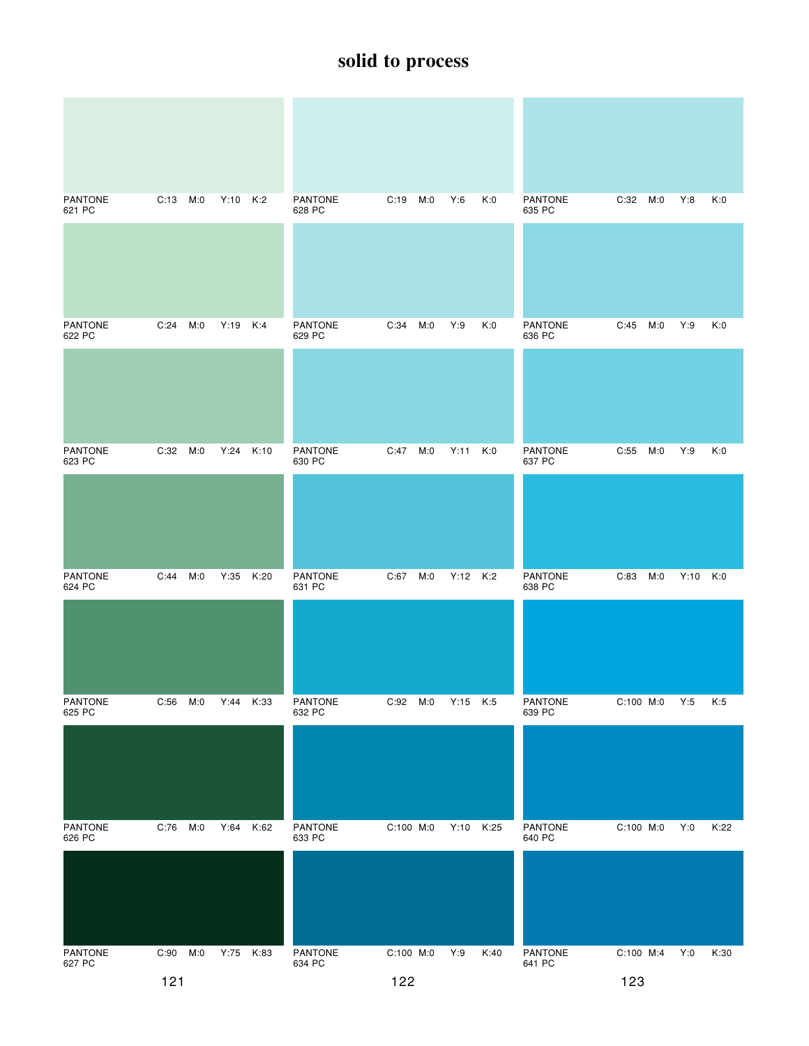| <b>PANTONE</b><br>621 PC | C:13 M:0   |             | Y:10 K:2 | <b>PANTONE</b><br>628 PC | C:19<br>M:0 | Y:6        | K:0  | <b>PANTONE</b><br>635 PC | C:32<br>M:0 | Y:8      | K:0  |
|--------------------------|------------|-------------|----------|--------------------------|-------------|------------|------|--------------------------|-------------|----------|------|
|                          |            |             |          |                          |             |            |      |                          |             |          |      |
| <b>PANTONE</b><br>622 PC | C:24       | M:0<br>Y:19 | K:4      | PANTONE<br>629 PC        | C:34<br>M:0 | Y:9        | K:0  | PANTONE<br>636 PC        | C:45<br>M:0 | Y:9      | K:0  |
|                          |            |             |          |                          |             |            |      |                          |             |          |      |
| <b>PANTONE</b><br>623 PC | C:32       | M:0<br>Y:24 | K:10     | <b>PANTONE</b><br>630 PC | C:47<br>M:0 | Y:11       | K:0  | <b>PANTONE</b><br>637 PC | C:55<br>M:0 | Y:9      | K:0  |
|                          |            |             |          |                          |             |            |      |                          |             |          |      |
| <b>PANTONE</b><br>624 PC | C:44       | Y:35<br>M:0 | K:20     | <b>PANTONE</b><br>631 PC | C:67<br>M:0 | Y:12 K:2   |      | <b>PANTONE</b><br>638 PC | M:0<br>C:83 | Y:10 K:0 |      |
|                          |            |             |          |                          |             |            |      |                          |             |          |      |
| PANTONE<br>625 PC        | C:56       | M:0<br>Y:44 | K:33     | PANTONE<br>632 PC        | C:92<br>M:0 | $Y:15$ K:5 |      | PANTONE<br>639 PC        | C:100 M:0   | Y:5      | K:5  |
|                          |            |             |          |                          |             |            |      |                          |             |          |      |
| <b>PANTONE</b><br>626 PC | $C:76$ M:0 | Y:64        | K:62     | <b>PANTONE</b><br>633 PC | C:100 M:0   | Y:10 K:25  |      | <b>PANTONE</b><br>640 PC | C:100 M:0   | Y:0      | K:22 |
|                          |            |             |          |                          |             |            |      |                          |             |          |      |
| PANTONE<br>627 PC        | C:90       | M:0<br>Y:75 | K:83     | PANTONE<br>634 PC        | C:100 M:0   | Y:9        | K:40 | PANTONE<br>641 PC        | C:100 M:4   | Y:0      | K:30 |
|                          | $121$      |             |          |                          | 122         |            |      |                          | 123         |          |      |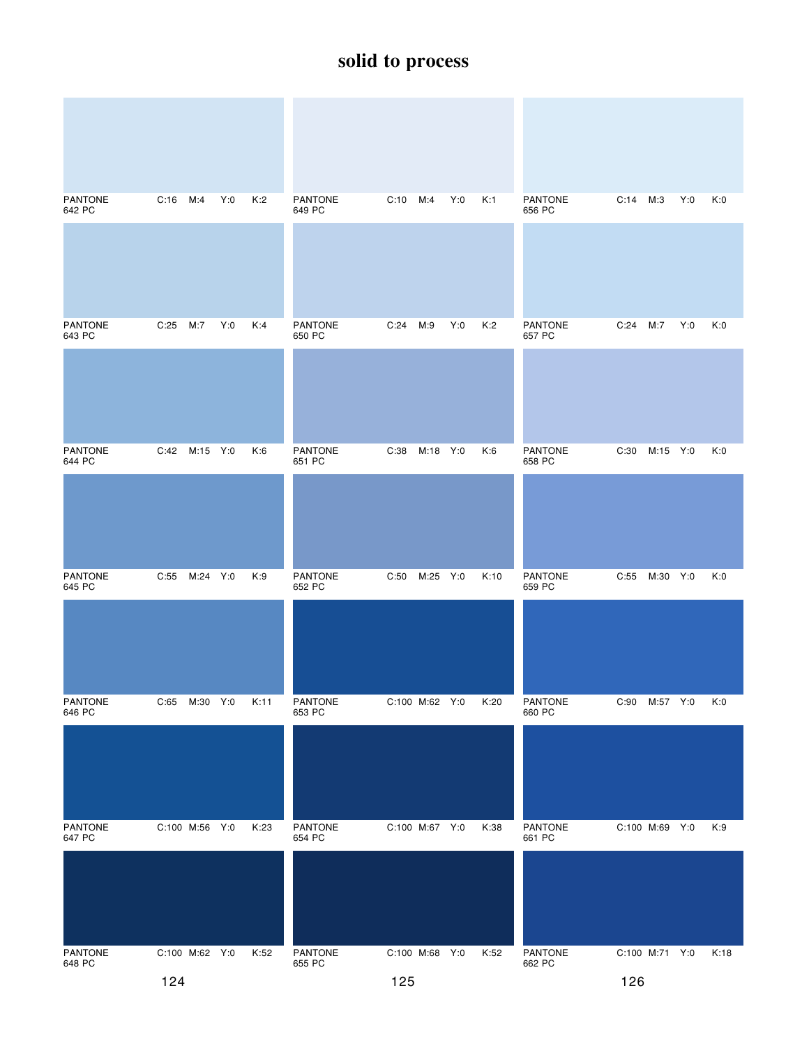| <b>PANTONE</b><br><b>PANTONE</b><br><b>PANTONE</b><br>$C:16$ M:4<br>Y:0<br>K:2<br>C:10<br>M:4<br>Y:0<br>K:1<br>$C:14$ M:3<br>Y:0<br>K:0<br>642 PC<br>649 PC<br>656 PC<br><b>PANTONE</b><br>C:25<br>M:7<br>Y:0<br>K:4<br>PANTONE<br>C:24<br>Y:0<br>K:2<br>PANTONE<br>C:24<br>M:7<br>Y:0<br>K:0<br>M:9<br>643 PC<br>650 PC<br>657 PC<br><b>PANTONE</b><br>PANTONE<br><b>PANTONE</b><br>C:42 M:15 Y:0<br>K:6<br>C:38<br>M:18 Y:0<br>K:6<br>C:30<br>M:15 Y:0<br>K:0<br>651 PC<br>658 PC<br>644 PC<br><b>PANTONE</b><br><b>PANTONE</b><br><b>PANTONE</b><br>C:55<br>M:24 Y:0<br>K:9<br>C:50<br>M:25 Y:0<br>K:10<br>C:55<br>M:30 Y:0<br>K:0<br>652 PC<br>659 PC<br>645 PC<br>PANTONE<br>PANTONE<br>C:65<br>M:30 Y:0<br>K:11<br><b>PANTONE</b><br>C:100 M:62 Y:0<br>K:20<br>C:90 M:57 Y:0<br>K:0<br>646 PC<br>653 PC<br>660 PC<br>PANTONE<br>PANTONE<br>PANTONE<br>C:100 M:56 Y:0<br>K:23<br>C:100 M:67 Y:0<br>K:38<br>C:100 M:69 Y:0<br>K:9<br>654 PC<br>661 PC<br>647 PC<br>PANTONE<br>C:100 M:62 Y:0<br>K:52<br>PANTONE<br>C:100 M:68 Y:0<br>K:52<br><b>PANTONE</b><br>C:100 M:71 Y:0<br>K:18<br>648 PC<br>655 PC<br>662 PC |  |  |  |  |  |  |  |
|-------------------------------------------------------------------------------------------------------------------------------------------------------------------------------------------------------------------------------------------------------------------------------------------------------------------------------------------------------------------------------------------------------------------------------------------------------------------------------------------------------------------------------------------------------------------------------------------------------------------------------------------------------------------------------------------------------------------------------------------------------------------------------------------------------------------------------------------------------------------------------------------------------------------------------------------------------------------------------------------------------------------------------------------------------------------------------------------------------------------------|--|--|--|--|--|--|--|
|                                                                                                                                                                                                                                                                                                                                                                                                                                                                                                                                                                                                                                                                                                                                                                                                                                                                                                                                                                                                                                                                                                                         |  |  |  |  |  |  |  |
|                                                                                                                                                                                                                                                                                                                                                                                                                                                                                                                                                                                                                                                                                                                                                                                                                                                                                                                                                                                                                                                                                                                         |  |  |  |  |  |  |  |
|                                                                                                                                                                                                                                                                                                                                                                                                                                                                                                                                                                                                                                                                                                                                                                                                                                                                                                                                                                                                                                                                                                                         |  |  |  |  |  |  |  |
|                                                                                                                                                                                                                                                                                                                                                                                                                                                                                                                                                                                                                                                                                                                                                                                                                                                                                                                                                                                                                                                                                                                         |  |  |  |  |  |  |  |
|                                                                                                                                                                                                                                                                                                                                                                                                                                                                                                                                                                                                                                                                                                                                                                                                                                                                                                                                                                                                                                                                                                                         |  |  |  |  |  |  |  |
|                                                                                                                                                                                                                                                                                                                                                                                                                                                                                                                                                                                                                                                                                                                                                                                                                                                                                                                                                                                                                                                                                                                         |  |  |  |  |  |  |  |
|                                                                                                                                                                                                                                                                                                                                                                                                                                                                                                                                                                                                                                                                                                                                                                                                                                                                                                                                                                                                                                                                                                                         |  |  |  |  |  |  |  |
|                                                                                                                                                                                                                                                                                                                                                                                                                                                                                                                                                                                                                                                                                                                                                                                                                                                                                                                                                                                                                                                                                                                         |  |  |  |  |  |  |  |
|                                                                                                                                                                                                                                                                                                                                                                                                                                                                                                                                                                                                                                                                                                                                                                                                                                                                                                                                                                                                                                                                                                                         |  |  |  |  |  |  |  |
|                                                                                                                                                                                                                                                                                                                                                                                                                                                                                                                                                                                                                                                                                                                                                                                                                                                                                                                                                                                                                                                                                                                         |  |  |  |  |  |  |  |
|                                                                                                                                                                                                                                                                                                                                                                                                                                                                                                                                                                                                                                                                                                                                                                                                                                                                                                                                                                                                                                                                                                                         |  |  |  |  |  |  |  |
|                                                                                                                                                                                                                                                                                                                                                                                                                                                                                                                                                                                                                                                                                                                                                                                                                                                                                                                                                                                                                                                                                                                         |  |  |  |  |  |  |  |
|                                                                                                                                                                                                                                                                                                                                                                                                                                                                                                                                                                                                                                                                                                                                                                                                                                                                                                                                                                                                                                                                                                                         |  |  |  |  |  |  |  |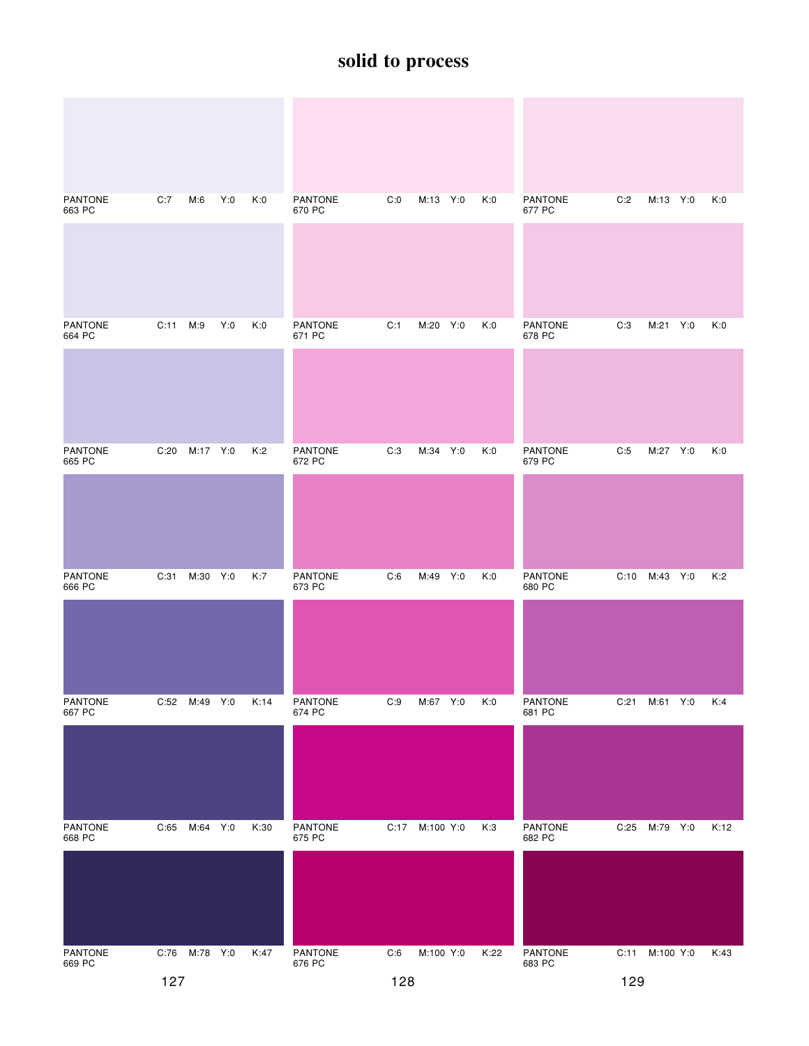| <b>PANTONE</b><br>663 PC | C:7      | M:6           | Y:0 | K:0  | <b>PANTONE</b><br>670 PC | C:0 | M:13 Y:0       | K:0  | <b>PANTONE</b><br>677 PC | C:2  | M:13 Y:0       | K:0  |
|--------------------------|----------|---------------|-----|------|--------------------------|-----|----------------|------|--------------------------|------|----------------|------|
|                          |          |               |     |      |                          |     |                |      |                          |      |                |      |
| <b>PANTONE</b><br>664 PC | C:11 M:9 |               | Y:0 | K:0  | PANTONE<br>671 PC        | C:1 | M:20 Y:0       | K:0  | <b>PANTONE</b><br>678 PC | C:3  | M:21 Y:0       | K:0  |
|                          |          |               |     |      |                          |     |                |      |                          |      |                |      |
| <b>PANTONE</b><br>665 PC | C:20     | M:17 Y:0      |     | K:2  | <b>PANTONE</b><br>672 PC | C:3 | M:34 Y:0       | K:0  | <b>PANTONE</b><br>679 PC | C:5  | M:27 Y:0       | K:0  |
|                          |          |               |     |      |                          |     |                |      |                          |      |                |      |
| <b>PANTONE</b><br>666 PC | C:31     | M:30 Y:0      |     | K:7  | PANTONE<br>673 PC        | C:6 | M:49 Y:0       | K:0  | <b>PANTONE</b><br>680 PC | C:10 | M:43 Y:0       | K:2  |
|                          |          |               |     |      |                          |     |                |      |                          |      |                |      |
| PANTONE<br>667 PC        |          | C:52 M:49 Y:0 |     | K:14 | PANTONE<br>674 PC        | C:9 | M:67 Y:0       | K:0  | PANTONE<br>681 PC        | C:21 | M:61 Y:0       | K:4  |
|                          |          |               |     |      |                          |     |                |      |                          |      |                |      |
| PANTONE<br>668 PC        |          | C:65 M:64 Y:0 |     | K:30 | PANTONE<br>675 PC        |     | C:17 M:100 Y:0 | K:3  | PANTONE<br>682 PC        | C:25 | M:79 Y:0       | K:12 |
|                          |          |               |     |      |                          |     |                |      |                          |      |                |      |
| PANTONE<br>669 PC        |          | C:76 M:78 Y:0 |     | K:47 | PANTONE<br>676 PC        | C:6 | M:100 Y:0      | K:22 | PANTONE<br>683 PC        |      | C:11 M:100 Y:0 | K:43 |
|                          | 127      |               |     |      |                          | 128 |                |      |                          | 129  |                |      |

129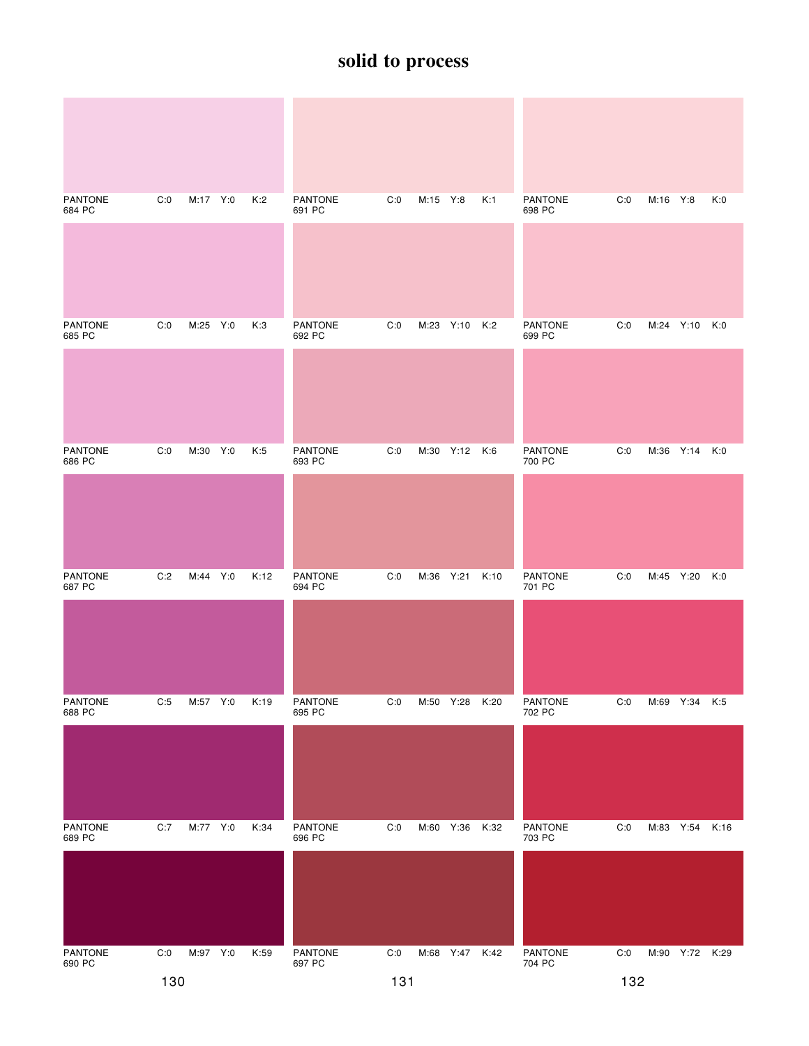| <b>PANTONE</b><br>684 PC | C:0 | M:17 Y:0 | K:2  | <b>PANTONE</b><br>691 PC | C:0 | M:15 Y:8  |                | K:1  | <b>PANTONE</b><br>698 PC | C:0 | M:16 Y:8  |                | K:0 |
|--------------------------|-----|----------|------|--------------------------|-----|-----------|----------------|------|--------------------------|-----|-----------|----------------|-----|
|                          |     |          |      |                          |     |           |                |      |                          |     |           |                |     |
| <b>PANTONE</b><br>685 PC | C:0 | M:25 Y:0 | K:3  | <b>PANTONE</b><br>692 PC | C:0 |           | M:23 Y:10 K:2  |      | <b>PANTONE</b><br>699 PC | C:0 |           | M:24 Y:10 K:0  |     |
|                          |     |          |      |                          |     |           |                |      |                          |     |           |                |     |
| <b>PANTONE</b><br>686 PC | C:0 | M:30 Y:0 | K:5  | <b>PANTONE</b><br>693 PC | C:0 |           | M:30 Y:12 K:6  |      | <b>PANTONE</b><br>700 PC | C:0 |           | M:36 Y:14      | K:0 |
|                          |     |          |      |                          |     |           |                |      |                          |     |           |                |     |
| <b>PANTONE</b><br>687 PC | C:2 | M:44 Y:0 | K:12 | <b>PANTONE</b><br>694 PC | C:0 | M:36 Y:21 |                | K:10 | <b>PANTONE</b><br>701 PC | C:0 | M:45 Y:20 |                | K:0 |
|                          |     |          |      |                          |     |           |                |      |                          |     |           |                |     |
| PANTONE<br>688 PC        | C:5 | M:57 Y:0 | K:19 | PANTONE<br>695 PC        | C:0 |           | M:50 Y:28 K:20 |      | PANTONE<br>702 PC        | C:0 |           | M:69 Y:34 K:5  |     |
|                          |     |          |      |                          |     |           |                |      |                          |     |           |                |     |
| <b>PANTONE</b><br>689 PC | C:7 | M:77 Y:0 | K:34 | <b>PANTONE</b><br>696 PC | C:0 |           | M:60 Y:36 K:32 |      | <b>PANTONE</b><br>703 PC | C:0 |           | M:83 Y:54 K:16 |     |
|                          |     |          |      |                          |     |           |                |      |                          |     |           |                |     |
| PANTONE<br>690 PC        | C:0 | M:97 Y:0 | K:59 | PANTONE<br>697 PC        | C:0 |           | M:68 Y:47 K:42 |      | PANTONE<br>704 PC        | C:0 |           | M:90 Y:72 K:29 |     |
|                          | 130 |          |      |                          | 131 |           |                |      |                          | 132 |           |                |     |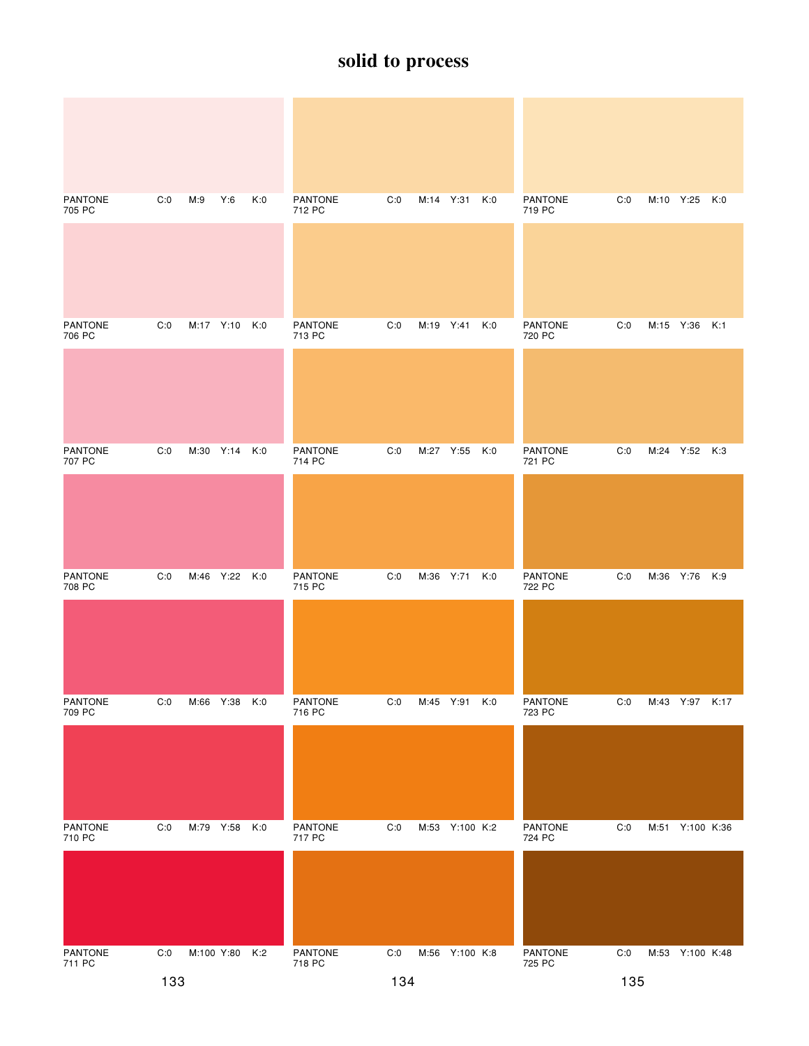| <b>PANTONE</b><br>705 PC | C:0 | M:9       | Y:6            | K:0 | <b>PANTONE</b><br>712 PC | C:0 |           | M:14 Y:31 K:0  |     | <b>PANTONE</b><br>719 PC | C:0 | M:10 Y:25 K:0   |  |
|--------------------------|-----|-----------|----------------|-----|--------------------------|-----|-----------|----------------|-----|--------------------------|-----|-----------------|--|
|                          |     |           |                |     |                          |     |           |                |     |                          |     |                 |  |
| <b>PANTONE</b>           | C:0 |           | M:17 Y:10 K:0  |     | <b>PANTONE</b>           | C:0 |           | M:19 Y:41 K:0  |     | <b>PANTONE</b>           | C:0 | M:15 Y:36 K:1   |  |
| 706 PC                   |     |           |                |     | 713 PC                   |     |           |                |     | 720 PC                   |     |                 |  |
|                          |     |           |                |     |                          |     |           |                |     |                          |     |                 |  |
| <b>PANTONE</b><br>707 PC | C:0 | M:30 Y:14 |                | K:0 | <b>PANTONE</b><br>714 PC | C:0 |           | M:27 Y:55 K:0  |     | <b>PANTONE</b><br>721 PC | C:0 | M:24 Y:52 K:3   |  |
|                          |     |           |                |     |                          |     |           |                |     |                          |     |                 |  |
| <b>PANTONE</b><br>708 PC | C:0 |           | M:46 Y:22      | K:0 | <b>PANTONE</b><br>715 PC | C:0 | M:36 Y:71 |                | K:0 | <b>PANTONE</b><br>722 PC | C:0 | M:36 Y:76 K:9   |  |
|                          |     |           |                |     |                          |     |           |                |     |                          |     |                 |  |
| PANTONE<br>709 PC        | C:0 | M:66 Y:38 |                | K:0 | PANTONE<br>716 PC        | C:0 |           | M:45 Y:91 K:0  |     | PANTONE<br>723 PC        | C:0 | M:43 Y:97 K:17  |  |
|                          |     |           |                |     |                          |     |           |                |     |                          |     |                 |  |
| <b>PANTONE</b><br>710 PC | C:0 | M:79 Y:58 |                | K:0 | <b>PANTONE</b><br>717 PC | C:0 |           | M:53 Y:100 K:2 |     | <b>PANTONE</b><br>724 PC | C:0 | M:51 Y:100 K:36 |  |
|                          |     |           |                |     |                          |     |           |                |     |                          |     |                 |  |
| PANTONE<br>711 PC        | C:0 |           | M:100 Y:80 K:2 |     | PANTONE<br>718 PC        | C:0 |           | M:56 Y:100 K:8 |     | PANTONE<br>725 PC        | C:0 | M:53 Y:100 K:48 |  |
|                          | 133 |           |                |     |                          | 134 |           |                |     |                          | 135 |                 |  |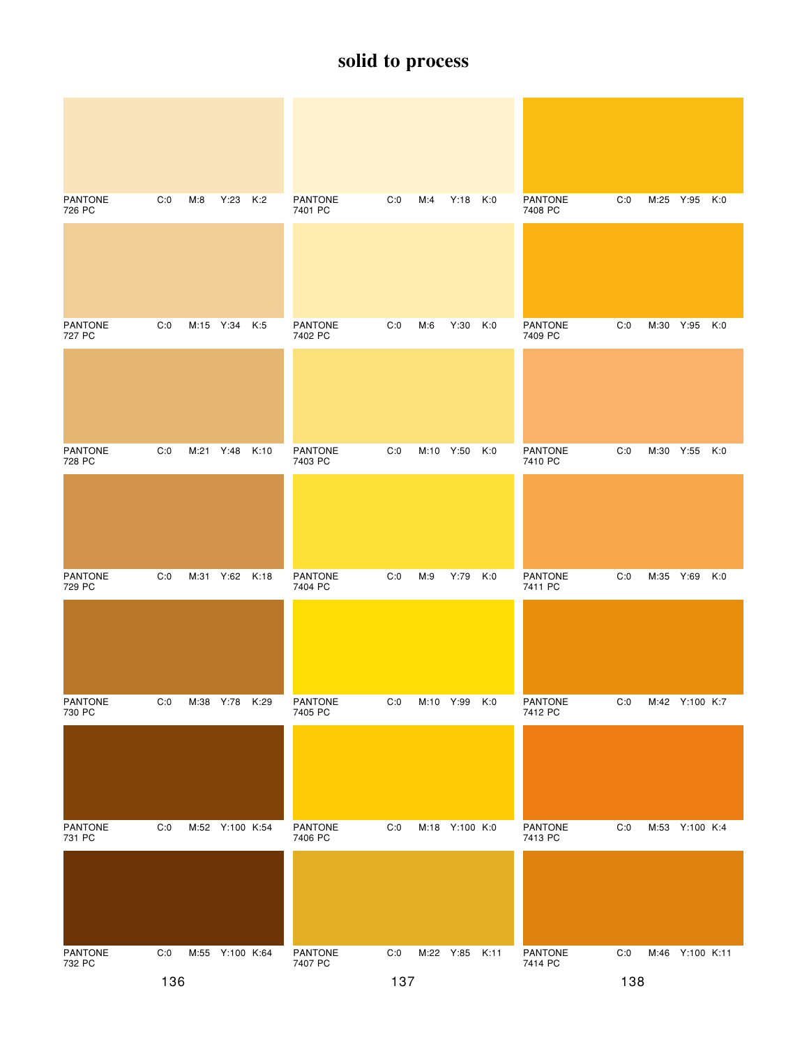| <b>PANTONE</b><br>726 PC | C:0 | M:8       | Y:23 K:2        |      | <b>PANTONE</b><br>7401 PC | C:0 | M:4       | Y:18 K:0       |     | <b>PANTONE</b><br>7408 PC | C:0 |           | M:25 Y:95 K:0   |     |
|--------------------------|-----|-----------|-----------------|------|---------------------------|-----|-----------|----------------|-----|---------------------------|-----|-----------|-----------------|-----|
|                          |     |           |                 |      |                           |     |           |                |     |                           |     |           |                 |     |
| <b>PANTONE</b><br>727 PC | C:0 |           | M:15 Y:34       | K:5  | <b>PANTONE</b><br>7402 PC | C:0 | M:6       | Y:30           | K:0 | <b>PANTONE</b><br>7409 PC | C:0 |           | M:30 Y:95 K:0   |     |
|                          |     |           |                 |      |                           |     |           |                |     |                           |     |           |                 |     |
| <b>PANTONE</b><br>728 PC | C:0 | M:21 Y:48 |                 | K:10 | <b>PANTONE</b><br>7403 PC | C:0 | M:10 Y:50 |                | K:0 | <b>PANTONE</b><br>7410 PC | C:0 |           | M:30 Y:55 K:0   |     |
|                          |     |           |                 |      |                           |     |           |                |     |                           |     |           |                 |     |
| <b>PANTONE</b><br>729 PC | C:0 |           | M:31 Y:62       | K:18 | <b>PANTONE</b><br>7404 PC | C:0 | M:9       | Y:79           | K:0 | <b>PANTONE</b><br>7411 PC | C:0 | M:35 Y:69 |                 | K:0 |
|                          |     |           |                 |      |                           |     |           |                |     |                           |     |           |                 |     |
| PANTONE<br>730 PC        | C:0 | M:38 Y:78 |                 | K:29 | <b>PANTONE</b><br>7405 PC | C:0 | M:10 Y:99 |                | K:0 | <b>PANTONE</b><br>7412 PC | C:0 |           | M:42 Y:100 K:7  |     |
|                          |     |           |                 |      |                           |     |           |                |     |                           |     |           |                 |     |
| <b>PANTONE</b><br>731 PC | C:0 |           | M:52 Y:100 K:54 |      | PANTONE<br>7406 PC        | C:0 |           | M:18 Y:100 K:0 |     | <b>PANTONE</b><br>7413 PC | C:0 |           | M:53 Y:100 K:4  |     |
|                          |     |           |                 |      |                           |     |           |                |     |                           |     |           |                 |     |
| PANTONE<br>732 PC        | C:0 |           | M:55 Y:100 K:64 |      | PANTONE<br>7407 PC        | C:0 |           | M:22 Y:85 K:11 |     | PANTONE<br>7414 PC        | C:0 |           | M:46 Y:100 K:11 |     |
|                          | 136 |           |                 |      |                           | 137 |           |                |     |                           | 138 |           |                 |     |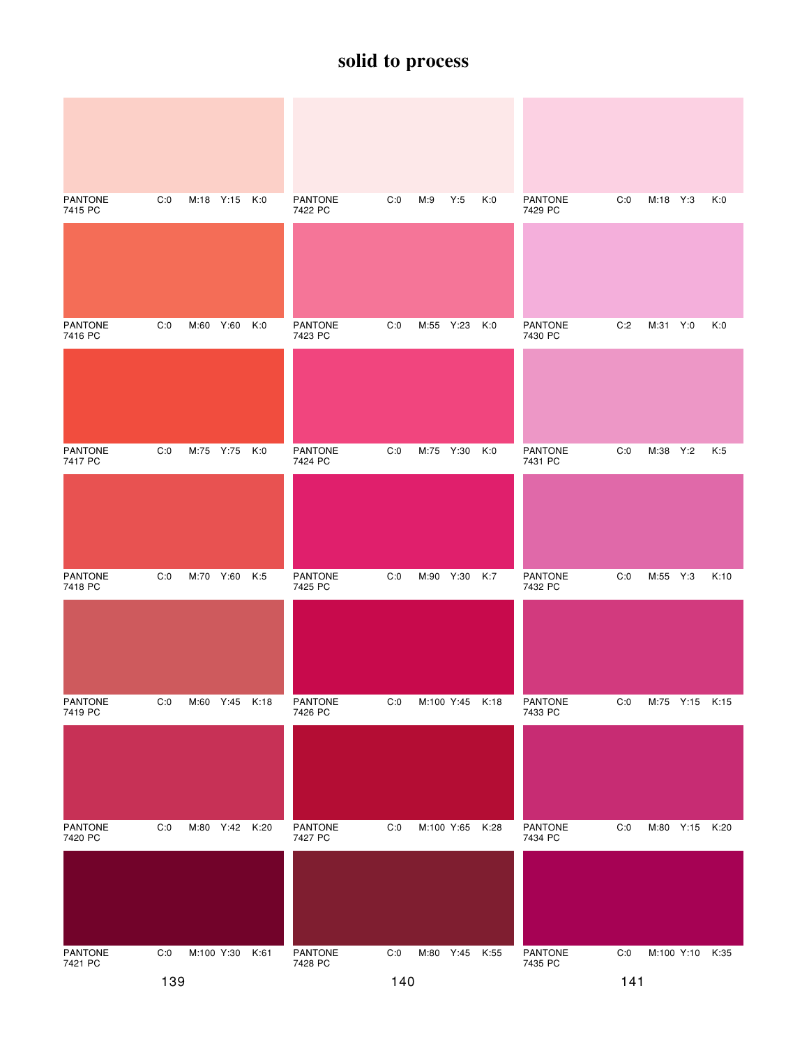| <b>PANTONE</b><br>7415 PC | C:0 | M:18 Y:15 K:0  |      | <b>PANTONE</b><br>7422 PC | C:0 | M:9        | Y:5             | K:0  | <b>PANTONE</b><br>7429 PC | C:0 | M:18 Y:3 |                 | K:0  |
|---------------------------|-----|----------------|------|---------------------------|-----|------------|-----------------|------|---------------------------|-----|----------|-----------------|------|
|                           |     |                |      |                           |     |            |                 |      |                           |     |          |                 |      |
| <b>PANTONE</b><br>7416 PC | C:0 | M:60 Y:60      | K:0  | PANTONE<br>7423 PC        | C:0 | M:55 Y:23  |                 | K:0  | <b>PANTONE</b><br>7430 PC | C:2 | M:31 Y:0 |                 | K:0  |
|                           |     |                |      |                           |     |            |                 |      |                           |     |          |                 |      |
| <b>PANTONE</b><br>7417 PC | C:0 | M:75 Y:75      | K:0  | <b>PANTONE</b><br>7424 PC | C:0 | M:75 Y:30  |                 | K:0  | <b>PANTONE</b><br>7431 PC | C:0 | M:38 Y:2 |                 | K:5  |
|                           |     |                |      |                           |     |            |                 |      |                           |     |          |                 |      |
| <b>PANTONE</b><br>7418 PC | C:0 | M:70 Y:60      | K:5  | <b>PANTONE</b><br>7425 PC | C:0 | M:90 Y:30  |                 | K:7  | <b>PANTONE</b><br>7432 PC | C:0 | M:55 Y:3 |                 | K:10 |
|                           |     |                |      |                           |     |            |                 |      |                           |     |          |                 |      |
| PANTONE<br>7419 PC        | C:0 | M:60 Y:45      | K:18 | PANTONE<br>7426 PC        | C:0 |            | M:100 Y:45 K:18 |      | <b>PANTONE</b><br>7433 PC | C:0 |          | M:75 Y:15 K:15  |      |
|                           |     |                |      |                           |     |            |                 |      |                           |     |          |                 |      |
| <b>PANTONE</b><br>7420 PC | C:0 | M:80 Y:42 K:20 |      | PANTONE<br>7427 PC        | C:0 | M:100 Y:65 |                 | K:28 | <b>PANTONE</b><br>7434 PC | C:0 |          | M:80 Y:15 K:20  |      |
|                           |     |                |      |                           |     |            |                 |      |                           |     |          |                 |      |
| PANTONE<br>7421 PC        | C:0 | M:100 Y:30     | K:61 | PANTONE<br>7428 PC        | C:0 |            | M:80 Y:45 K:55  |      | PANTONE<br>7435 PC        | C:0 |          | M:100 Y:10 K:35 |      |
|                           | 139 |                |      |                           | 140 |            |                 |      |                           | 141 |          |                 |      |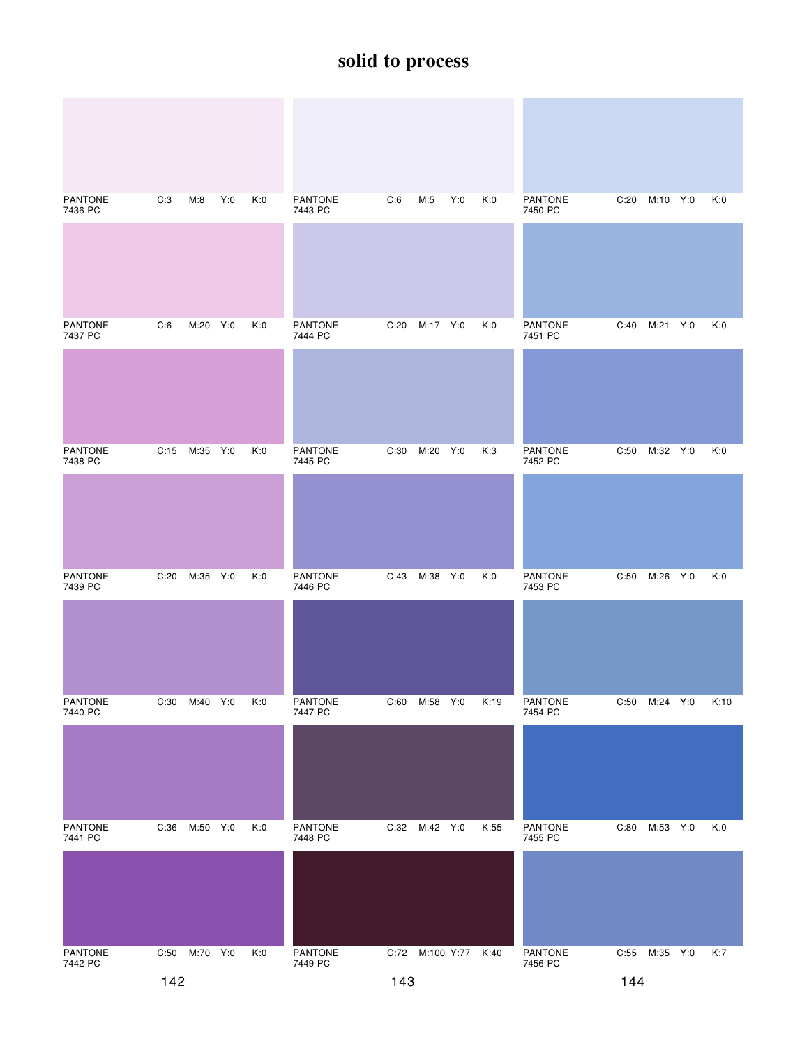| <b>PANTONE</b><br>7436 PC | C:3  | M:8           | Y:0 | K:0 | <b>PANTONE</b><br>7443 PC | C:6  | M:5        | Y:0 | K:0  | <b>PANTONE</b><br>7450 PC | C:20 | M:10 Y:0 |     | K:0  |
|---------------------------|------|---------------|-----|-----|---------------------------|------|------------|-----|------|---------------------------|------|----------|-----|------|
|                           |      |               |     |     |                           |      |            |     |      |                           |      |          |     |      |
| <b>PANTONE</b><br>7437 PC | C:6  | M:20 Y:0      |     | K:0 | <b>PANTONE</b><br>7444 PC | C:20 | M:17 Y:0   |     | K:0  | <b>PANTONE</b><br>7451 PC | C:40 | M:21 Y:0 |     | K:0  |
|                           |      |               |     |     |                           |      |            |     |      |                           |      |          |     |      |
| <b>PANTONE</b><br>7438 PC |      | C:15 M:35 Y:0 |     | K:0 | <b>PANTONE</b><br>7445 PC | C:30 | M:20       | Y:0 | K:3  | <b>PANTONE</b><br>7452 PC | C:50 | M:32 Y:0 |     | K:0  |
|                           |      |               |     |     |                           |      |            |     |      |                           |      |          |     |      |
| <b>PANTONE</b><br>7439 PC | C:20 | M:35 Y:0      |     | K:0 | <b>PANTONE</b><br>7446 PC | C:43 | M:38       | Y:0 | K:0  | <b>PANTONE</b><br>7453 PC | C:50 | M:26     | Y:0 | K:0  |
|                           |      |               |     |     |                           |      |            |     |      |                           |      |          |     |      |
| PANTONE<br>7440 PC        | C:30 | M:40 Y:0      |     | K:0 | PANTONE<br>7447 PC        | C:60 | M:58 Y:0   |     | K:19 | PANTONE<br>7454 PC        | C:50 | M:24 Y:0 |     | K:10 |
|                           |      |               |     |     |                           |      |            |     |      |                           |      |          |     |      |
| <b>PANTONE</b><br>7441 PC | C:36 | M:50 Y:0      |     | K:0 | PANTONE<br>7448 PC        | C:32 | M:42 Y:0   |     | K:55 | PANTONE<br>7455 PC        | C:80 | M:53 Y:0 |     | K:0  |
|                           |      |               |     |     |                           |      |            |     |      |                           |      |          |     |      |
| PANTONE<br>7442 PC        | C:50 | M:70 Y:0      |     | K:0 | PANTONE<br>7449 PC        | C:72 | M:100 Y:77 |     | K:40 | PANTONE<br>7456 PC        | C:55 | M:35 Y:0 |     | K:7  |
|                           | 142  |               |     |     |                           | 143  |            |     |      |                           | 144  |          |     |      |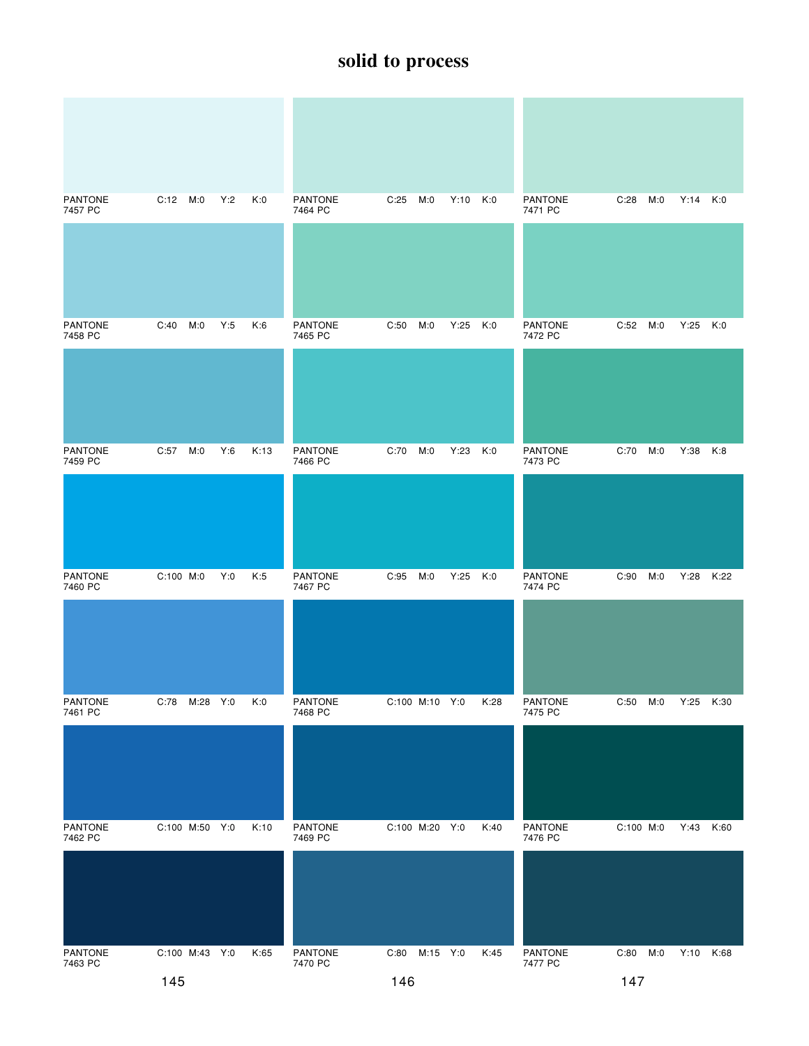| <b>PANTONE</b><br>7457 PC | C:12 M:0         | Y:2 | K:0  | <b>PANTONE</b><br>7464 PC | C:25<br>M:0      | Y:10 | K:0  | <b>PANTONE</b><br>7471 PC | C:28<br>M:0 | Y:14      | K:0  |
|---------------------------|------------------|-----|------|---------------------------|------------------|------|------|---------------------------|-------------|-----------|------|
|                           |                  |     |      |                           |                  |      |      |                           |             |           |      |
| <b>PANTONE</b><br>7458 PC | C:40<br>M:0      | Y:5 | K:6  | PANTONE<br>7465 PC        | C:50<br>M:0      | Y:25 | K:0  | <b>PANTONE</b><br>7472 PC | C:52 M:0    | Y:25      | K:0  |
|                           |                  |     |      |                           |                  |      |      |                           |             |           |      |
| <b>PANTONE</b><br>7459 PC | C:57<br>M:0      | Y:6 | K:13 | <b>PANTONE</b><br>7466 PC | C:70<br>M:0      | Y:23 | K:0  | <b>PANTONE</b><br>7473 PC | C:70<br>M:0 | Y:38      | K:8  |
|                           |                  |     |      |                           |                  |      |      |                           |             |           |      |
| <b>PANTONE</b><br>7460 PC | C:100 M:0        | Y:0 | K:5  | PANTONE<br>7467 PC        | C:95<br>M:0      | Y:25 | K:0  | <b>PANTONE</b><br>7474 PC | C:90<br>M:0 | Y:28      | K:22 |
|                           |                  |     |      |                           |                  |      |      |                           |             |           |      |
| <b>PANTONE</b><br>7461 PC | C:78<br>M:28 Y:0 |     | K:0  | <b>PANTONE</b><br>7468 PC | C:100 M:10 Y:0   |      | K:28 | <b>PANTONE</b><br>7475 PC | C:50<br>M:0 | Y:25      | K:30 |
|                           |                  |     |      |                           |                  |      |      |                           |             |           |      |
| <b>PANTONE</b><br>7462 PC | C:100 M:50 Y:0   |     | K:10 | PANTONE<br>7469 PC        | C:100 M:20 Y:0   |      | K:40 | PANTONE<br>7476 PC        | C:100 M:0   | Y:43      | K:60 |
|                           |                  |     |      |                           |                  |      |      |                           |             |           |      |
| PANTONE<br>7463 PC        | C:100 M:43 Y:0   |     | K:65 | PANTONE<br>7470 PC        | M:15 Y:0<br>C:80 |      | K:45 | PANTONE<br>7477 PC        | C:80<br>M:0 | Y:10 K:68 |      |
|                           | 145              |     |      |                           | 146              |      |      |                           | 147         |           |      |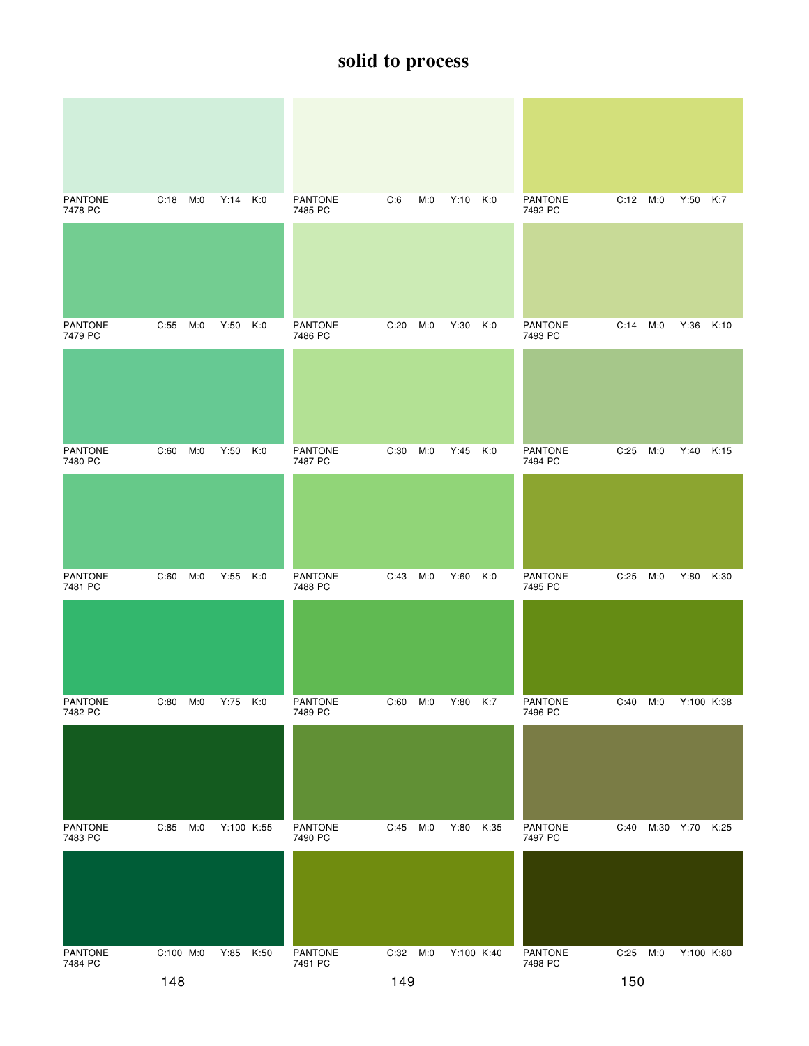| <b>PANTONE</b><br>7478 PC | C:18      | M:0<br>$Y:14$ $K:0$ |      | <b>PANTONE</b><br>7485 PC | C:6  | M:0 | $Y:10$ $K:0$ |      | <b>PANTONE</b><br>7492 PC | C:12 M:0 |           | Y:50       | K:7  |
|---------------------------|-----------|---------------------|------|---------------------------|------|-----|--------------|------|---------------------------|----------|-----------|------------|------|
|                           |           |                     |      |                           |      |     |              |      |                           |          |           |            |      |
| <b>PANTONE</b><br>7479 PC | C:55 M:0  | Y:50                | K:0  | <b>PANTONE</b><br>7486 PC | C:20 | M:0 | Y:30         | K:0  | <b>PANTONE</b><br>7493 PC | C:14     | M:0       | Y:36       | K:10 |
|                           |           |                     |      |                           |      |     |              |      |                           |          |           |            |      |
| <b>PANTONE</b><br>7480 PC | C:60      | M:0<br>Y:50         | K:0  | <b>PANTONE</b><br>7487 PC | C:30 | M:0 | Y:45         | K:0  | <b>PANTONE</b><br>7494 PC | C:25     | M:0       | Y:40       | K:15 |
|                           |           |                     |      |                           |      |     |              |      |                           |          |           |            |      |
| <b>PANTONE</b><br>7481 PC | C:60      | M:0<br>Y:55         | K:0  | <b>PANTONE</b><br>7488 PC | C:43 | M:0 | Y:60         | K:0  | <b>PANTONE</b><br>7495 PC | C:25     | M:0       | Y:80       | K:30 |
|                           |           |                     |      |                           |      |     |              |      |                           |          |           |            |      |
| PANTONE<br>7482 PC        | C:80      | M:0<br>Y:75         | K:0  | PANTONE<br>7489 PC        | C:60 | M:0 | Y:80 K:7     |      | <b>PANTONE</b><br>7496 PC | C:40     | M:0       | Y:100 K:38 |      |
|                           |           |                     |      |                           |      |     |              |      |                           |          |           |            |      |
| <b>PANTONE</b><br>7483 PC | C:85      | Y:100 K:55<br>M:0   |      | PANTONE<br>7490 PC        | C:45 | M:0 | Y:80         | K:35 | <b>PANTONE</b><br>7497 PC | C:40     | M:30 Y:70 |            | K:25 |
|                           |           |                     |      |                           |      |     |              |      |                           |          |           |            |      |
| PANTONE<br>7484 PC        | C:100 M:0 | Y:85                | K:50 | PANTONE<br>7491 PC        | C:32 | M:0 | Y:100 K:40   |      | PANTONE<br>7498 PC        | C:25     | M:0       | Y:100 K:80 |      |
|                           | 148       |                     |      |                           | 149  |     |              |      |                           | 150      |           |            |      |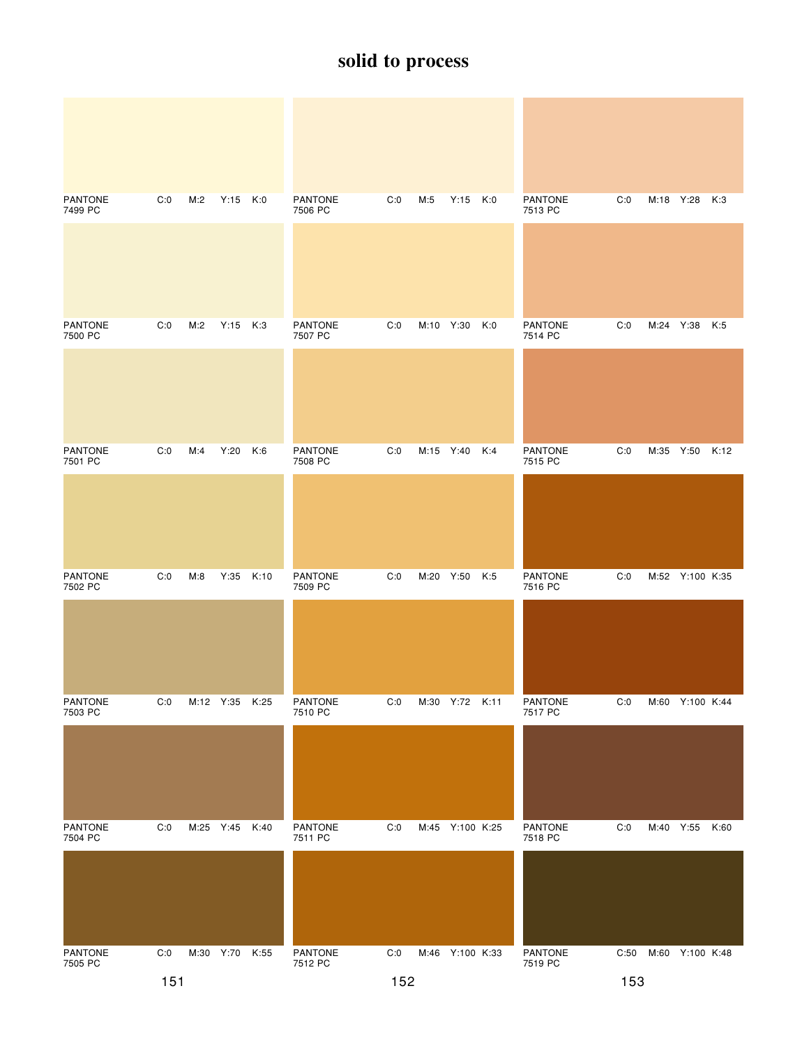| <b>PANTONE</b><br>7499 PC | C:0 | M:2       | $Y:15$ K:0     |      | <b>PANTONE</b><br>7506 PC | C:0 | M:5       | $Y:15$ K:0      |     | <b>PANTONE</b><br>7513 PC | C:0  |           | M:18 Y:28 K:3   |      |
|---------------------------|-----|-----------|----------------|------|---------------------------|-----|-----------|-----------------|-----|---------------------------|------|-----------|-----------------|------|
|                           |     |           |                |      |                           |     |           |                 |     |                           |      |           |                 |      |
| <b>PANTONE</b><br>7500 PC | C:0 | M:2       | $Y:15$ K:3     |      | <b>PANTONE</b><br>7507 PC | C:0 | M:10 Y:30 |                 | K:0 | <b>PANTONE</b><br>7514 PC | C:0  | M:24 Y:38 |                 | K:5  |
|                           |     |           |                |      |                           |     |           |                 |     |                           |      |           |                 |      |
| <b>PANTONE</b><br>7501 PC | C:0 | M:4       | Y:20           | K:6  | <b>PANTONE</b><br>7508 PC | C:0 | M:15 Y:40 |                 | K:4 | <b>PANTONE</b><br>7515 PC | C:0  | M:35      | Y:50            | K:12 |
|                           |     |           |                |      |                           |     |           |                 |     |                           |      |           |                 |      |
| <b>PANTONE</b><br>7502 PC | C:0 | M:8       | Y:35           | K:10 | <b>PANTONE</b><br>7509 PC | C:0 | M:20 Y:50 |                 | K:5 | <b>PANTONE</b><br>7516 PC | C:0  |           | M:52 Y:100 K:35 |      |
|                           |     |           |                |      |                           |     |           |                 |     |                           |      |           |                 |      |
| <b>PANTONE</b><br>7503 PC | C:0 |           | M:12 Y:35      | K:25 | PANTONE<br>7510 PC        | C:0 |           | M:30 Y:72 K:11  |     | PANTONE<br>7517 PC        | C:0  |           | M:60 Y:100 K:44 |      |
|                           |     |           |                |      |                           |     |           |                 |     |                           |      |           |                 |      |
| PANTONE<br>7504 PC        | C:0 | M:25 Y:45 |                | K:40 | PANTONE<br>7511 PC        | C:0 |           | M:45 Y:100 K:25 |     | <b>PANTONE</b><br>7518 PC | C:0  |           | M:40 Y:55 K:60  |      |
|                           |     |           |                |      |                           |     |           |                 |     |                           |      |           |                 |      |
| <b>PANTONE</b><br>7505 PC | C:0 |           | M:30 Y:70 K:55 |      | PANTONE<br>7512 PC        | C:0 |           | M:46 Y:100 K:33 |     | PANTONE<br>7519 PC        | C:50 |           | M:60 Y:100 K:48 |      |
|                           | 151 |           |                |      | 152                       |     |           |                 |     | 153                       |      |           |                 |      |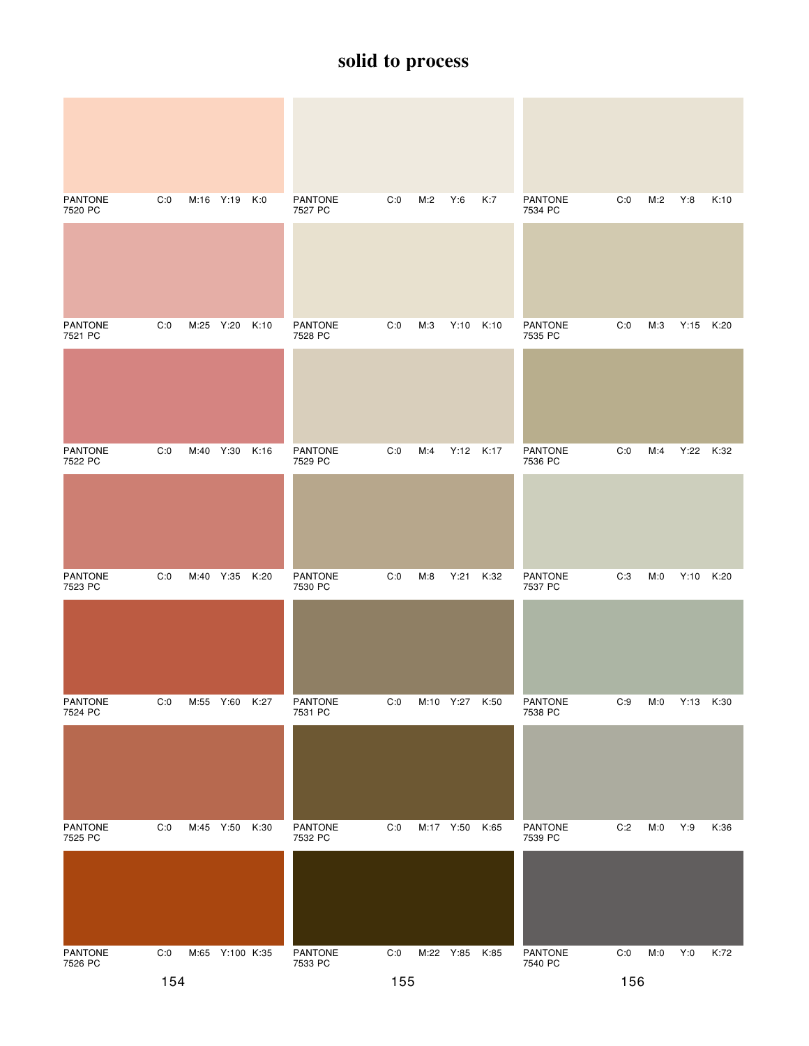| <b>PANTONE</b><br>7520 PC | C:0 | M:16 Y:19 |                 | K:0  | <b>PANTONE</b><br>7527 PC | C:0 | M:2 | Y:6            | K:7  | <b>PANTONE</b><br>7534 PC | C:0 | M:2 | Y:8       | K:10 |
|---------------------------|-----|-----------|-----------------|------|---------------------------|-----|-----|----------------|------|---------------------------|-----|-----|-----------|------|
|                           |     |           |                 |      |                           |     |     |                |      |                           |     |     |           |      |
| <b>PANTONE</b><br>7521 PC | C:0 | M:25 Y:20 |                 | K:10 | <b>PANTONE</b><br>7528 PC | C:0 | M:3 | Y:10 K:10      |      | <b>PANTONE</b><br>7535 PC | C:0 | M:3 | Y:15 K:20 |      |
|                           |     |           |                 |      |                           |     |     |                |      |                           |     |     |           |      |
| <b>PANTONE</b><br>7522 PC | C:0 | M:40 Y:30 |                 | K:16 | <b>PANTONE</b><br>7529 PC | C:0 | M:4 | Y:12 K:17      |      | <b>PANTONE</b><br>7536 PC | C:0 | M:4 | Y:22      | K:32 |
|                           |     |           |                 |      |                           |     |     |                |      |                           |     |     |           |      |
| <b>PANTONE</b><br>7523 PC | C:0 | M:40 Y:35 |                 | K:20 | <b>PANTONE</b><br>7530 PC | C:0 | M:8 | Y:21           | K:32 | <b>PANTONE</b><br>7537 PC | C:3 | M:0 | Y:10      | K:20 |
|                           |     |           |                 |      |                           |     |     |                |      |                           |     |     |           |      |
| PANTONE<br>7524 PC        | C:0 | M:55 Y:60 |                 | K:27 | PANTONE<br>7531 PC        | C:0 |     | M:10 Y:27 K:50 |      | PANTONE<br>7538 PC        | C:9 | M:0 | Y:13 K:30 |      |
|                           |     |           |                 |      |                           |     |     |                |      |                           |     |     |           |      |
| PANTONE<br>7525 PC        | C:0 | M:45 Y:50 |                 | K:30 | PANTONE<br>7532 PC        | C:0 |     | M:17 Y:50      | K:65 | <b>PANTONE</b><br>7539 PC | C:2 | M:0 | Y:9       | K:36 |
|                           |     |           |                 |      |                           |     |     |                |      |                           |     |     |           |      |
| PANTONE<br>7526 PC        | C:0 |           | M:65 Y:100 K:35 |      | PANTONE<br>7533 PC        | C:0 |     | M:22 Y:85      | K:85 | PANTONE<br>7540 PC        | C:0 | M:0 | Y:0       | K:72 |
| 154                       |     |           |                 |      |                           | 155 |     |                |      |                           | 156 |     |           |      |